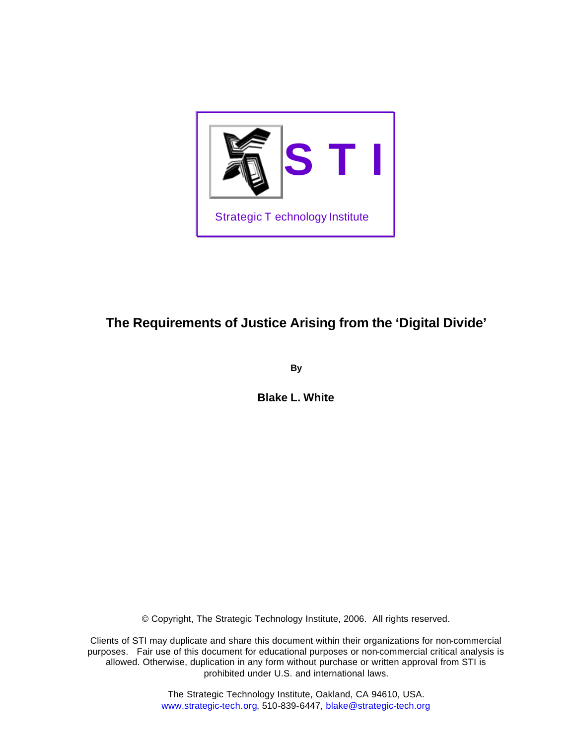

# **The Requirements of Justice Arising from the 'Digital Divide'**

**By**

**Blake L. White**

© Copyright, The Strategic Technology Institute, 2006. All rights reserved.

Clients of STI may duplicate and share this document within their organizations for non-commercial purposes. Fair use of this document for educational purposes or non-commercial critical analysis is allowed. Otherwise, duplication in any form without purchase or written approval from STI is prohibited under U.S. and international laws.

> The Strategic Technology Institute, Oakland, CA 94610, USA. www.strategic-tech.org, 510-839-6447, blake@strategic-tech.org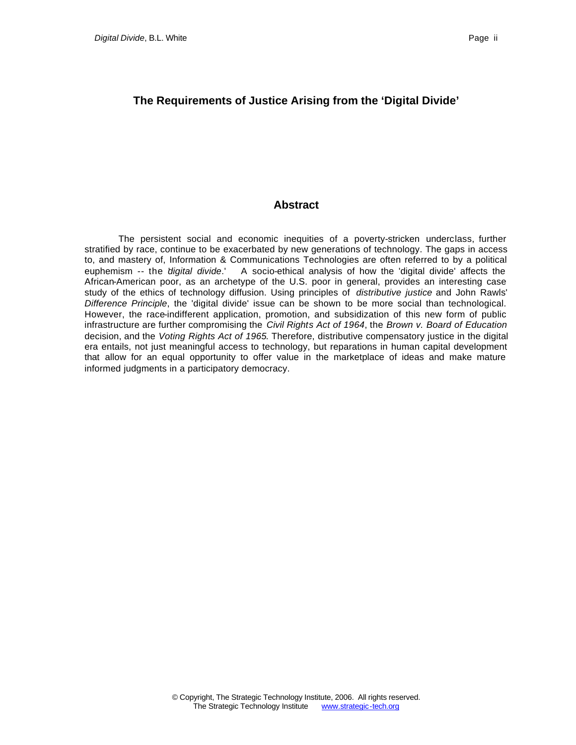## **The Requirements of Justice Arising from the 'Digital Divide'**

## **Abstract**

The persistent social and economic inequities of a poverty-stricken underclass, further stratified by race, continue to be exacerbated by new generations of technology. The gaps in access to, and mastery of, Information & Communications Technologies are often referred to by a political euphemism -- the '*digital divide*.' A socio-ethical analysis of how the 'digital divide' affects the African-American poor, as an archetype of the U.S. poor in general, provides an interesting case study of the ethics of technology diffusion. Using principles of *distributive justice* and John Rawls' *Difference Principle*, the 'digital divide' issue can be shown to be more social than technological. However, the race-indifferent application, promotion, and subsidization of this new form of public infrastructure are further compromising the *Civil Rights Act of 1964*, the *Brown v. Board of Education* decision, and the *Voting Rights Act of 1965*. Therefore, distributive compensatory justice in the digital era entails, not just meaningful access to technology, but reparations in human capital development that allow for an equal opportunity to offer value in the marketplace of ideas and make mature informed judgments in a participatory democracy.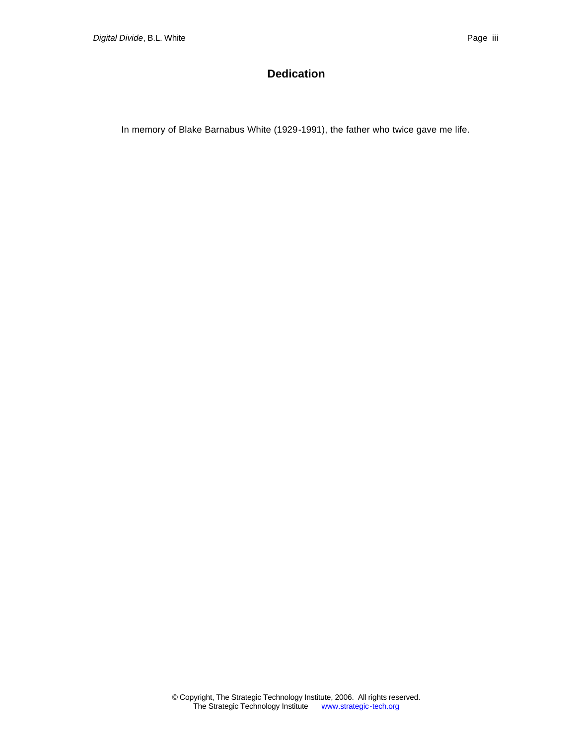# **Dedication**

In memory of Blake Barnabus White (1929-1991), the father who twice gave me life.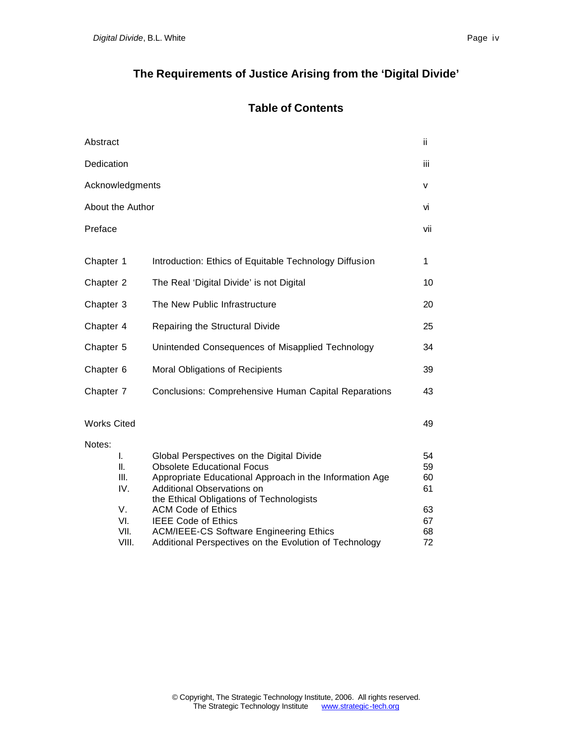# **Table of Contents**

| Abstract                                                         |                                                                                                                                                                                                                                                                                                                                                                                            | ii                                           |
|------------------------------------------------------------------|--------------------------------------------------------------------------------------------------------------------------------------------------------------------------------------------------------------------------------------------------------------------------------------------------------------------------------------------------------------------------------------------|----------------------------------------------|
| Dedication                                                       |                                                                                                                                                                                                                                                                                                                                                                                            | iii                                          |
| Acknowledgments                                                  |                                                                                                                                                                                                                                                                                                                                                                                            | v                                            |
| About the Author                                                 |                                                                                                                                                                                                                                                                                                                                                                                            | ٧i                                           |
| Preface                                                          |                                                                                                                                                                                                                                                                                                                                                                                            | vii                                          |
| Chapter 1                                                        | Introduction: Ethics of Equitable Technology Diffusion                                                                                                                                                                                                                                                                                                                                     | 1                                            |
| Chapter 2                                                        | The Real 'Digital Divide' is not Digital                                                                                                                                                                                                                                                                                                                                                   | 10                                           |
| Chapter 3                                                        | The New Public Infrastructure                                                                                                                                                                                                                                                                                                                                                              | 20                                           |
| Chapter 4                                                        | Repairing the Structural Divide                                                                                                                                                                                                                                                                                                                                                            | 25                                           |
| Chapter 5                                                        | Unintended Consequences of Misapplied Technology                                                                                                                                                                                                                                                                                                                                           | 34                                           |
| Chapter 6                                                        | Moral Obligations of Recipients                                                                                                                                                                                                                                                                                                                                                            | 39                                           |
| Chapter 7                                                        | <b>Conclusions: Comprehensive Human Capital Reparations</b>                                                                                                                                                                                                                                                                                                                                | 43                                           |
| <b>Works Cited</b>                                               |                                                                                                                                                                                                                                                                                                                                                                                            | 49                                           |
| Notes:<br>I.<br>II.<br>III.<br>IV.<br>V.<br>VI.<br>VII.<br>VIII. | Global Perspectives on the Digital Divide<br><b>Obsolete Educational Focus</b><br>Appropriate Educational Approach in the Information Age<br>Additional Observations on<br>the Ethical Obligations of Technologists<br><b>ACM Code of Ethics</b><br><b>IEEE Code of Ethics</b><br><b>ACM/IEEE-CS Software Engineering Ethics</b><br>Additional Perspectives on the Evolution of Technology | 54<br>59<br>60<br>61<br>63<br>67<br>68<br>72 |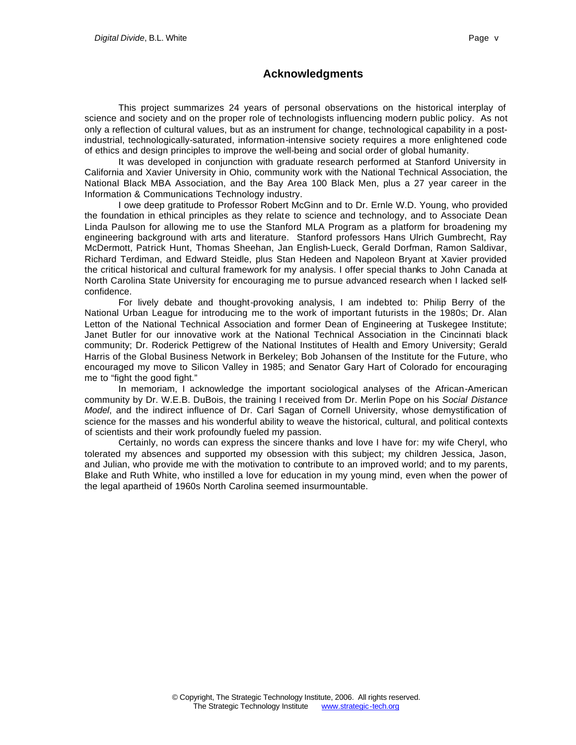## **Acknowledgments**

This project summarizes 24 years of personal observations on the historical interplay of science and society and on the proper role of technologists influencing modern public policy. As not only a reflection of cultural values, but as an instrument for change, technological capability in a postindustrial, technologically-saturated, information-intensive society requires a more enlightened code of ethics and design principles to improve the well-being and social order of global humanity.

It was developed in conjunction with graduate research performed at Stanford University in California and Xavier University in Ohio, community work with the National Technical Association, the National Black MBA Association, and the Bay Area 100 Black Men, plus a 27 year career in the Information & Communications Technology industry.

I owe deep gratitude to Professor Robert McGinn and to Dr. Ernle W.D. Young, who provided the foundation in ethical principles as they relate to science and technology, and to Associate Dean Linda Paulson for allowing me to use the Stanford MLA Program as a platform for broadening my engineering background with arts and literature. Stanford professors Hans Ulrich Gumbrecht, Ray McDermott, Patrick Hunt, Thomas Sheehan, Jan English-Lueck, Gerald Dorfman, Ramon Saldivar, Richard Terdiman, and Edward Steidle, plus Stan Hedeen and Napoleon Bryant at Xavier provided the critical historical and cultural framework for my analysis. I offer special thanks to John Canada at North Carolina State University for encouraging me to pursue advanced research when I lacked selfconfidence.

For lively debate and thought-provoking analysis, I am indebted to: Philip Berry of the National Urban League for introducing me to the work of important futurists in the 1980s; Dr. Alan Letton of the National Technical Association and former Dean of Engineering at Tuskegee Institute; Janet Butler for our innovative work at the National Technical Association in the Cincinnati black community; Dr. Roderick Pettigrew of the National Institutes of Health and Emory University; Gerald Harris of the Global Business Network in Berkeley; Bob Johansen of the Institute for the Future, who encouraged my move to Silicon Valley in 1985; and Senator Gary Hart of Colorado for encouraging me to "fight the good fight."

In memoriam, I acknowledge the important sociological analyses of the African-American community by Dr. W.E.B. DuBois, the training I received from Dr. Merlin Pope on his *Social Distance Model*, and the indirect influence of Dr. Carl Sagan of Cornell University, whose demystification of science for the masses and his wonderful ability to weave the historical, cultural, and political contexts of scientists and their work profoundly fueled my passion.

Certainly, no words can express the sincere thanks and love I have for: my wife Cheryl, who tolerated my absences and supported my obsession with this subject; my children Jessica, Jason, and Julian, who provide me with the motivation to contribute to an improved world; and to my parents, Blake and Ruth White, who instilled a love for education in my young mind, even when the power of the legal apartheid of 1960s North Carolina seemed insurmountable.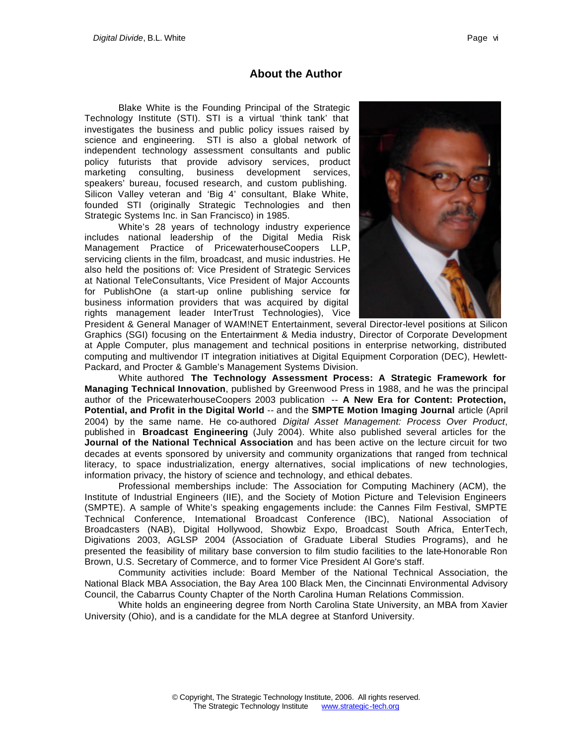## **About the Author**

Blake White is the Founding Principal of the Strategic Technology Institute (STI). STI is a virtual 'think tank' that investigates the business and public policy issues raised by science and engineering. STI is also a global network of independent technology assessment consultants and public policy futurists that provide advisory services, product marketing consulting, business development services, speakers' bureau, focused research, and custom publishing. Silicon Valley veteran and 'Big 4' consultant, Blake White, founded STI (originally Strategic Technologies and then Strategic Systems Inc. in San Francisco) in 1985.

White's 28 years of technology industry experience includes national leadership of the Digital Media Risk Management Practice of PricewaterhouseCoopers LLP, servicing clients in the film, broadcast, and music industries. He also held the positions of: Vice President of Strategic Services at National TeleConsultants, Vice President of Major Accounts for PublishOne (a start-up online publishing service for business information providers that was acquired by digital rights management leader InterTrust Technologies), Vice



President & General Manager of WAM!NET Entertainment, several Director-level positions at Silicon Graphics (SGI) focusing on the Entertainment & Media industry, Director of Corporate Development at Apple Computer, plus management and technical positions in enterprise networking, distributed computing and multivendor IT integration initiatives at Digital Equipment Corporation (DEC), Hewlett-Packard, and Procter & Gamble's Management Systems Division.

White authored **The Technology Assessment Process: A Strategic Framework for Managing Technical Innovation**, published by Greenwood Press in 1988, and he was the principal author of the PricewaterhouseCoopers 2003 publication -- **A New Era for Content: Protection, Potential, and Profit in the Digital World** -- and the **SMPTE Motion Imaging Journal** article (April 2004) by the same name. He co-authored *Digital Asset Management: Process Over Product*, published in **Broadcast Engineering** (July 2004). White also published several articles for the **Journal of the National Technical Association** and has been active on the lecture circuit for two decades at events sponsored by university and community organizations that ranged from technical literacy, to space industrialization, energy alternatives, social implications of new technologies, information privacy, the history of science and technology, and ethical debates.

Professional memberships include: The Association for Computing Machinery (ACM), the Institute of Industrial Engineers (IIE), and the Society of Motion Picture and Television Engineers (SMPTE). A sample of White's speaking engagements include: the Cannes Film Festival, SMPTE Technical Conference, International Broadcast Conference (IBC), National Association of Broadcasters (NAB), Digital Hollywood, Showbiz Expo, Broadcast South Africa, EnterTech, Digivations 2003, AGLSP 2004 (Association of Graduate Liberal Studies Programs), and he presented the feasibility of military base conversion to film studio facilities to the late-Honorable Ron Brown, U.S. Secretary of Commerce, and to former Vice President Al Gore's staff.

Community activities include: Board Member of the National Technical Association, the National Black MBA Association, the Bay Area 100 Black Men, the Cincinnati Environmental Advisory Council, the Cabarrus County Chapter of the North Carolina Human Relations Commission.

White holds an engineering degree from North Carolina State University, an MBA from Xavier University (Ohio), and is a candidate for the MLA degree at Stanford University.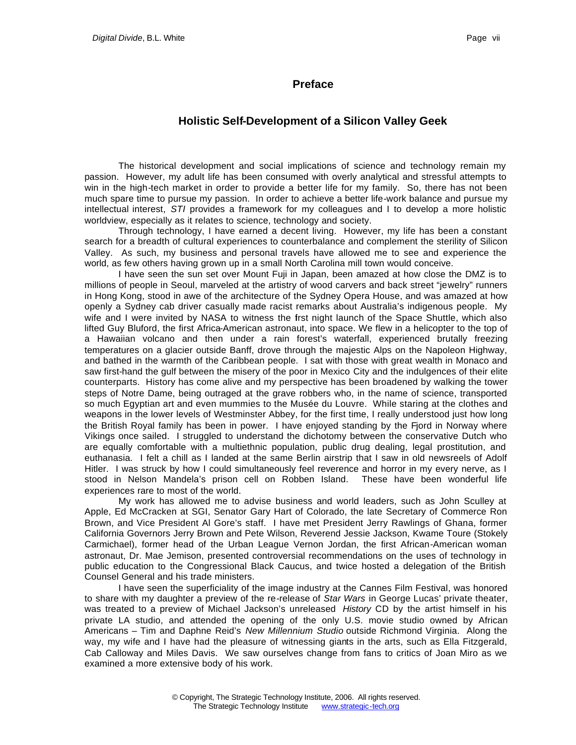### **Preface**

## **Holistic Self-Development of a Silicon Valley Geek**

The historical development and social implications of science and technology remain my passion. However, my adult life has been consumed with overly analytical and stressful attempts to win in the high-tech market in order to provide a better life for my family. So, there has not been much spare time to pursue my passion. In order to achieve a better life-work balance and pursue my intellectual interest, *STI* provides a framework for my colleagues and I to develop a more holistic worldview, especially as it relates to science, technology and society.

Through technology, I have earned a decent living. However, my life has been a constant search for a breadth of cultural experiences to counterbalance and complement the sterility of Silicon Valley. As such, my business and personal travels have allowed me to see and experience the world, as few others having grown up in a small North Carolina mill town would conceive.

I have seen the sun set over Mount Fuji in Japan, been amazed at how close the DMZ is to millions of people in Seoul, marveled at the artistry of wood carvers and back street "jewelry" runners in Hong Kong, stood in awe of the architecture of the Sydney Opera House, and was amazed at how openly a Sydney cab driver casually made racist remarks about Australia's indigenous people. My wife and I were invited by NASA to witness the first night launch of the Space Shuttle, which also lifted Guy Bluford, the first Africa-American astronaut, into space. We flew in a helicopter to the top of a Hawaiian volcano and then under a rain forest's waterfall, experienced brutally freezing temperatures on a glacier outside Banff, drove through the majestic Alps on the Napoleon Highway, and bathed in the warmth of the Caribbean people. I sat with those with great wealth in Monaco and saw first-hand the gulf between the misery of the poor in Mexico City and the indulgences of their elite counterparts. History has come alive and my perspective has been broadened by walking the tower steps of Notre Dame, being outraged at the grave robbers who, in the name of science, transported so much Egyptian art and even mummies to the Musée du Louvre. While staring at the clothes and weapons in the lower levels of Westminster Abbey, for the first time, I really understood just how long the British Royal family has been in power. I have enjoyed standing by the Fjord in Norway where Vikings once sailed. I struggled to understand the dichotomy between the conservative Dutch who are equally comfortable with a multiethnic population, public drug dealing, legal prostitution, and euthanasia. I felt a chill as I landed at the same Berlin airstrip that I saw in old newsreels of Adolf Hitler. I was struck by how I could simultaneously feel reverence and horror in my every nerve, as I stood in Nelson Mandela's prison cell on Robben Island. These have been wonderful life experiences rare to most of the world.

My work has allowed me to advise business and world leaders, such as John Sculley at Apple, Ed McCracken at SGI, Senator Gary Hart of Colorado, the late Secretary of Commerce Ron Brown, and Vice President Al Gore's staff. I have met President Jerry Rawlings of Ghana, former California Governors Jerry Brown and Pete Wilson, Reverend Jessie Jackson, Kwame Toure (Stokely Carmichael), former head of the Urban League Vernon Jordan, the first African-American woman astronaut, Dr. Mae Jemison, presented controversial recommendations on the uses of technology in public education to the Congressional Black Caucus, and twice hosted a delegation of the British Counsel General and his trade ministers.

I have seen the superficiality of the image industry at the Cannes Film Festival, was honored to share with my daughter a preview of the re-release of *Star Wars* in George Lucas' private theater, was treated to a preview of Michael Jackson's unreleased *History* CD by the artist himself in his private LA studio, and attended the opening of the only U.S. movie studio owned by African Americans – Tim and Daphne Reid's *New Millennium Studio* outside Richmond Virginia. Along the way, my wife and I have had the pleasure of witnessing giants in the arts, such as Ella Fitzgerald, Cab Calloway and Miles Davis. We saw ourselves change from fans to critics of Joan Miro as we examined a more extensive body of his work.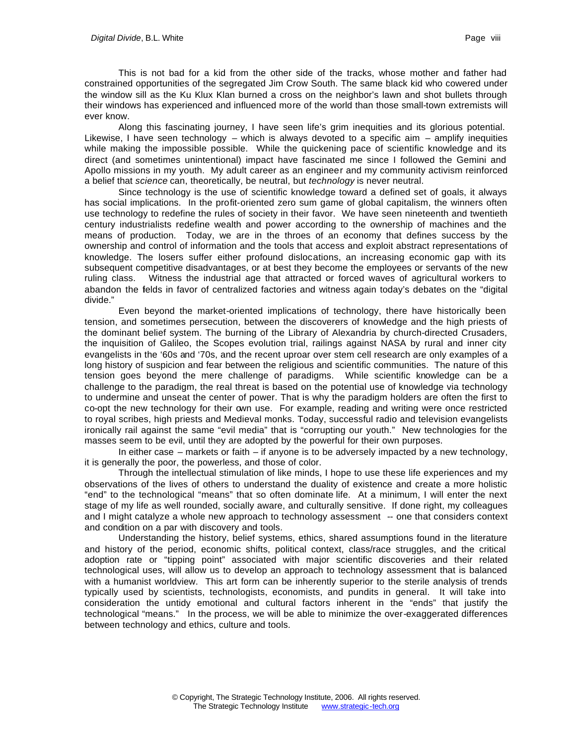This is not bad for a kid from the other side of the tracks, whose mother and father had constrained opportunities of the segregated Jim Crow South. The same black kid who cowered under the window sill as the Ku Klux Klan burned a cross on the neighbor's lawn and shot bullets through their windows has experienced and influenced more of the world than those small-town extremists will ever know.

Along this fascinating journey, I have seen life's grim inequities and its glorious potential. Likewise, I have seen technology – which is always devoted to a specific aim  $-$  amplify inequities while making the impossible possible. While the quickening pace of scientific knowledge and its direct (and sometimes unintentional) impact have fascinated me since I followed the Gemini and Apollo missions in my youth. My adult career as an engineer and my community activism reinforced a belief that *science* can, theoretically, be neutral, but *technology* is never neutral.

Since technology is the use of scientific knowledge toward a defined set of goals, it always has social implications. In the profit-oriented zero sum game of global capitalism, the winners often use technology to redefine the rules of society in their favor. We have seen nineteenth and twentieth century industrialists redefine wealth and power according to the ownership of machines and the means of production. Today, we are in the throes of an economy that defines success by the ownership and control of information and the tools that access and exploit abstract representations of knowledge. The losers suffer either profound dislocations, an increasing economic gap with its subsequent competitive disadvantages, or at best they become the employees or servants of the new ruling class. Witness the industrial age that attracted or forced waves of agricultural workers to abandon the fields in favor of centralized factories and witness again today's debates on the "digital divide."

Even beyond the market-oriented implications of technology, there have historically been tension, and sometimes persecution, between the discoverers of knowledge and the high priests of the dominant belief system. The burning of the Library of Alexandria by church-directed Crusaders, the inquisition of Galileo, the Scopes evolution trial, railings against NASA by rural and inner city evangelists in the '60s and '70s, and the recent uproar over stem cell research are only examples of a long history of suspicion and fear between the religious and scientific communities. The nature of this tension goes beyond the mere challenge of paradigms. While scientific knowledge can be a challenge to the paradigm, the real threat is based on the potential use of knowledge via technology to undermine and unseat the center of power. That is why the paradigm holders are often the first to co-opt the new technology for their own use. For example, reading and writing were once restricted to royal scribes, high priests and Medieval monks. Today, successful radio and television evangelists ironically rail against the same "evil media" that is "corrupting our youth." New technologies for the masses seem to be evil, until they are adopted by the powerful for their own purposes.

In either case – markets or faith – if anyone is to be adversely impacted by a new technology, it is generally the poor, the powerless, and those of color.

Through the intellectual stimulation of like minds, I hope to use these life experiences and my observations of the lives of others to understand the duality of existence and create a more holistic "end" to the technological "means" that so often dominate life. At a minimum, I will enter the next stage of my life as well rounded, socially aware, and culturally sensitive. If done right, my colleagues and I might catalyze a whole new approach to technology assessment -- one that considers context and condition on a par with discovery and tools.

Understanding the history, belief systems, ethics, shared assumptions found in the literature and history of the period, economic shifts, political context, class/race struggles, and the critical adoption rate or "tipping point" associated with major scientific discoveries and their related technological uses, will allow us to develop an approach to technology assessment that is balanced with a humanist worldview. This art form can be inherently superior to the sterile analysis of trends typically used by scientists, technologists, economists, and pundits in general. It will take into consideration the untidy emotional and cultural factors inherent in the "ends" that justify the technological "means." In the process, we will be able to minimize the over-exaggerated differences between technology and ethics, culture and tools.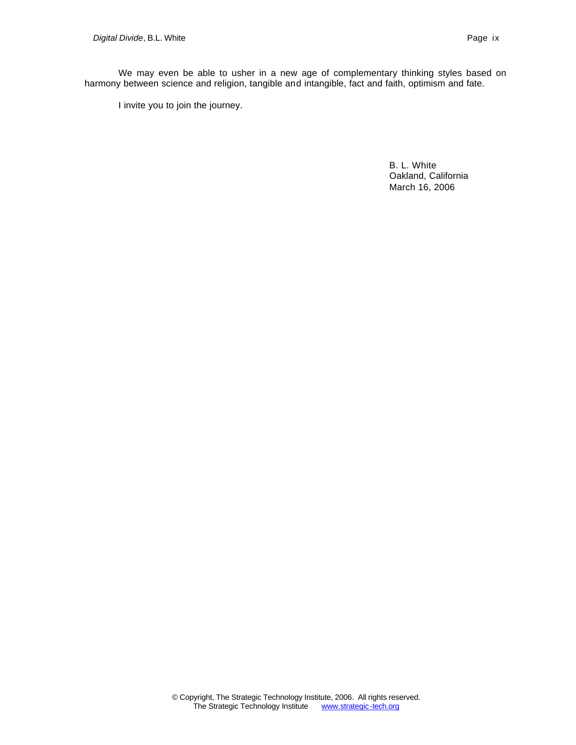We may even be able to usher in a new age of complementary thinking styles based on harmony between science and religion, tangible and intangible, fact and faith, optimism and fate.

I invite you to join the journey.

B. L. White Oakland, California March 16, 2006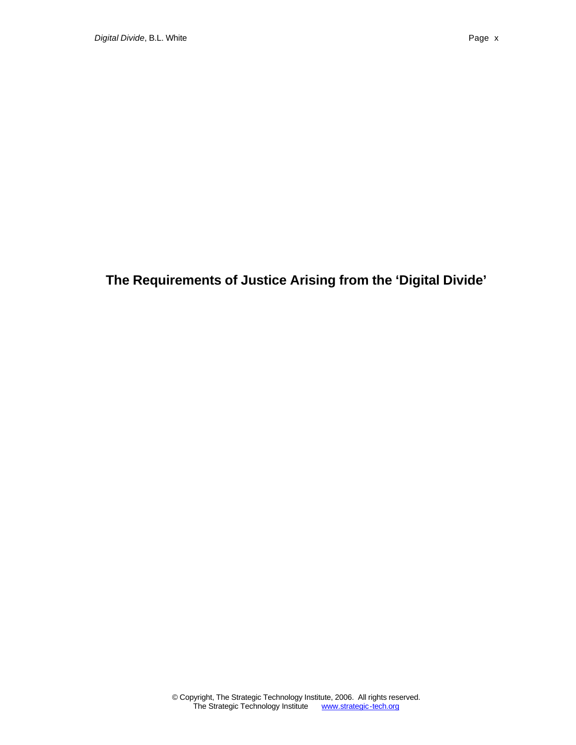# **The Requirements of Justice Arising from the 'Digital Divide'**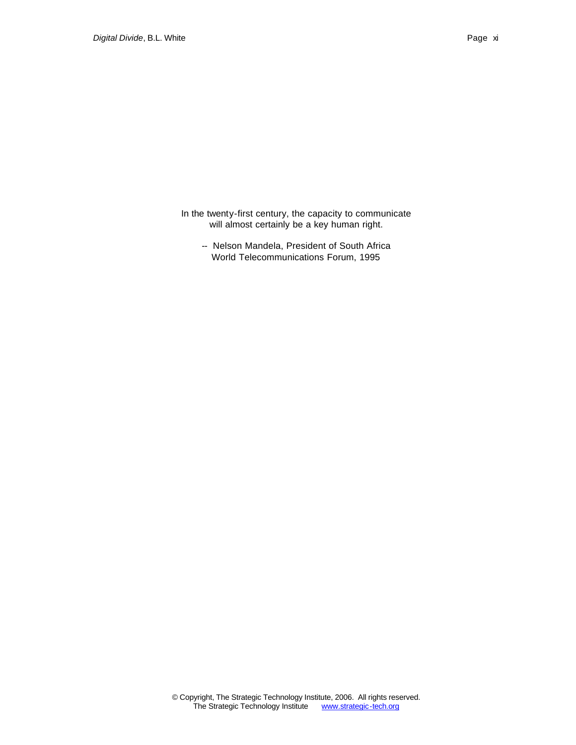In the twenty-first century, the capacity to communicate will almost certainly be a key human right.

-- Nelson Mandela, President of South Africa World Telecommunications Forum, 1995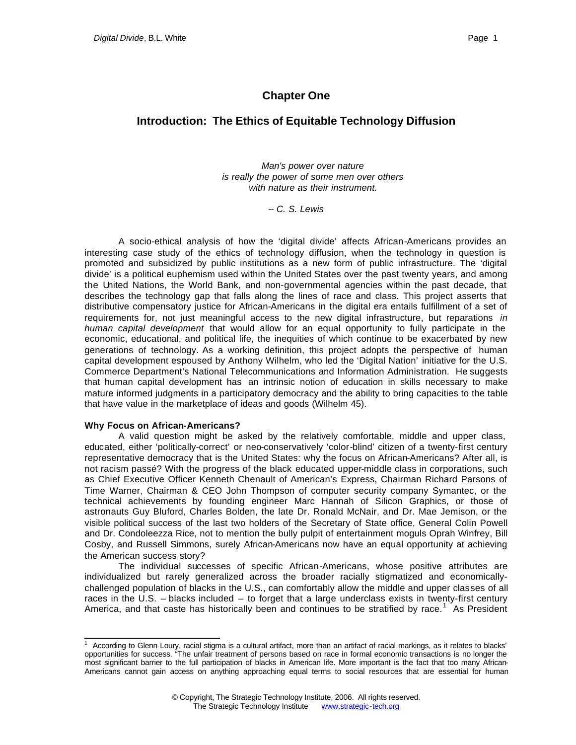## **Chapter One**

## **Introduction: The Ethics of Equitable Technology Diffusion**

*Man's power over nature is really the power of some men over others with nature as their instrument.*

*-- C. S. Lewis*

A socio-ethical analysis of how the 'digital divide' affects African-Americans provides an interesting case study of the ethics of technology diffusion, when the technology in question is promoted and subsidized by public institutions as a new form of public infrastructure. The 'digital divide' is a political euphemism used within the United States over the past twenty years, and among the United Nations, the World Bank, and non-governmental agencies within the past decade, that describes the technology gap that falls along the lines of race and class. This project asserts that distributive compensatory justice for African-Americans in the digital era entails fulfillment of a set of requirements for, not just meaningful access to the new digital infrastructure, but reparations *in human capital development* that would allow for an equal opportunity to fully participate in the economic, educational, and political life, the inequities of which continue to be exacerbated by new generations of technology. As a working definition, this project adopts the perspective of human capital development espoused by Anthony Wilhelm, who led the 'Digital Nation' initiative for the U.S. Commerce Department's National Telecommunications and Information Administration. He suggests that human capital development has an intrinsic notion of education in skills necessary to make mature informed judgments in a participatory democracy and the ability to bring capacities to the table that have value in the marketplace of ideas and goods (Wilhelm 45).

#### **Why Focus on African-Americans?**

A valid question might be asked by the relatively comfortable, middle and upper class, educated, either 'politically-correct' or neo-conservatively 'color-blind' citizen of a twenty-first century representative democracy that is the United States: why the focus on African-Americans? After all, is not racism passé? With the progress of the black educated upper-middle class in corporations, such as Chief Executive Officer Kenneth Chenault of American's Express, Chairman Richard Parsons of Time Warner, Chairman & CEO John Thompson of computer security company Symantec, or the technical achievements by founding engineer Marc Hannah of Silicon Graphics, or those of astronauts Guy Bluford, Charles Bolden, the late Dr. Ronald McNair, and Dr. Mae Jemison, or the visible political success of the last two holders of the Secretary of State office, General Colin Powell and Dr. Condoleezza Rice, not to mention the bully pulpit of entertainment moguls Oprah Winfrey, Bill Cosby, and Russell Simmons, surely African-Americans now have an equal opportunity at achieving the American success story?

The individual successes of specific African-Americans, whose positive attributes are individualized but rarely generalized across the broader racially stigmatized and economicallychallenged population of blacks in the U.S., can comfortably allow the middle and upper classes of all races in the U.S. – blacks included – to forget that a large underclass exists in twenty-first century America, and that caste has historically been and continues to be stratified by race.<sup>1</sup> As President

 1 According to Glenn Loury, racial stigma is a cultural artifact, more than an artifact of racial markings, as it relates to blacks' opportunities for success. "The unfair treatment of persons based on race in formal economic transactions is no longer the most significant barrier to the full participation of blacks in American life. More important is the fact that too many African-Americans cannot gain access on anything approaching equal terms to social resources that are essential for human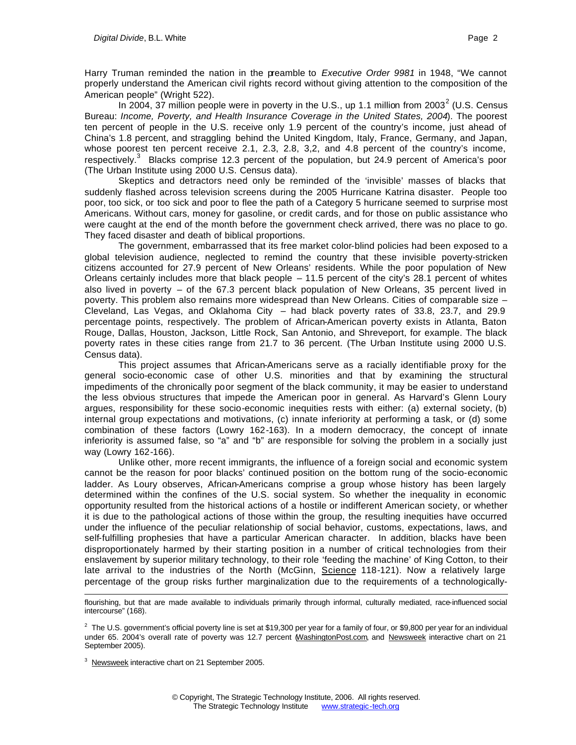Harry Truman reminded the nation in the preamble to *Executive Order 9981* in 1948, "We cannot properly understand the American civil rights record without giving attention to the composition of the American people" (Wright 522).

In 2004, 37 million people were in poverty in the U.S., up 1.1 million from 2003<sup>2</sup> (U.S. Census Bureau: *Income, Poverty, and Health Insurance Coverage in the United States, 2004*). The poorest ten percent of people in the U.S. receive only 1.9 percent of the country's income, just ahead of China's 1.8 percent, and straggling behind the United Kingdom, Italy, France, Germany, and Japan, whose poorest ten percent receive 2.1, 2.3, 2.8, 3,2, and 4.8 percent of the country's income, respectively.<sup>3</sup> Blacks comprise 12.3 percent of the population, but 24.9 percent of America's poor (The Urban Institute using 2000 U.S. Census data).

Skeptics and detractors need only be reminded of the 'invisible' masses of blacks that suddenly flashed across television screens during the 2005 Hurricane Katrina disaster. People too poor, too sick, or too sick and poor to flee the path of a Category 5 hurricane seemed to surprise most Americans. Without cars, money for gasoline, or credit cards, and for those on public assistance who were caught at the end of the month before the government check arrived, there was no place to go. They faced disaster and death of biblical proportions.

The government, embarrassed that its free market color-blind policies had been exposed to a global television audience, neglected to remind the country that these invisible poverty-stricken citizens accounted for 27.9 percent of New Orleans' residents. While the poor population of New Orleans certainly includes more that black people – 11.5 percent of the city's 28.1 percent of whites also lived in poverty – of the 67.3 percent black population of New Orleans, 35 percent lived in poverty. This problem also remains more widespread than New Orleans. Cities of comparable size – Cleveland, Las Vegas, and Oklahoma City – had black poverty rates of 33.8, 23.7, and 29.9 percentage points, respectively. The problem of African-American poverty exists in Atlanta, Baton Rouge, Dallas, Houston, Jackson, Little Rock, San Antonio, and Shreveport, for example. The black poverty rates in these cities range from 21.7 to 36 percent. (The Urban Institute using 2000 U.S. Census data).

This project assumes that African-Americans serve as a racially identifiable proxy for the general socio-economic case of other U.S. minorities and that by examining the structural impediments of the chronically poor segment of the black community, it may be easier to understand the less obvious structures that impede the American poor in general. As Harvard's Glenn Loury argues, responsibility for these socio-economic inequities rests with either: (a) external society, (b) internal group expectations and motivations, (c) innate inferiority at performing a task, or (d) some combination of these factors (Lowry 162-163). In a modern democracy, the concept of innate inferiority is assumed false, so "a" and "b" are responsible for solving the problem in a socially just way (Lowry 162-166).

Unlike other, more recent immigrants, the influence of a foreign social and economic system cannot be the reason for poor blacks' continued position on the bottom rung of the socio-economic ladder. As Loury observes, African-Americans comprise a group whose history has been largely determined within the confines of the U.S. social system. So whether the inequality in economic opportunity resulted from the historical actions of a hostile or indifferent American society, or whether it is due to the pathological actions of those within the group, the resulting inequities have occurred under the influence of the peculiar relationship of social behavior, customs, expectations, laws, and self-fulfilling prophesies that have a particular American character. In addition, blacks have been disproportionately harmed by their starting position in a number of critical technologies from their enslavement by superior military technology, to their role 'feeding the machine' of King Cotton, to their late arrival to the industries of the North (McGinn, Science 118-121). Now a relatively large percentage of the group risks further marginalization due to the requirements of a technologically-

l flourishing, but that are made available to individuals primarily through informal, culturally mediated, race-influenced social intercourse" (168).

 $^2$  The U.S. government's official poverty line is set at \$19,300 per year for a family of four, or \$9,800 per year for an individual under 65. 2004's overall rate of poverty was 12.7 percent WashingtonPost.com, and Newsweek interactive chart on 21 September 2005).

<sup>&</sup>lt;sup>3</sup> Newsweek interactive chart on 21 September 2005.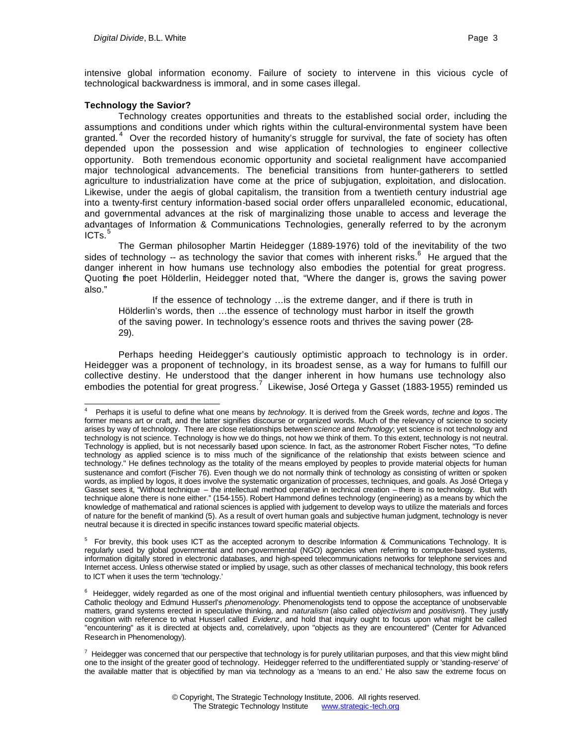intensive global information economy. Failure of society to intervene in this vicious cycle of technological backwardness is immoral, and in some cases illegal.

#### **Technology the Savior?**

l

Technology creates opportunities and threats to the established social order, including the assumptions and conditions under which rights within the cultural-environmental system have been granted.<sup>4</sup> Over the recorded history of humanity's struggle for survival, the fate of society has often depended upon the possession and wise application of technologies to engineer collective opportunity. Both tremendous economic opportunity and societal realignment have accompanied major technological advancements. The beneficial transitions from hunter-gatherers to settled agriculture to industrialization have come at the price of subjugation, exploitation, and dislocation. Likewise, under the aegis of global capitalism, the transition from a twentieth century industrial age into a twenty-first century information-based social order offers unparalleled economic, educational, and governmental advances at the risk of marginalizing those unable to access and leverage the advantages of Information & Communications Technologies, generally referred to by the acronym  $ICTs.<sup>5</sup>$ 

The German philosopher Martin Heidegger (1889-1976) told of the inevitability of the two sides of technology -- as technology the savior that comes with inherent risks.<sup>6</sup> He argued that the danger inherent in how humans use technology also embodies the potential for great progress. Quoting the poet Hölderlin, Heidegger noted that, "Where the danger is, grows the saving power also."

If the essence of technology …is the extreme danger, and if there is truth in Hölderlin's words, then …the essence of technology must harbor in itself the growth of the saving power. In technology's essence roots and thrives the saving power (28- 29).

Perhaps heeding Heidegger's cautiously optimistic approach to technology is in order. Heidegger was a proponent of technology, in its broadest sense, as a way for humans to fulfill our collective destiny. He understood that the danger inherent in how humans use technology also embodies the potential for great progress.<sup>7</sup> Likewise, José Ortega y Gasset (1883-1955) reminded us

<sup>4</sup> Perhaps it is useful to define what one means by *technology*. It is derived from the Greek words, *techne* and *logos* . The former means art or craft, and the latter signifies discourse or organized words. Much of the relevancy of science to society arises by way of technology. There are close relationships between *science* and *technology*; yet science is not technology and technology is not science. Technology is how we do things, not how we think of them. To this extent, technology is not neutral. Technology is applied, but is not necessarily based upon science. In fact, as the astronomer Robert Fischer notes, "To define technology as applied science is to miss much of the significance of the relationship that exists between science and technology." He defines technology as the totality of the means employed by peoples to provide material objects for human sustenance and comfort (Fischer 76). Even though we do not normally think of technology as consisting of written or spoken words, as implied by logos, it does involve the systematic organization of processes, techniques, and goals. As José Ortega y Gasset sees it, "Without technique – the intellectual method operative in technical creation – there is no technology. But with technique alone there is none either." (154-155). Robert Hammond defines technology (engineering) as a means by which the knowledge of mathematical and rational sciences is applied with judgement to develop ways to utilize the materials and forces of nature for the benefit of mankind (5). As a result of overt human goals and subjective human judgment, technology is never neutral because it is directed in specific instances toward specific material objects.

<sup>&</sup>lt;sup>5</sup> For brevity, this book uses ICT as the accepted acronym to describe Information & Communications Technology. It is regularly used by global governmental and non-governmental (NGO) agencies when referring to computer-based systems, information digitally stored in electronic databases, and high-speed telecommunications networks for telephone services and Internet access. Unless otherwise stated or implied by usage, such as other classes of mechanical technology, this book refers to ICT when it uses the term 'technology.'

 $6$  Heidegger, widely regarded as one of the most original and influential twentieth century philosophers, was influenced by Catholic theology and Edmund Husserl's *phenomenology*. Phenomenologists tend to oppose the acceptance of unobservable matters, grand systems erected in speculative thinking, and *naturalism* (also called *objectivism* and *positivism*). They justify cognition with reference to what Husserl called *Evidenz*, and hold that inquiry ought to focus upon what might be called "encountering" as it is directed at objects and, correlatively, upon "objects as they are encountered" (Center for Advanced Research in Phenomenology).

 $^7$  Heidegger was concerned that our perspective that technology is for purely utilitarian purposes, and that this view might blind one to the insight of the greater good of technology. Heidegger referred to the undifferentiated supply or 'standing-reserve' of the available matter that is objectified by man via technology as a 'means to an end.' He also saw the extreme focus on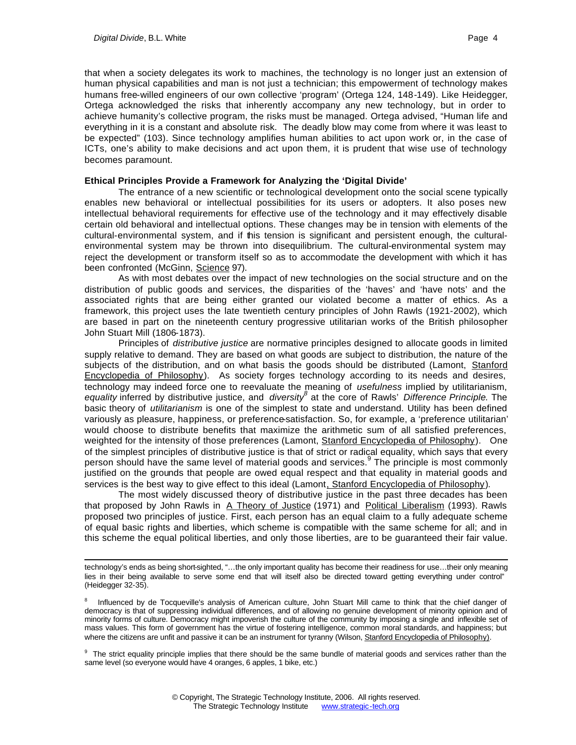l

that when a society delegates its work to machines, the technology is no longer just an extension of human physical capabilities and man is not just a technician; this empowerment of technology makes humans free-willed engineers of our own collective 'program' (Ortega 124, 148-149). Like Heidegger, Ortega acknowledged the risks that inherently accompany any new technology, but in order to achieve humanity's collective program, the risks must be managed. Ortega advised, "Human life and everything in it is a constant and absolute risk. The deadly blow may come from where it was least to be expected" (103). Since technology amplifies human abilities to act upon work or, in the case of ICTs, one's ability to make decisions and act upon them, it is prudent that wise use of technology becomes paramount.

#### **Ethical Principles Provide a Framework for Analyzing the 'Digital Divide'**

The entrance of a new scientific or technological development onto the social scene typically enables new behavioral or intellectual possibilities for its users or adopters. It also poses new intellectual behavioral requirements for effective use of the technology and it may effectively disable certain old behavioral and intellectual options. These changes may be in tension with elements of the cultural-environmental system, and if this tension is significant and persistent enough, the culturalenvironmental system may be thrown into disequilibrium. The cultural-environmental system may reject the development or transform itself so as to accommodate the development with which it has been confronted (McGinn, Science 97).

As with most debates over the impact of new technologies on the social structure and on the distribution of public goods and services, the disparities of the 'haves' and 'have nots' and the associated rights that are being either granted our violated become a matter of ethics. As a framework, this project uses the late twentieth century principles of John Rawls (1921-2002), which are based in part on the nineteenth century progressive utilitarian works of the British philosopher John Stuart Mill (1806-1873).

Principles of *distributive justice* are normative principles designed to allocate goods in limited supply relative to demand. They are based on what goods are subject to distribution, the nature of the subjects of the distribution, and on what basis the goods should be distributed (Lamont, Stanford Encyclopedia of Philosophy). As society forges technology according to its needs and desires, technology may indeed force one to reevaluate the meaning of *usefulness* implied by utilitarianism, *equality* inferred by distributive justice, and *diversity<sup>8</sup>* at the core of Rawls' *Difference Principle*. The basic theory of *utilitarianism* is one of the simplest to state and understand. Utility has been defined variously as pleasure, happiness, or preference-satisfaction. So, for example, a 'preference utilitarian' would choose to distribute benefits that maximize the arithmetic sum of all satisfied preferences, weighted for the intensity of those preferences (Lamont, Stanford Encyclopedia of Philosophy). One of the simplest principles of distributive justice is that of strict or radical equality, which says that every person should have the same level of material goods and services.<sup>9</sup> The principle is most commonly justified on the grounds that people are owed equal respect and that equality in material goods and services is the best way to give effect to this ideal (Lamont, Stanford Encyclopedia of Philosophy).

The most widely discussed theory of distributive justice in the past three decades has been that proposed by John Rawls in A Theory of Justice (1971) and Political Liberalism (1993). Rawls proposed two principles of justice. First, each person has an equal claim to a fully adequate scheme of equal basic rights and liberties, which scheme is compatible with the same scheme for all; and in this scheme the equal political liberties, and only those liberties, are to be guaranteed their fair value.

<sup>9</sup> The strict equality principle implies that there should be the same bundle of material goods and services rather than the same level (so everyone would have 4 oranges, 6 apples, 1 bike, etc.)

technology's ends as being short-sighted, "…the only important quality has become their readiness for use…their only meaning lies in their being available to serve some end that will itself also be directed toward getting everything under control" (Heidegger 32-35).

<sup>8</sup> Influenced by de Tocqueville's analysis of American culture, John Stuart Mill came to think that the chief danger of democracy is that of suppressing individual differences, and of allowing no genuine development of minority opinion and of minority forms of culture. Democracy might impoverish the culture of the community by imposing a single and inflexible set of mass values. This form of government has the virtue of fostering intelligence, common moral standards, and happiness; but where the citizens are unfit and passive it can be an instrument for tyranny (Wilson, Stanford Encyclopedia of Philosophy).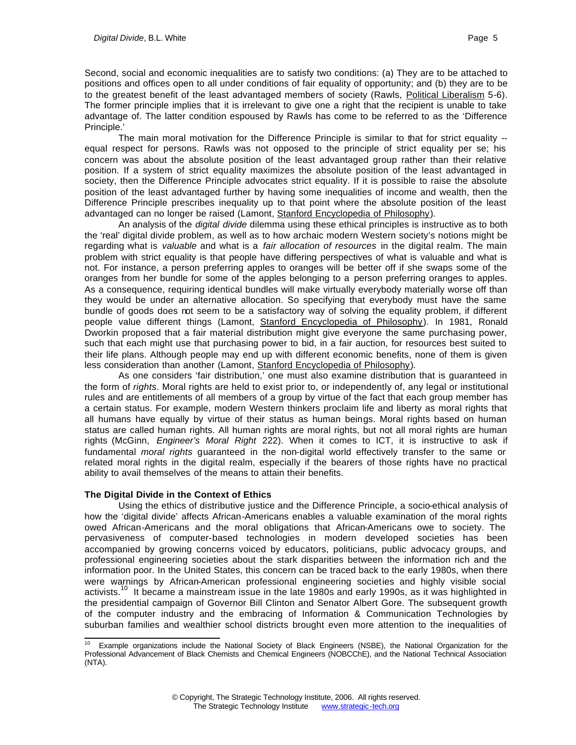Second, social and economic inequalities are to satisfy two conditions: (a) They are to be attached to positions and offices open to all under conditions of fair equality of opportunity; and (b) they are to be to the greatest benefit of the least advantaged members of society (Rawls, Political Liberalism 5-6). The former principle implies that it is irrelevant to give one a right that the recipient is unable to take advantage of. The latter condition espoused by Rawls has come to be referred to as the 'Difference Principle.'

The main moral motivation for the Difference Principle is similar to that for strict equality -equal respect for persons. Rawls was not opposed to the principle of strict equality per se; his concern was about the absolute position of the least advantaged group rather than their relative position. If a system of strict equality maximizes the absolute position of the least advantaged in society, then the Difference Principle advocates strict equality. If it is possible to raise the absolute position of the least advantaged further by having some inequalities of income and wealth, then the Difference Principle prescribes inequality up to that point where the absolute position of the least advantaged can no longer be raised (Lamont, Stanford Encyclopedia of Philosophy).

An analysis of the *digital divide* dilemma using these ethical principles is instructive as to both the 'real' digital divide problem, as well as to how archaic modern Western society's notions might be regarding what is *valuable* and what is a *fair allocation of resources* in the digital realm. The main problem with strict equality is that people have differing perspectives of what is valuable and what is not. For instance, a person preferring apples to oranges will be better off if she swaps some of the oranges from her bundle for some of the apples belonging to a person preferring oranges to apples. As a consequence, requiring identical bundles will make virtually everybody materially worse off than they would be under an alternative allocation. So specifying that everybody must have the same bundle of goods does not seem to be a satisfactory way of solving the equality problem, if different people value different things (Lamont, Stanford Encyclopedia of Philosophy). In 1981, Ronald Dworkin proposed that a fair material distribution might give everyone the same purchasing power, such that each might use that purchasing power to bid, in a fair auction, for resources best suited to their life plans. Although people may end up with different economic benefits, none of them is given less consideration than another (Lamont, Stanford Encyclopedia of Philosophy).

As one considers 'fair distribution,' one must also examine distribution that is guaranteed in the form of *rights*. Moral rights are held to exist prior to, or independently of, any legal or institutional rules and are entitlements of all members of a group by virtue of the fact that each group member has a certain status. For example, modern Western thinkers proclaim life and liberty as moral rights that all humans have equally by virtue of their status as human beings. Moral rights based on human status are called human rights. All human rights are moral rights, but not all moral rights are human rights (McGinn, *Engineer's Moral Right* 222). When it comes to ICT, it is instructive to ask if fundamental *moral rights* guaranteed in the non-digital world effectively transfer to the same or related moral rights in the digital realm, especially if the bearers of those rights have no practical ability to avail themselves of the means to attain their benefits.

#### **The Digital Divide in the Context of Ethics**

Using the ethics of distributive justice and the Difference Principle, a socio-ethical analysis of how the 'digital divide' affects African-Americans enables a valuable examination of the moral rights owed African-Americans and the moral obligations that African-Americans owe to society. The pervasiveness of computer-based technologies in modern developed societies has been accompanied by growing concerns voiced by educators, politicians, public advocacy groups, and professional engineering societies about the stark disparities between the information rich and the information poor. In the United States, this concern can be traced back to the early 1980s, when there were warnings by African-American professional engineering societies and highly visible social activists.<sup>10</sup> It became a mainstream issue in the late 1980s and early 1990s, as it was highlighted in the presidential campaign of Governor Bill Clinton and Senator Albert Gore. The subsequent growth of the computer industry and the embracing of Information & Communication Technologies by suburban families and wealthier school districts brought even more attention to the inequalities of

l <sup>10</sup> Example organizations include the National Society of Black Engineers (NSBE), the National Organization for the Professional Advancement of Black Chemists and Chemical Engineers (NOBCChE), and the National Technical Association (NTA).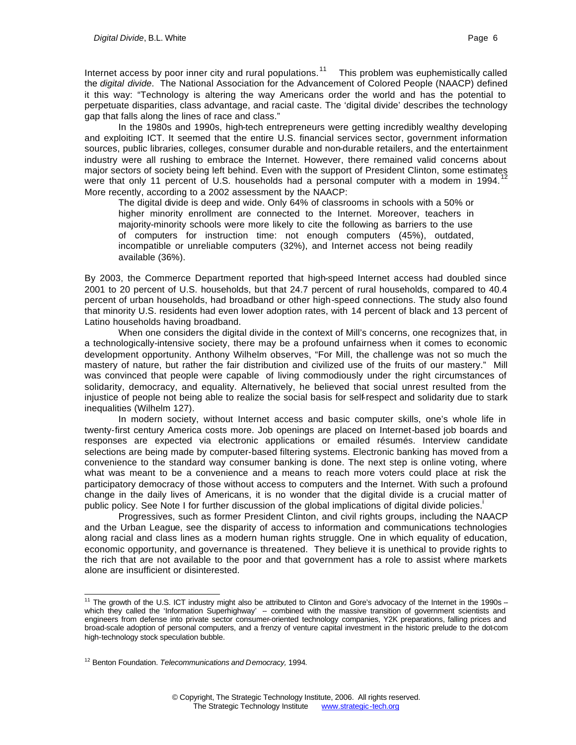the *digital divide*. The National Association for the Advancement of Colored People (NAACP) defined it this way: "Technology is altering the way Americans order the world and has the potential to perpetuate disparities, class advantage, and racial caste. The 'digital divide' describes the technology gap that falls along the lines of race and class."

In the 1980s and 1990s, high-tech entrepreneurs were getting incredibly wealthy developing and exploiting ICT. It seemed that the entire U.S. financial services sector, government information sources, public libraries, colleges, consumer durable and non-durable retailers, and the entertainment industry were all rushing to embrace the Internet. However, there remained valid concerns about major sectors of society being left behind. Even with the support of President Clinton, some estimates were that only 11 percent of U.S. households had a personal computer with a modem in 1994. More recently, according to a 2002 assessment by the NAACP:

The digital divide is deep and wide. Only 64% of classrooms in schools with a 50% or higher minority enrollment are connected to the Internet. Moreover, teachers in majority-minority schools were more likely to cite the following as barriers to the use of computers for instruction time: not enough computers (45%), outdated, incompatible or unreliable computers (32%), and Internet access not being readily available (36%).

By 2003, the Commerce Department reported that high-speed Internet access had doubled since 2001 to 20 percent of U.S. households, but that 24.7 percent of rural households, compared to 40.4 percent of urban households, had broadband or other high-speed connections. The study also found that minority U.S. residents had even lower adoption rates, with 14 percent of black and 13 percent of Latino households having broadband.

When one considers the digital divide in the context of Mill's concerns, one recognizes that, in a technologically-intensive society, there may be a profound unfairness when it comes to economic development opportunity. Anthony Wilhelm observes, "For Mill, the challenge was not so much the mastery of nature, but rather the fair distribution and civilized use of the fruits of our mastery." Mill was convinced that people were capable of living commodiously under the right circumstances of solidarity, democracy, and equality. Alternatively, he believed that social unrest resulted from the injustice of people not being able to realize the social basis for self-respect and solidarity due to stark inequalities (Wilhelm 127).

In modern society, without Internet access and basic computer skills, one's whole life in twenty-first century America costs more. Job openings are placed on Internet-based job boards and responses are expected via electronic applications or emailed résumés. Interview candidate selections are being made by computer-based filtering systems. Electronic banking has moved from a convenience to the standard way consumer banking is done. The next step is online voting, where what was meant to be a convenience and a means to reach more voters could place at risk the participatory democracy of those without access to computers and the Internet. With such a profound change in the daily lives of Americans, it is no wonder that the digital divide is a crucial matter of public policy. See Note I for further discussion of the global implications of digital divide policies.

Progressives, such as former President Clinton, and civil rights groups, including the NAACP and the Urban League, see the disparity of access to information and communications technologies along racial and class lines as a modern human rights struggle. One in which equality of education, economic opportunity, and governance is threatened. They believe it is unethical to provide rights to the rich that are not available to the poor and that government has a role to assist where markets alone are insufficient or disinterested.

l

<sup>&</sup>lt;sup>11</sup> The growth of the U.S. ICT industry might also be attributed to Clinton and Gore's advocacy of the Internet in the 1990s -which they called the 'Information Superhighway' - combined with the massive transition of government scientists and engineers from defense into private sector consumer-oriented technology companies, Y2K preparations, falling prices and broad-scale adoption of personal computers, and a frenzy of venture capital investment in the historic prelude to the dot-com high-technology stock speculation bubble.

<sup>12</sup> Benton Foundation. *Telecommunications and Democracy,* 1994*.*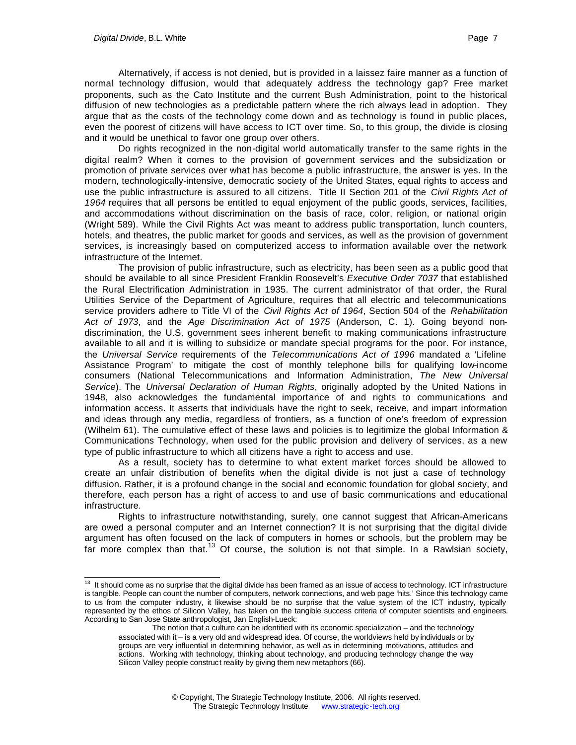Alternatively, if access is not denied, but is provided in a laissez faire manner as a function of normal technology diffusion, would that adequately address the technology gap? Free market proponents, such as the Cato Institute and the current Bush Administration, point to the historical diffusion of new technologies as a predictable pattern where the rich always lead in adoption. They argue that as the costs of the technology come down and as technology is found in public places, even the poorest of citizens will have access to ICT over time. So, to this group, the divide is closing and it would be unethical to favor one group over others.

Do rights recognized in the non-digital world automatically transfer to the same rights in the digital realm? When it comes to the provision of government services and the subsidization or promotion of private services over what has become a public infrastructure, the answer is yes. In the modern, technologically-intensive, democratic society of the United States, equal rights to access and use the public infrastructure is assured to all citizens. Title II Section 201 of the *Civil Rights Act of 1964* requires that all persons be entitled to equal enjoyment of the public goods, services, facilities, and accommodations without discrimination on the basis of race, color, religion, or national origin (Wright 589). While the Civil Rights Act was meant to address public transportation, lunch counters, hotels, and theatres, the public market for goods and services, as well as the provision of government services, is increasingly based on computerized access to information available over the network infrastructure of the Internet.

The provision of public infrastructure, such as electricity, has been seen as a public good that should be available to all since President Franklin Roosevelt's *Executive Order 7037* that established the Rural Electrification Administration in 1935. The current administrator of that order, the Rural Utilities Service of the Department of Agriculture, requires that all electric and telecommunications service providers adhere to Title VI of the *Civil Rights Act of 1964*, Section 504 of the *Rehabilitation Act of 1973*, and the *Age Discrimination Act of 1975* (Anderson, C. 1). Going beyond nondiscrimination, the U.S. government sees inherent benefit to making communications infrastructure available to all and it is willing to subsidize or mandate special programs for the poor. For instance, the *Universal Service* requirements of the *Telecommunications Act of 1996* mandated a 'Lifeline Assistance Program' to mitigate the cost of monthly telephone bills for qualifying low-income consumers (National Telecommunications and Information Administration, *The New Universal Service*). The *Universal Declaration of Human Rights*, originally adopted by the United Nations in 1948, also acknowledges the fundamental importance of and rights to communications and information access. It asserts that individuals have the right to seek, receive, and impart information and ideas through any media, regardless of frontiers, as a function of one's freedom of expression (Wilhelm 61). The cumulative effect of these laws and policies is to legitimize the global Information & Communications Technology, when used for the public provision and delivery of services, as a new type of public infrastructure to which all citizens have a right to access and use.

As a result, society has to determine to what extent market forces should be allowed to create an unfair distribution of benefits when the digital divide is not just a case of technology diffusion. Rather, it is a profound change in the social and economic foundation for global society, and therefore, each person has a right of access to and use of basic communications and educational infrastructure.

Rights to infrastructure notwithstanding, surely, one cannot suggest that African-Americans are owed a personal computer and an Internet connection? It is not surprising that the digital divide argument has often focused on the lack of computers in homes or schools, but the problem may be far more complex than that.<sup>13</sup> Of course, the solution is not that simple. In a Rawlsian society,

l  $13$  It should come as no surprise that the digital divide has been framed as an issue of access to technology. ICT infrastructure is tangible. People can count the number of computers, network connections, and web page 'hits.' Since this technology came to us from the computer industry, it likewise should be no surprise that the value system of the ICT industry, typically represented by the ethos of Silicon Valley, has taken on the tangible success criteria of computer scientists and engineers. According to San Jose State anthropologist, Jan English-Lueck:

The notion that a culture can be identified with its economic specialization – and the technology associated with it – is a very old and widespread idea. Of course, the worldviews held by individuals or by groups are very influential in determining behavior, as well as in determining motivations, attitudes and actions. Working with technology, thinking about technology, and producing technology change the way Silicon Valley people construct reality by giving them new metaphors (66).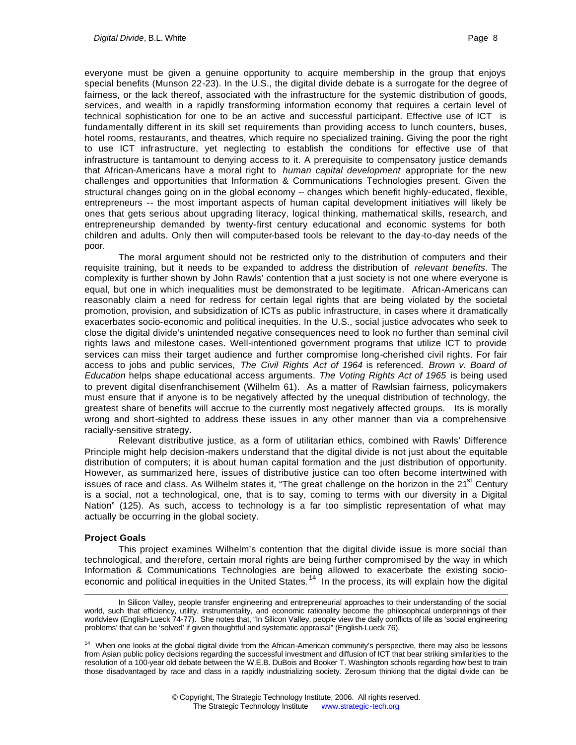everyone must be given a genuine opportunity to acquire membership in the group that enjoys special benefits (Munson 22-23). In the U.S., the digital divide debate is a surrogate for the degree of fairness, or the lack thereof, associated with the infrastructure for the systemic distribution of goods, services, and wealth in a rapidly transforming information economy that requires a certain level of technical sophistication for one to be an active and successful participant. Effective use of ICT is fundamentally different in its skill set requirements than providing access to lunch counters, buses, hotel rooms, restaurants, and theatres, which require no specialized training. Giving the poor the right to use ICT infrastructure, yet neglecting to establish the conditions for effective use of that infrastructure is tantamount to denying access to it. A prerequisite to compensatory justice demands that African-Americans have a moral right to *human capital development* appropriate for the new challenges and opportunities that Information & Communications Technologies present. Given the structural changes going on in the global economy -- changes which benefit highly-educated, flexible, entrepreneurs -- the most important aspects of human capital development initiatives will likely be ones that gets serious about upgrading literacy, logical thinking, mathematical skills, research, and entrepreneurship demanded by twenty-first century educational and economic systems for both children and adults. Only then will computer-based tools be relevant to the day-to-day needs of the poor.

The moral argument should not be restricted only to the distribution of computers and their requisite training, but it needs to be expanded to address the distribution of *relevant benefits*. The complexity is further shown by John Rawls' contention that a just society is not one where everyone is equal, but one in which inequalities must be demonstrated to be legitimate. African-Americans can reasonably claim a need for redress for certain legal rights that are being violated by the societal promotion, provision, and subsidization of ICTs as public infrastructure, in cases where it dramatically exacerbates socio-economic and political inequities. In the U.S., social justice advocates who seek to close the digital divide's unintended negative consequences need to look no further than seminal civil rights laws and milestone cases. Well-intentioned government programs that utilize ICT to provide services can miss their target audience and further compromise long-cherished civil rights. For fair access to jobs and public services, *The Civil Rights Act of 1964* is referenced. *Brown v. Board of Education* helps shape educational access arguments. *The Voting Rights Act of 1965* is being used to prevent digital disenfranchisement (Wilhelm 61). As a matter of Rawlsian fairness, policymakers must ensure that if anyone is to be negatively affected by the unequal distribution of technology, the greatest share of benefits will accrue to the currently most negatively affected groups. Its is morally wrong and short-sighted to address these issues in any other manner than via a comprehensive racially-sensitive strategy.

Relevant distributive justice, as a form of utilitarian ethics, combined with Rawls' Difference Principle might help decision-makers understand that the digital divide is not just about the equitable distribution of computers; it is about human capital formation and the just distribution of opportunity. However, as summarized here, issues of distributive justice can too often become intertwined with issues of race and class. As Wilhelm states it, "The great challenge on the horizon in the 21<sup>st</sup> Century is a social, not a technological, one, that is to say, coming to terms with our diversity in a Digital Nation" (125). As such, access to technology is a far too simplistic representation of what may actually be occurring in the global society.

#### **Project Goals**

l

This project examines Wilhelm's contention that the digital divide issue is more social than technological, and therefore, certain moral rights are being further compromised by the way in which Information & Communications Technologies are being allowed to exacerbate the existing socioeconomic and political inequities in the United States.<sup>14</sup> In the process, its will explain how the digital

In Silicon Valley, people transfer engineering and entrepreneurial approaches to their understanding of the social world, such that efficiency, utility, instrumentality, and economic rationality become the philosophical underpinnings of their worldview (English-Lueck 74-77). She notes that, "In Silicon Valley, people view the daily conflicts of life as 'social engineering problems' that can be 'solved' if given thoughtful and systematic appraisal" (English-Lueck 76).

<sup>&</sup>lt;sup>14</sup> When one looks at the global digital divide from the African-American community's perspective, there may also be lessons from Asian public policy decisions regarding the successful investment and diffusion of ICT that bear striking similarities to the resolution of a 100-year old debate between the W.E.B. DuBois and Booker T. Washington schools regarding how best to train those disadvantaged by race and class in a rapidly industrializing society. Zero-sum thinking that the digital divide can be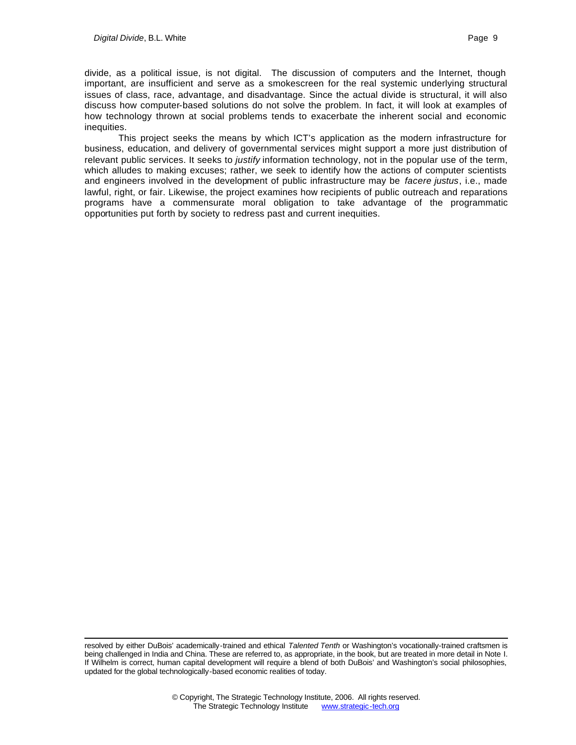l

divide, as a political issue, is not digital. The discussion of computers and the Internet, though important, are insufficient and serve as a smokescreen for the real systemic underlying structural issues of class, race, advantage, and disadvantage. Since the actual divide is structural, it will also discuss how computer-based solutions do not solve the problem. In fact, it will look at examples of how technology thrown at social problems tends to exacerbate the inherent social and economic inequities.

This project seeks the means by which ICT's application as the modern infrastructure for business, education, and delivery of governmental services might support a more just distribution of relevant public services. It seeks to *justify* information technology, not in the popular use of the term, which alludes to making excuses; rather, we seek to identify how the actions of computer scientists and engineers involved in the development of public infrastructure may be *facere justus*, i.e., made lawful, right, or fair. Likewise, the project examines how recipients of public outreach and reparations programs have a commensurate moral obligation to take advantage of the programmatic opportunities put forth by society to redress past and current inequities.

resolved by either DuBois' academically-trained and ethical *Talented Tenth* or Washington's vocationally-trained craftsmen is being challenged in India and China. These are referred to, as appropriate, in the book, but are treated in more detail in Note I. If Wilhelm is correct, human capital development will require a blend of both DuBois' and Washington's social philosophies, updated for the global technologically-based economic realities of today.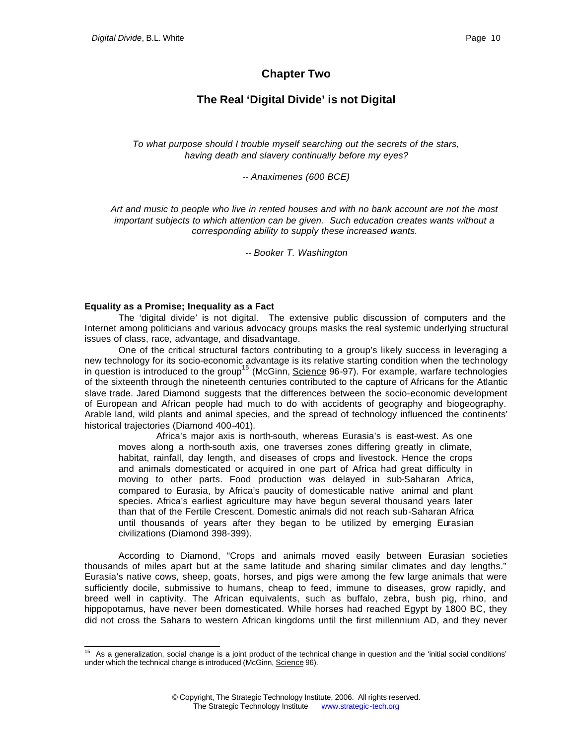## **Chapter Two**

## **The Real 'Digital Divide' is not Digital**

*To what purpose should I trouble myself searching out the secrets of the stars, having death and slavery continually before my eyes?*

*-- Anaximenes (600 BCE)*

*Art and music to people who live in rented houses and with no bank account are not the most important subjects to which attention can be given. Such education creates wants without a corresponding ability to supply these increased wants.*

*-- Booker T. Washington*

#### **Equality as a Promise; Inequality as a Fact**

The 'digital divide' is not digital. The extensive public discussion of computers and the Internet among politicians and various advocacy groups masks the real systemic underlying structural issues of class, race, advantage, and disadvantage.

One of the critical structural factors contributing to a group's likely success in leveraging a new technology for its socio-economic advantage is its relative starting condition when the technology in question is introduced to the group<sup>15</sup> (McGinn, Science 96-97). For example, warfare technologies of the sixteenth through the nineteenth centuries contributed to the capture of Africans for the Atlantic slave trade. Jared Diamond suggests that the differences between the socio-economic development of European and African people had much to do with accidents of geography and biogeography. Arable land, wild plants and animal species, and the spread of technology influenced the continents' historical trajectories (Diamond 400-401).

 Africa's major axis is north-south, whereas Eurasia's is east-west. As one moves along a north-south axis, one traverses zones differing greatly in climate, habitat, rainfall, day length, and diseases of crops and livestock. Hence the crops and animals domesticated or acquired in one part of Africa had great difficulty in moving to other parts. Food production was delayed in sub-Saharan Africa, compared to Eurasia, by Africa's paucity of domesticable native animal and plant species. Africa's earliest agriculture may have begun several thousand years later than that of the Fertile Crescent. Domestic animals did not reach sub-Saharan Africa until thousands of years after they began to be utilized by emerging Eurasian civilizations (Diamond 398-399).

According to Diamond, "Crops and animals moved easily between Eurasian societies thousands of miles apart but at the same latitude and sharing similar climates and day lengths." Eurasia's native cows, sheep, goats, horses, and pigs were among the few large animals that were sufficiently docile, submissive to humans, cheap to feed, immune to diseases, grow rapidly, and breed well in captivity. The African equivalents, such as buffalo, zebra, bush pig, rhino, and hippopotamus, have never been domesticated. While horses had reached Egypt by 1800 BC, they did not cross the Sahara to western African kingdoms until the first millennium AD, and they never

l <sup>15</sup> As a generalization, social change is a joint product of the technical change in question and the 'initial social conditions' under which the technical change is introduced (McGinn, Science 96).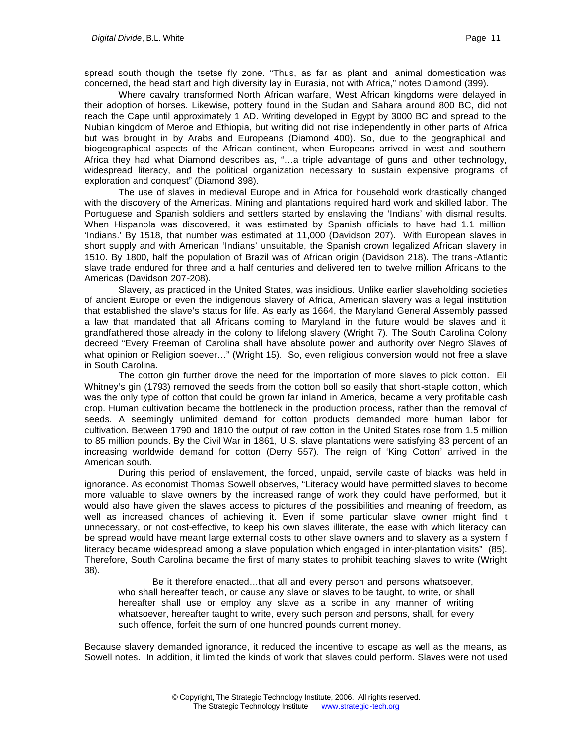spread south though the tsetse fly zone. "Thus, as far as plant and animal domestication was concerned, the head start and high diversity lay in Eurasia, not with Africa," notes Diamond (399).

Where cavalry transformed North African warfare, West African kingdoms were delayed in their adoption of horses. Likewise, pottery found in the Sudan and Sahara around 800 BC, did not reach the Cape until approximately 1 AD. Writing developed in Egypt by 3000 BC and spread to the Nubian kingdom of Meroe and Ethiopia, but writing did not rise independently in other parts of Africa but was brought in by Arabs and Europeans (Diamond 400). So, due to the geographical and biogeographical aspects of the African continent, when Europeans arrived in west and southern Africa they had what Diamond describes as, "…a triple advantage of guns and other technology, widespread literacy, and the political organization necessary to sustain expensive programs of exploration and conquest" (Diamond 398).

The use of slaves in medieval Europe and in Africa for household work drastically changed with the discovery of the Americas. Mining and plantations required hard work and skilled labor. The Portuguese and Spanish soldiers and settlers started by enslaving the 'Indians' with dismal results. When Hispanola was discovered, it was estimated by Spanish officials to have had 1.1 million 'Indians.' By 1518, that number was estimated at 11,000 (Davidson 207). With European slaves in short supply and with American 'Indians' unsuitable, the Spanish crown legalized African slavery in 1510. By 1800, half the population of Brazil was of African origin (Davidson 218). The trans -Atlantic slave trade endured for three and a half centuries and delivered ten to twelve million Africans to the Americas (Davidson 207-208).

Slavery, as practiced in the United States, was insidious. Unlike earlier slaveholding societies of ancient Europe or even the indigenous slavery of Africa, American slavery was a legal institution that established the slave's status for life. As early as 1664, the Maryland General Assembly passed a law that mandated that all Africans coming to Maryland in the future would be slaves and it grandfathered those already in the colony to lifelong slavery (Wright 7). The South Carolina Colony decreed "Every Freeman of Carolina shall have absolute power and authority over Negro Slaves of what opinion or Religion soever…" (Wright 15). So, even religious conversion would not free a slave in South Carolina.

The cotton gin further drove the need for the importation of more slaves to pick cotton. Eli Whitney's gin (1793) removed the seeds from the cotton boll so easily that short-staple cotton, which was the only type of cotton that could be grown far inland in America, became a very profitable cash crop. Human cultivation became the bottleneck in the production process, rather than the removal of seeds. A seemingly unlimited demand for cotton products demanded more human labor for cultivation. Between 1790 and 1810 the output of raw cotton in the United States rose from 1.5 million to 85 million pounds. By the Civil War in 1861, U.S. slave plantations were satisfying 83 percent of an increasing worldwide demand for cotton (Derry 557). The reign of 'King Cotton' arrived in the American south.

During this period of enslavement, the forced, unpaid, servile caste of blacks was held in ignorance. As economist Thomas Sowell observes, "Literacy would have permitted slaves to become more valuable to slave owners by the increased range of work they could have performed, but it would also have given the slaves access to pictures of the possibilities and meaning of freedom, as well as increased chances of achieving it. Even if some particular slave owner might find it unnecessary, or not cost-effective, to keep his own slaves illiterate, the ease with which literacy can be spread would have meant large external costs to other slave owners and to slavery as a system if literacy became widespread among a slave population which engaged in inter-plantation visits" (85). Therefore, South Carolina became the first of many states to prohibit teaching slaves to write (Wright 38).

Be it therefore enacted…that all and every person and persons whatsoever, who shall hereafter teach, or cause any slave or slaves to be taught, to write, or shall hereafter shall use or employ any slave as a scribe in any manner of writing whatsoever, hereafter taught to write, every such person and persons, shall, for every such offence, forfeit the sum of one hundred pounds current money.

Because slavery demanded ignorance, it reduced the incentive to escape as well as the means, as Sowell notes. In addition, it limited the kinds of work that slaves could perform. Slaves were not used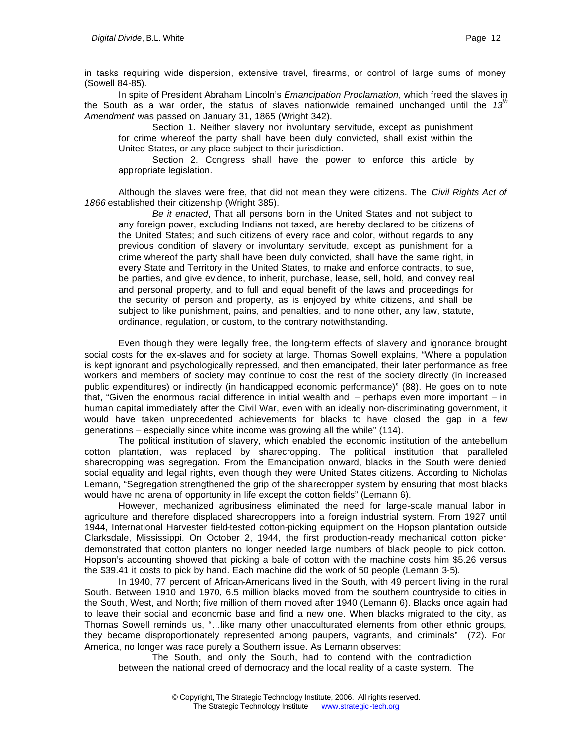in tasks requiring wide dispersion, extensive travel, firearms, or control of large sums of money (Sowell 84-85).

In spite of President Abraham Lincoln's *Emancipation Proclamation*, which freed the slaves in the South as a war order, the status of slaves nationwide remained unchanged until the *13th Amendment* was passed on January 31, 1865 (Wright 342).

Section 1. Neither slavery nor involuntary servitude, except as punishment for crime whereof the party shall have been duly convicted, shall exist within the United States, or any place subject to their jurisdiction.

Section 2. Congress shall have the power to enforce this article by appropriate legislation.

Although the slaves were free, that did not mean they were citizens. The *Civil Rights Act of 1866* established their citizenship (Wright 385).

*Be it enacted*, That all persons born in the United States and not subject to any foreign power, excluding Indians not taxed, are hereby declared to be citizens of the United States; and such citizens of every race and color, without regards to any previous condition of slavery or involuntary servitude, except as punishment for a crime whereof the party shall have been duly convicted, shall have the same right, in every State and Territory in the United States, to make and enforce contracts, to sue, be parties, and give evidence, to inherit, purchase, lease, sell, hold, and convey real and personal property, and to full and equal benefit of the laws and proceedings for the security of person and property, as is enjoyed by white citizens, and shall be subject to like punishment, pains, and penalties, and to none other, any law, statute, ordinance, regulation, or custom, to the contrary notwithstanding.

Even though they were legally free, the long-term effects of slavery and ignorance brought social costs for the ex-slaves and for society at large. Thomas Sowell explains, "Where a population is kept ignorant and psychologically repressed, and then emancipated, their later performance as free workers and members of society may continue to cost the rest of the society directly (in increased public expenditures) or indirectly (in handicapped economic performance)" (88). He goes on to note that, "Given the enormous racial difference in initial wealth and – perhaps even more important – in human capital immediately after the Civil War, even with an ideally non-discriminating government, it would have taken unprecedented achievements for blacks to have closed the gap in a few generations – especially since white income was growing all the while" (114).

The political institution of slavery, which enabled the economic institution of the antebellum cotton plantation, was replaced by sharecropping. The political institution that paralleled sharecropping was segregation. From the Emancipation onward, blacks in the South were denied social equality and legal rights, even though they were United States citizens. According to Nicholas Lemann, "Segregation strengthened the grip of the sharecropper system by ensuring that most blacks would have no arena of opportunity in life except the cotton fields" (Lemann 6).

However, mechanized agribusiness eliminated the need for large-scale manual labor in agriculture and therefore displaced sharecroppers into a foreign industrial system. From 1927 until 1944, International Harvester field-tested cotton-picking equipment on the Hopson plantation outside Clarksdale, Mississippi. On October 2, 1944, the first production-ready mechanical cotton picker demonstrated that cotton planters no longer needed large numbers of black people to pick cotton. Hopson's accounting showed that picking a bale of cotton with the machine costs him \$5.26 versus the \$39.41 it costs to pick by hand. Each machine did the work of 50 people (Lemann 3-5).

In 1940, 77 percent of African-Americans lived in the South, with 49 percent living in the rural South. Between 1910 and 1970, 6.5 million blacks moved from the southern countryside to cities in the South, West, and North; five million of them moved after 1940 (Lemann 6). Blacks once again had to leave their social and economic base and find a new one. When blacks migrated to the city, as Thomas Sowell reminds us, "…like many other unacculturated elements from other ethnic groups, they became disproportionately represented among paupers, vagrants, and criminals" (72). For America, no longer was race purely a Southern issue. As Lemann observes:

The South, and only the South, had to contend with the contradiction between the national creed of democracy and the local reality of a caste system. The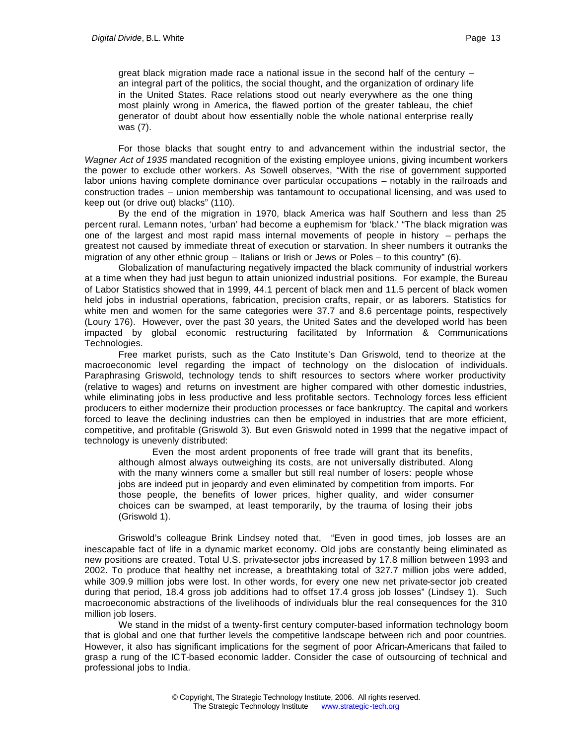great black migration made race a national issue in the second half of the century – an integral part of the politics, the social thought, and the organization of ordinary life in the United States. Race relations stood out nearly everywhere as the one thing most plainly wrong in America, the flawed portion of the greater tableau, the chief generator of doubt about how essentially noble the whole national enterprise really was (7).

For those blacks that sought entry to and advancement within the industrial sector, the *Wagner Act of 1935* mandated recognition of the existing employee unions, giving incumbent workers the power to exclude other workers. As Sowell observes, "With the rise of government supported labor unions having complete dominance over particular occupations – notably in the railroads and construction trades – union membership was tantamount to occupational licensing, and was used to keep out (or drive out) blacks" (110).

By the end of the migration in 1970, black America was half Southern and less than 25 percent rural. Lemann notes, 'urban' had become a euphemism for 'black.' "The black migration was one of the largest and most rapid mass internal movements of people in history – perhaps the greatest not caused by immediate threat of execution or starvation. In sheer numbers it outranks the migration of any other ethnic group – Italians or Irish or Jews or Poles – to this country" (6).

Globalization of manufacturing negatively impacted the black community of industrial workers at a time when they had just begun to attain unionized industrial positions. For example, the Bureau of Labor Statistics showed that in 1999, 44.1 percent of black men and 11.5 percent of black women held jobs in industrial operations, fabrication, precision crafts, repair, or as laborers. Statistics for white men and women for the same categories were 37.7 and 8.6 percentage points, respectively (Loury 176). However, over the past 30 years, the United Sates and the developed world has been impacted by global economic restructuring facilitated by Information & Communications Technologies.

Free market purists, such as the Cato Institute's Dan Griswold, tend to theorize at the macroeconomic level regarding the impact of technology on the dislocation of individuals. Paraphrasing Griswold, technology tends to shift resources to sectors where worker productivity (relative to wages) and returns on investment are higher compared with other domestic industries, while eliminating jobs in less productive and less profitable sectors. Technology forces less efficient producers to either modernize their production processes or face bankruptcy. The capital and workers forced to leave the declining industries can then be employed in industries that are more efficient, competitive, and profitable (Griswold 3). But even Griswold noted in 1999 that the negative impact of technology is unevenly distributed:

Even the most ardent proponents of free trade will grant that its benefits, although almost always outweighing its costs, are not universally distributed. Along with the many winners come a smaller but still real number of losers: people whose jobs are indeed put in jeopardy and even eliminated by competition from imports. For those people, the benefits of lower prices, higher quality, and wider consumer choices can be swamped, at least temporarily, by the trauma of losing their jobs (Griswold 1).

Griswold's colleague Brink Lindsey noted that, "Even in good times, job losses are an inescapable fact of life in a dynamic market economy. Old jobs are constantly being eliminated as new positions are created. Total U.S. private-sector jobs increased by 17.8 million between 1993 and 2002. To produce that healthy net increase, a breathtaking total of 327.7 million jobs were added, while 309.9 million jobs were lost. In other words, for every one new net private-sector job created during that period, 18.4 gross job additions had to offset 17.4 gross job losses" (Lindsey 1). Such macroeconomic abstractions of the livelihoods of individuals blur the real consequences for the 310 million job losers.

We stand in the midst of a twenty-first century computer-based information technology boom that is global and one that further levels the competitive landscape between rich and poor countries. However, it also has significant implications for the segment of poor African-Americans that failed to grasp a rung of the ICT-based economic ladder. Consider the case of outsourcing of technical and professional jobs to India.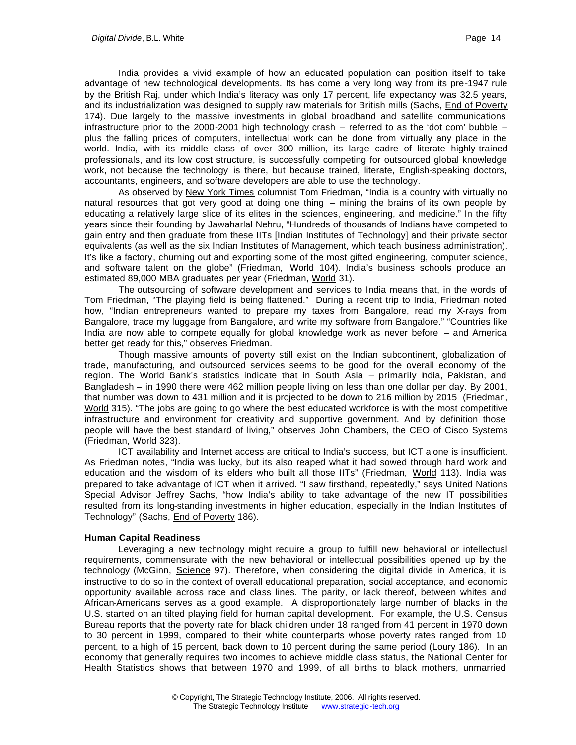India provides a vivid example of how an educated population can position itself to take advantage of new technological developments. Its has come a very long way from its pre-1947 rule by the British Raj, under which India's literacy was only 17 percent, life expectancy was 32.5 years, and its industrialization was designed to supply raw materials for British mills (Sachs, End of Poverty 174). Due largely to the massive investments in global broadband and satellite communications infrastructure prior to the 2000-2001 high technology crash – referred to as the 'dot com' bubble – plus the falling prices of computers, intellectual work can be done from virtually any place in the world. India, with its middle class of over 300 million, its large cadre of literate highly-trained professionals, and its low cost structure, is successfully competing for outsourced global knowledge work, not because the technology is there, but because trained, literate, English-speaking doctors, accountants, engineers, and software developers are able to use the technology.

As observed by New York Times columnist Tom Friedman, "India is a country with virtually no natural resources that got very good at doing one thing – mining the brains of its own people by educating a relatively large slice of its elites in the sciences, engineering, and medicine." In the fifty years since their founding by Jawaharlal Nehru, "Hundreds of thousands of Indians have competed to gain entry and then graduate from these IITs [Indian Institutes of Technology] and their private sector equivalents (as well as the six Indian Institutes of Management, which teach business administration). It's like a factory, churning out and exporting some of the most gifted engineering, computer science, and software talent on the globe" (Friedman, World 104). India's business schools produce an estimated 89,000 MBA graduates per year (Friedman, World 31).

The outsourcing of software development and services to India means that, in the words of Tom Friedman, "The playing field is being flattened." During a recent trip to India, Friedman noted how, "Indian entrepreneurs wanted to prepare my taxes from Bangalore, read my X-rays from Bangalore, trace my luggage from Bangalore, and write my software from Bangalore." "Countries like India are now able to compete equally for global knowledge work as never before – and America better get ready for this," observes Friedman.

Though massive amounts of poverty still exist on the Indian subcontinent, globalization of trade, manufacturing, and outsourced services seems to be good for the overall economy of the region. The World Bank's statistics indicate that in South Asia – primarily hdia, Pakistan, and Bangladesh – in 1990 there were 462 million people living on less than one dollar per day. By 2001, that number was down to 431 million and it is projected to be down to 216 million by 2015 (Friedman, World 315). "The jobs are going to go where the best educated workforce is with the most competitive infrastructure and environment for creativity and supportive government. And by definition those people will have the best standard of living," observes John Chambers, the CEO of Cisco Systems (Friedman, World 323).

ICT availability and Internet access are critical to India's success, but ICT alone is insufficient. As Friedman notes, "India was lucky, but its also reaped what it had sowed through hard work and education and the wisdom of its elders who built all those IITs" (Friedman, World 113). India was prepared to take advantage of ICT when it arrived. "I saw firsthand, repeatedly," says United Nations Special Advisor Jeffrey Sachs, "how India's ability to take advantage of the new IT possibilities resulted from its long-standing investments in higher education, especially in the Indian Institutes of Technology" (Sachs, End of Poverty 186).

#### **Human Capital Readiness**

Leveraging a new technology might require a group to fulfill new behavioral or intellectual requirements, commensurate with the new behavioral or intellectual possibilities opened up by the technology (McGinn, Science 97). Therefore, when considering the digital divide in America, it is instructive to do so in the context of overall educational preparation, social acceptance, and economic opportunity available across race and class lines. The parity, or lack thereof, between whites and African-Americans serves as a good example. A disproportionately large number of blacks in the U.S. started on an tilted playing field for human capital development. For example, the U.S. Census Bureau reports that the poverty rate for black children under 18 ranged from 41 percent in 1970 down to 30 percent in 1999, compared to their white counterparts whose poverty rates ranged from 10 percent, to a high of 15 percent, back down to 10 percent during the same period (Loury 186). In an economy that generally requires two incomes to achieve middle class status, the National Center for Health Statistics shows that between 1970 and 1999, of all births to black mothers, unmarried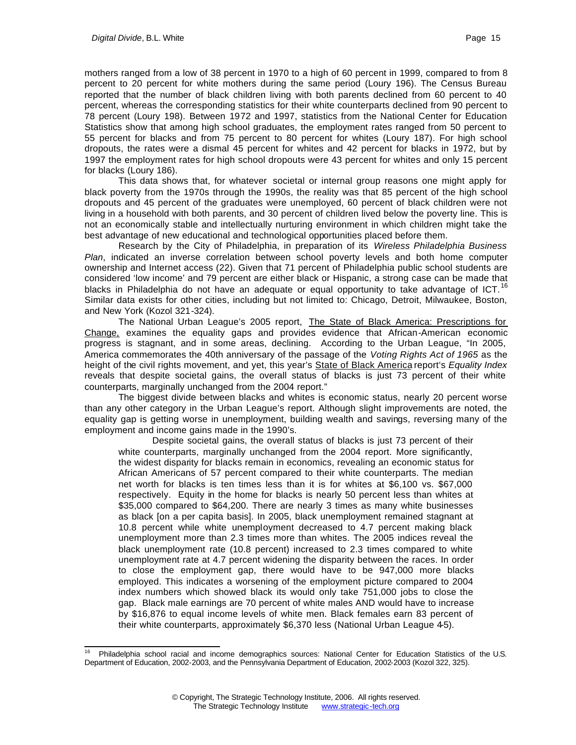mothers ranged from a low of 38 percent in 1970 to a high of 60 percent in 1999, compared to from 8 percent to 20 percent for white mothers during the same period (Loury 196). The Census Bureau reported that the number of black children living with both parents declined from 60 percent to 40 percent, whereas the corresponding statistics for their white counterparts declined from 90 percent to 78 percent (Loury 198). Between 1972 and 1997, statistics from the National Center for Education Statistics show that among high school graduates, the employment rates ranged from 50 percent to 55 percent for blacks and from 75 percent to 80 percent for whites (Loury 187). For high school dropouts, the rates were a dismal 45 percent for whites and 42 percent for blacks in 1972, but by 1997 the employment rates for high school dropouts were 43 percent for whites and only 15 percent for blacks (Loury 186).

This data shows that, for whatever societal or internal group reasons one might apply for black poverty from the 1970s through the 1990s, the reality was that 85 percent of the high school dropouts and 45 percent of the graduates were unemployed, 60 percent of black children were not living in a household with both parents, and 30 percent of children lived below the poverty line. This is not an economically stable and intellectually nurturing environment in which children might take the best advantage of new educational and technological opportunities placed before them.

Research by the City of Philadelphia, in preparation of its *Wireless Philadelphia Business Plan*, indicated an inverse correlation between school poverty levels and both home computer ownership and Internet access (22). Given that 71 percent of Philadelphia public school students are considered 'low income' and 79 percent are either black or Hispanic, a strong case can be made that blacks in Philadelphia do not have an adequate or equal opportunity to take advantage of ICT.<sup>16</sup> Similar data exists for other cities, including but not limited to: Chicago, Detroit, Milwaukee, Boston, and New York (Kozol 321-324).

The National Urban League's 2005 report, The State of Black America: Prescriptions for Change, examines the equality gaps and provides evidence that African-American economic progress is stagnant, and in some areas, declining. According to the Urban League, "In 2005, America commemorates the 40th anniversary of the passage of the *Voting Rights Act of 1965* as the height of the civil rights movement, and yet, this year's State of Black America report's *Equality Index* reveals that despite societal gains, the overall status of blacks is just 73 percent of their white counterparts, marginally unchanged from the 2004 report."

The biggest divide between blacks and whites is economic status, nearly 20 percent worse than any other category in the Urban League's report. Although slight improvements are noted, the equality gap is getting worse in unemployment, building wealth and savings, reversing many of the employment and income gains made in the 1990's.

Despite societal gains, the overall status of blacks is just 73 percent of their white counterparts, marginally unchanged from the 2004 report. More significantly, the widest disparity for blacks remain in economics, revealing an economic status for African Americans of 57 percent compared to their white counterparts. The median net worth for blacks is ten times less than it is for whites at \$6,100 vs. \$67,000 respectively. Equity in the home for blacks is nearly 50 percent less than whites at \$35,000 compared to \$64,200. There are nearly 3 times as many white businesses as black [on a per capita basis]. In 2005, black unemployment remained stagnant at 10.8 percent while white unemployment decreased to 4.7 percent making black unemployment more than 2.3 times more than whites. The 2005 indices reveal the black unemployment rate (10.8 percent) increased to 2.3 times compared to white unemployment rate at 4.7 percent widening the disparity between the races. In order to close the employment gap, there would have to be 947,000 more blacks employed. This indicates a worsening of the employment picture compared to 2004 index numbers which showed black its would only take 751,000 jobs to close the gap. Black male earnings are 70 percent of white males AND would have to increase by \$16,876 to equal income levels of white men. Black females earn 83 percent of their white counterparts, approximately \$6,370 less (National Urban League 4-5).

l Philadelphia school racial and income demographics sources: National Center for Education Statistics of the U.S. Department of Education, 2002-2003, and the Pennsylvania Department of Education, 2002-2003 (Kozol 322, 325).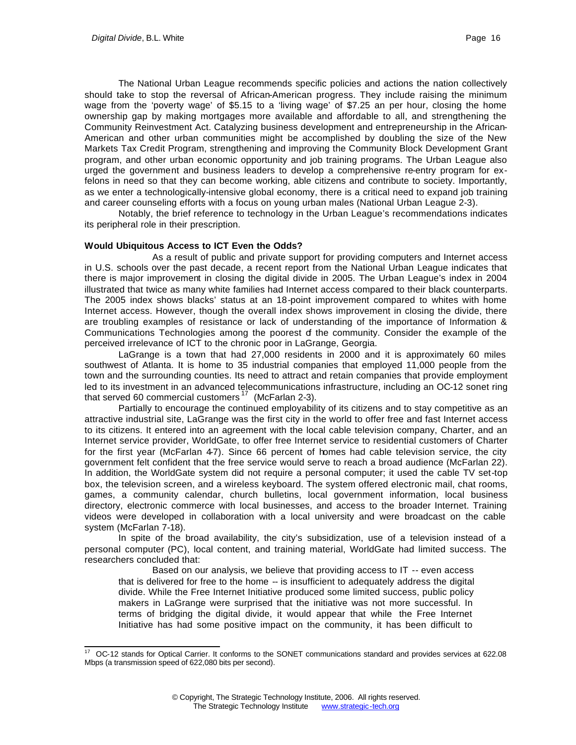The National Urban League recommends specific policies and actions the nation collectively should take to stop the reversal of African-American progress. They include raising the minimum wage from the 'poverty wage' of \$5.15 to a 'living wage' of \$7.25 an per hour, closing the home ownership gap by making mortgages more available and affordable to all, and strengthening the Community Reinvestment Act. Catalyzing business development and entrepreneurship in the African-American and other urban communities might be accomplished by doubling the size of the New Markets Tax Credit Program, strengthening and improving the Community Block Development Grant program, and other urban economic opportunity and job training programs. The Urban League also urged the government and business leaders to develop a comprehensive re-entry program for exfelons in need so that they can become working, able citizens and contribute to society. Importantly, as we enter a technologically-intensive global economy, there is a critical need to expand job training and career counseling efforts with a focus on young urban males (National Urban League 2-3).

Notably, the brief reference to technology in the Urban League's recommendations indicates its peripheral role in their prescription.

#### **Would Ubiquitous Access to ICT Even the Odds?**

As a result of public and private support for providing computers and Internet access in U.S. schools over the past decade, a recent report from the National Urban League indicates that there is major improvement in closing the digital divide in 2005. The Urban League's index in 2004 illustrated that twice as many white families had Internet access compared to their black counterparts. The 2005 index shows blacks' status at an 18-point improvement compared to whites with home Internet access. However, though the overall index shows improvement in closing the divide, there are troubling examples of resistance or lack of understanding of the importance of Information & Communications Technologies among the poorest of the community. Consider the example of the perceived irrelevance of ICT to the chronic poor in LaGrange, Georgia.

LaGrange is a town that had 27,000 residents in 2000 and it is approximately 60 miles southwest of Atlanta. It is home to 35 industrial companies that employed 11,000 people from the town and the surrounding counties. Its need to attract and retain companies that provide employment led to its investment in an advanced telecommunications infrastructure, including an OC-12 sonet ring that served 60 commercial customers<sup>17</sup> (McFarlan 2-3).

Partially to encourage the continued employability of its citizens and to stay competitive as an attractive industrial site, LaGrange was the first city in the world to offer free and fast Internet access to its citizens. It entered into an agreement with the local cable television company, Charter, and an Internet service provider, WorldGate, to offer free Internet service to residential customers of Charter for the first year (McFarlan 4-7). Since 66 percent of homes had cable television service, the city government felt confident that the free service would serve to reach a broad audience (McFarlan 22). In addition, the WorldGate system did not require a personal computer; it used the cable TV set-top box, the television screen, and a wireless keyboard. The system offered electronic mail, chat rooms, games, a community calendar, church bulletins, local government information, local business directory, electronic commerce with local businesses, and access to the broader Internet. Training videos were developed in collaboration with a local university and were broadcast on the cable system (McFarlan 7-18).

In spite of the broad availability, the city's subsidization, use of a television instead of a personal computer (PC), local content, and training material, WorldGate had limited success. The researchers concluded that:

Based on our analysis, we believe that providing access to IT -- even access that is delivered for free to the home -- is insufficient to adequately address the digital divide. While the Free Internet Initiative produced some limited success, public policy makers in LaGrange were surprised that the initiative was not more successful. In terms of bridging the digital divide, it would appear that while the Free Internet Initiative has had some positive impact on the community, it has been difficult to

l  $17$  OC-12 stands for Optical Carrier. It conforms to the SONET communications standard and provides services at 622.08 Mbps (a transmission speed of 622,080 bits per second).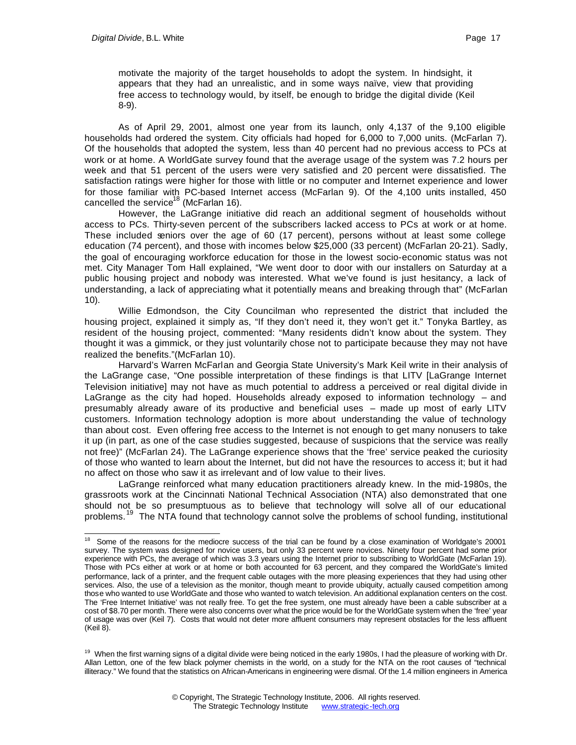l

motivate the majority of the target households to adopt the system. In hindsight, it appears that they had an unrealistic, and in some ways naïve, view that providing free access to technology would, by itself, be enough to bridge the digital divide (Keil 8-9).

As of April 29, 2001, almost one year from its launch, only 4,137 of the 9,100 eligible households had ordered the system. City officials had hoped for 6,000 to 7,000 units. (McFarlan 7). Of the households that adopted the system, less than 40 percent had no previous access to PCs at work or at home. A WorldGate survey found that the average usage of the system was 7.2 hours per week and that 51 percent of the users were very satisfied and 20 percent were dissatisfied. The satisfaction ratings were higher for those with little or no computer and Internet experience and lower for those familiar with PC-based Internet access (McFarlan 9). Of the 4,100 units installed, 450 cancelled the service<sup>18</sup> (McFarlan 16).

However, the LaGrange initiative did reach an additional segment of households without access to PCs. Thirty-seven percent of the subscribers lacked access to PCs at work or at home. These included seniors over the age of 60 (17 percent), persons without at least some college education (74 percent), and those with incomes below \$25,000 (33 percent) (McFarlan 20-21). Sadly, the goal of encouraging workforce education for those in the lowest socio-economic status was not met. City Manager Tom Hall explained, "We went door to door with our installers on Saturday at a public housing project and nobody was interested. What we've found is just hesitancy, a lack of understanding, a lack of appreciating what it potentially means and breaking through that" (McFarlan 10).

Willie Edmondson, the City Councilman who represented the district that included the housing project, explained it simply as, "If they don't need it, they won't get it." Tonyka Bartley, as resident of the housing project, commented: "Many residents didn't know about the system. They thought it was a gimmick, or they just voluntarily chose not to participate because they may not have realized the benefits."(McFarlan 10).

Harvard's Warren McFarlan and Georgia State University's Mark Keil write in their analysis of the LaGrange case, "One possible interpretation of these findings is that LITV [LaGrange Internet Television initiative] may not have as much potential to address a perceived or real digital divide in LaGrange as the city had hoped. Households already exposed to information technology – and presumably already aware of its productive and beneficial uses – made up most of early LITV customers. Information technology adoption is more about understanding the value of technology than about cost. Even offering free access to the Internet is not enough to get many nonusers to take it up (in part, as one of the case studies suggested, because of suspicions that the service was really not free)" (McFarlan 24). The LaGrange experience shows that the 'free' service peaked the curiosity of those who wanted to learn about the Internet, but did not have the resources to access it; but it had no affect on those who saw it as irrelevant and of low value to their lives.

LaGrange reinforced what many education practitioners already knew. In the mid-1980s, the grassroots work at the Cincinnati National Technical Association (NTA) also demonstrated that one should not be so presumptuous as to believe that technology will solve all of our educational problems.<sup>19</sup> The NTA found that technology cannot solve the problems of school funding, institutional

<sup>&</sup>lt;sup>18</sup> Some of the reasons for the mediocre success of the trial can be found by a close examination of Worldgate's 20001 survey. The system was designed for novice users, but only 33 percent were novices. Ninety four percent had some prior experience with PCs, the average of which was 3.3 years using the Internet prior to subscribing to WorldGate (McFarlan 19). Those with PCs either at work or at home or both accounted for 63 percent, and they compared the WorldGate's limited performance, lack of a printer, and the frequent cable outages with the more pleasing experiences that they had using other services. Also, the use of a television as the monitor, though meant to provide ubiquity, actually caused competition among those who wanted to use WorldGate and those who wanted to watch television. An additional explanation centers on the cost. The 'Free Internet Initiative' was not really free. To get the free system, one must already have been a cable subscriber at a cost of \$8.70 per month. There were also concerns over what the price would be for the WorldGate system when the 'free' year of usage was over (Keil 7). Costs that would not deter more affluent consumers may represent obstacles for the less affluent (Keil 8).

<sup>&</sup>lt;sup>19</sup> When the first warning signs of a digital divide were being noticed in the early 1980s, I had the pleasure of working with Dr. Allan Letton, one of the few black polymer chemists in the world, on a study for the NTA on the root causes of "technical illiteracy." We found that the statistics on African-Americans in engineering were dismal. Of the 1.4 million engineers in America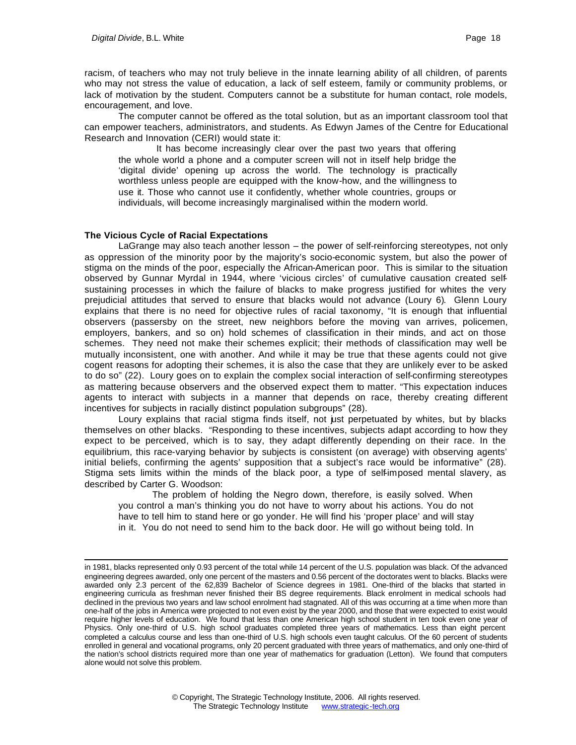racism, of teachers who may not truly believe in the innate learning ability of all children, of parents who may not stress the value of education, a lack of self esteem, family or community problems, or lack of motivation by the student. Computers cannot be a substitute for human contact, role models, encouragement, and love.

The computer cannot be offered as the total solution, but as an important classroom tool that can empower teachers, administrators, and students. As Edwyn James of the Centre for Educational Research and Innovation (CERI) would state it:

 It has become increasingly clear over the past two years that offering the whole world a phone and a computer screen will not in itself help bridge the 'digital divide' opening up across the world. The technology is practically worthless unless people are equipped with the know-how, and the willingness to use it. Those who cannot use it confidently, whether whole countries, groups or individuals, will become increasingly marginalised within the modern world.

#### **The Vicious Cycle of Racial Expectations**

l

LaGrange may also teach another lesson – the power of self-reinforcing stereotypes, not only as oppression of the minority poor by the majority's socio-economic system, but also the power of stigma on the minds of the poor, especially the African-American poor. This is similar to the situation observed by Gunnar Myrdal in 1944, where 'vicious circles' of cumulative causation created selfsustaining processes in which the failure of blacks to make progress justified for whites the very prejudicial attitudes that served to ensure that blacks would not advance (Loury 6). Glenn Loury explains that there is no need for objective rules of racial taxonomy, "It is enough that influential observers (passersby on the street, new neighbors before the moving van arrives, policemen, employers, bankers, and so on) hold schemes of classification in their minds, and act on those schemes. They need not make their schemes explicit; their methods of classification may well be mutually inconsistent, one with another. And while it may be true that these agents could not give cogent reasons for adopting their schemes, it is also the case that they are unlikely ever to be asked to do so" (22). Loury goes on to explain the complex social interaction of self-confirming stereotypes as mattering because observers and the observed expect them to matter. "This expectation induces agents to interact with subjects in a manner that depends on race, thereby creating different incentives for subjects in racially distinct population subgroups" (28).

Loury explains that racial stigma finds itself, not just perpetuated by whites, but by blacks themselves on other blacks. "Responding to these incentives, subjects adapt according to how they expect to be perceived, which is to say, they adapt differently depending on their race. In the equilibrium, this race-varying behavior by subjects is consistent (on average) with observing agents' initial beliefs, confirming the agents' supposition that a subject's race would be informative" (28). Stigma sets limits within the minds of the black poor, a type of self-imposed mental slavery, as described by Carter G. Woodson:

The problem of holding the Negro down, therefore, is easily solved. When you control a man's thinking you do not have to worry about his actions. You do not have to tell him to stand here or go yonder. He will find his 'proper place' and will stay in it. You do not need to send him to the back door. He will go without being told. In

in 1981, blacks represented only 0.93 percent of the total while 14 percent of the U.S. population was black. Of the advanced engineering degrees awarded, only one percent of the masters and 0.56 percent of the doctorates went to blacks. Blacks were awarded only 2.3 percent of the 62,839 Bachelor of Science degrees in 1981. One-third of the blacks that started in engineering curricula as freshman never finished their BS degree requirements. Black enrolment in medical schools had declined in the previous two years and law school enrolment had stagnated. All of this was occurring at a time when more than one-half of the jobs in America were projected to not even exist by the year 2000, and those that were expected to exist would require higher levels of education. We found that less than one American high school student in ten took even one year of Physics. Only one-third of U.S. high school graduates completed three years of mathematics. Less than eight percent completed a calculus course and less than one-third of U.S. high schools even taught calculus. Of the 60 percent of students enrolled in general and vocational programs, only 20 percent graduated with three years of mathematics, and only one-third of the nation's school districts required more than one year of mathematics for graduation (Letton). We found that computers alone would not solve this problem.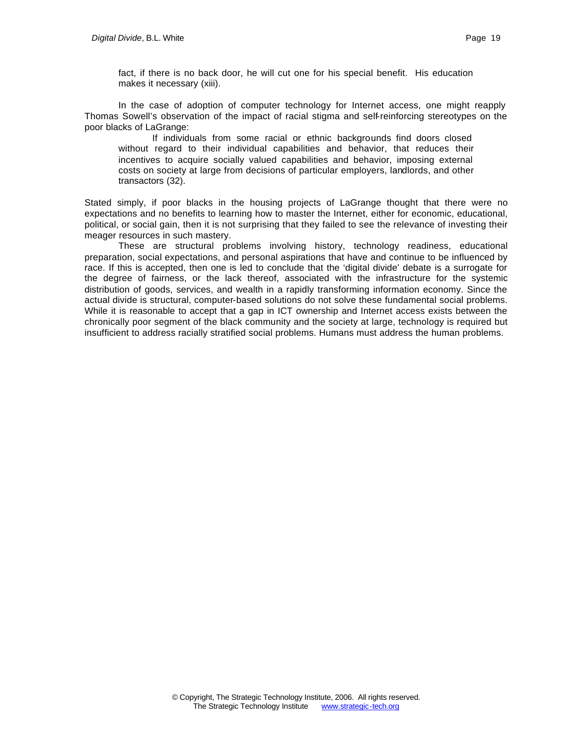fact, if there is no back door, he will cut one for his special benefit. His education makes it necessary (xiii).

In the case of adoption of computer technology for Internet access, one might reapply Thomas Sowell's observation of the impact of racial stigma and self-reinforcing stereotypes on the poor blacks of LaGrange:

If individuals from some racial or ethnic backgrounds find doors closed without regard to their individual capabilities and behavior, that reduces their incentives to acquire socially valued capabilities and behavior, imposing external costs on society at large from decisions of particular employers, landlords, and other transactors (32).

Stated simply, if poor blacks in the housing projects of LaGrange thought that there were no expectations and no benefits to learning how to master the Internet, either for economic, educational, political, or social gain, then it is not surprising that they failed to see the relevance of investing their meager resources in such mastery.

These are structural problems involving history, technology readiness, educational preparation, social expectations, and personal aspirations that have and continue to be influenced by race. If this is accepted, then one is led to conclude that the 'digital divide' debate is a surrogate for the degree of fairness, or the lack thereof, associated with the infrastructure for the systemic distribution of goods, services, and wealth in a rapidly transforming information economy. Since the actual divide is structural, computer-based solutions do not solve these fundamental social problems. While it is reasonable to accept that a gap in ICT ownership and Internet access exists between the chronically poor segment of the black community and the society at large, technology is required but insufficient to address racially stratified social problems. Humans must address the human problems.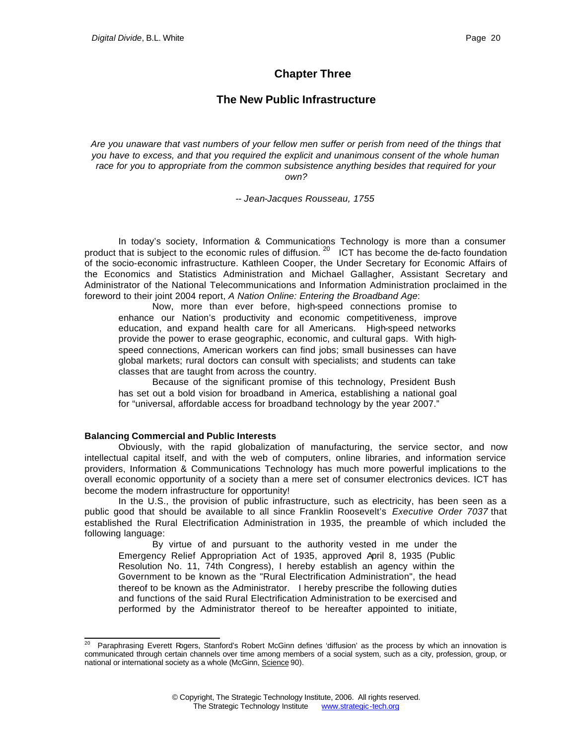## **Chapter Three**

## **The New Public Infrastructure**

*Are you unaware that vast numbers of your fellow men suffer or perish from need of the things that you have to excess, and that you required the explicit and unanimous consent of the whole human race for you to appropriate from the common subsistence anything besides that required for your own?*

*-- Jean-Jacques Rousseau, 1755*

In today's society, Information & Communications Technology is more than a consumer product that is subject to the economic rules of diffusion.<sup>20</sup> ICT has become the de-facto foundation of the socio-economic infrastructure. Kathleen Cooper, the Under Secretary for Economic Affairs of the Economics and Statistics Administration and Michael Gallagher, Assistant Secretary and Administrator of the National Telecommunications and Information Administration proclaimed in the foreword to their joint 2004 report, *A Nation Online: Entering the Broadband Age*:

Now, more than ever before, high-speed connections promise to enhance our Nation's productivity and economic competitiveness, improve education, and expand health care for all Americans. High-speed networks provide the power to erase geographic, economic, and cultural gaps. With highspeed connections, American workers can find jobs; small businesses can have global markets; rural doctors can consult with specialists; and students can take classes that are taught from across the country.

Because of the significant promise of this technology, President Bush has set out a bold vision for broadband in America, establishing a national goal for "universal, affordable access for broadband technology by the year 2007."

#### **Balancing Commercial and Public Interests**

Obviously, with the rapid globalization of manufacturing, the service sector, and now intellectual capital itself, and with the web of computers, online libraries, and information service providers, Information & Communications Technology has much more powerful implications to the overall economic opportunity of a society than a mere set of consumer electronics devices. ICT has become the modern infrastructure for opportunity!

In the U.S., the provision of public infrastructure, such as electricity, has been seen as a public good that should be available to all since Franklin Roosevelt's *Executive Order 7037* that established the Rural Electrification Administration in 1935, the preamble of which included the following language:

By virtue of and pursuant to the authority vested in me under the Emergency Relief Appropriation Act of 1935, approved April 8, 1935 (Public Resolution No. 11, 74th Congress), I hereby establish an agency within the Government to be known as the "Rural Electrification Administration", the head thereof to be known as the Administrator. I hereby prescribe the following duties and functions of the said Rural Electrification Administration to be exercised and performed by the Administrator thereof to be hereafter appointed to initiate,

l <sup>20</sup> Paraphrasing Everett Rogers, Stanford's Robert McGinn defines 'diffusion' as the process by which an innovation is communicated through certain channels over time among members of a social system, such as a city, profession, group, or national or international society as a whole (McGinn, Science 90).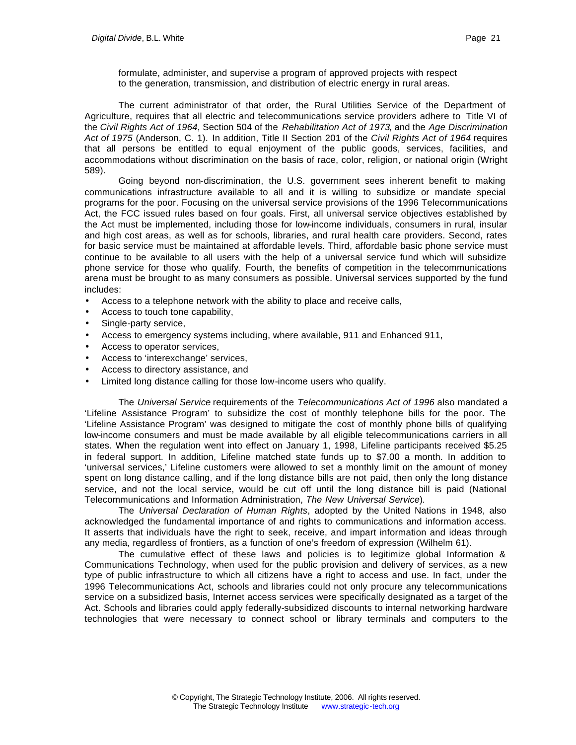formulate, administer, and supervise a program of approved projects with respect to the generation, transmission, and distribution of electric energy in rural areas.

The current administrator of that order, the Rural Utilities Service of the Department of Agriculture, requires that all electric and telecommunications service providers adhere to Title VI of the *Civil Rights Act of 1964*, Section 504 of the *Rehabilitation Act of 1973*, and the *Age Discrimination Act of 1975* (Anderson, C. 1). In addition, Title II Section 201 of the *Civil Rights Act of 1964* requires that all persons be entitled to equal enjoyment of the public goods, services, facilities, and accommodations without discrimination on the basis of race, color, religion, or national origin (Wright 589).

Going beyond non-discrimination, the U.S. government sees inherent benefit to making communications infrastructure available to all and it is willing to subsidize or mandate special programs for the poor. Focusing on the universal service provisions of the 1996 Telecommunications Act, the FCC issued rules based on four goals. First, all universal service objectives established by the Act must be implemented, including those for low-income individuals, consumers in rural, insular and high cost areas, as well as for schools, libraries, and rural health care providers. Second, rates for basic service must be maintained at affordable levels. Third, affordable basic phone service must continue to be available to all users with the help of a universal service fund which will subsidize phone service for those who qualify. Fourth, the benefits of competition in the telecommunications arena must be brought to as many consumers as possible. Universal services supported by the fund includes:

- Access to a telephone network with the ability to place and receive calls,
- Access to touch tone capability,
- Single-party service,
- Access to emergency systems including, where available, 911 and Enhanced 911,
- Access to operator services,
- Access to 'interexchange' services,
- Access to directory assistance, and
- Limited long distance calling for those low-income users who qualify.

The *Universal Service* requirements of the *Telecommunications Act of 1996* also mandated a 'Lifeline Assistance Program' to subsidize the cost of monthly telephone bills for the poor. The 'Lifeline Assistance Program' was designed to mitigate the cost of monthly phone bills of qualifying low-income consumers and must be made available by all eligible telecommunications carriers in all states. When the regulation went into effect on January 1, 1998, Lifeline participants received \$5.25 in federal support. In addition, Lifeline matched state funds up to \$7.00 a month. In addition to 'universal services,' Lifeline customers were allowed to set a monthly limit on the amount of money spent on long distance calling, and if the long distance bills are not paid, then only the long distance service, and not the local service, would be cut off until the long distance bill is paid (National Telecommunications and Information Administration, *The New Universal Service*).

The *Universal Declaration of Human Rights*, adopted by the United Nations in 1948, also acknowledged the fundamental importance of and rights to communications and information access. It asserts that individuals have the right to seek, receive, and impart information and ideas through any media, regardless of frontiers, as a function of one's freedom of expression (Wilhelm 61).

The cumulative effect of these laws and policies is to legitimize global Information & Communications Technology, when used for the public provision and delivery of services, as a new type of public infrastructure to which all citizens have a right to access and use. In fact, under the 1996 Telecommunications Act, schools and libraries could not only procure any telecommunications service on a subsidized basis, Internet access services were specifically designated as a target of the Act. Schools and libraries could apply federally-subsidized discounts to internal networking hardware technologies that were necessary to connect school or library terminals and computers to the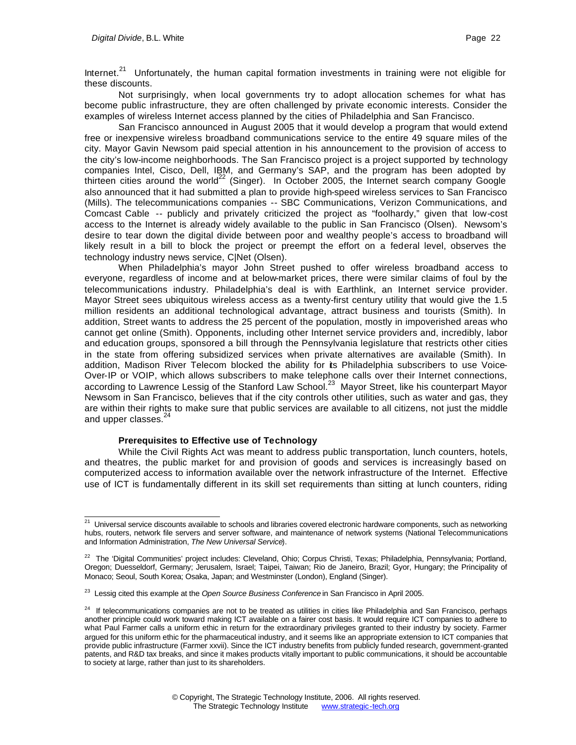Internet.<sup>21</sup> Unfortunately, the human capital formation investments in training were not eligible for these discounts.

Not surprisingly, when local governments try to adopt allocation schemes for what has become public infrastructure, they are often challenged by private economic interests. Consider the examples of wireless Internet access planned by the cities of Philadelphia and San Francisco.

San Francisco announced in August 2005 that it would develop a program that would extend free or inexpensive wireless broadband communications service to the entire 49 square miles of the city. Mayor Gavin Newsom paid special attention in his announcement to the provision of access to the city's low-income neighborhoods. The San Francisco project is a project supported by technology companies Intel, Cisco, Dell, IBM, and Germany's SAP, and the program has been adopted by thirteen cities around the world<sup>22</sup> (Singer). In October 2005, the Internet search company Google also announced that it had submitted a plan to provide high-speed wireless services to San Francisco (Mills). The telecommunications companies -- SBC Communications, Verizon Communications, and Comcast Cable -- publicly and privately criticized the project as "foolhardy," given that low-cost access to the Internet is already widely available to the public in San Francisco (Olsen). Newsom's desire to tear down the digital divide between poor and wealthy people's access to broadband will likely result in a bill to block the project or preempt the effort on a federal level, observes the technology industry news service, C|Net (Olsen).

When Philadelphia's mayor John Street pushed to offer wireless broadband access to everyone, regardless of income and at below-market prices, there were similar claims of foul by the telecommunications industry. Philadelphia's deal is with Earthlink, an Internet service provider. Mayor Street sees ubiquitous wireless access as a twenty-first century utility that would give the 1.5 million residents an additional technological advantage, attract business and tourists (Smith). In addition, Street wants to address the 25 percent of the population, mostly in impoverished areas who cannot get online (Smith). Opponents, including other Internet service providers and, incredibly, labor and education groups, sponsored a bill through the Pennsylvania legislature that restricts other cities in the state from offering subsidized services when private alternatives are available (Smith). In addition, Madison River Telecom blocked the ability for its Philadelphia subscribers to use Voice-Over-IP or VOIP, which allows subscribers to make telephone calls over their Internet connections, according to Lawrence Lessig of the Stanford Law School.<sup>23</sup> Mayor Street, like his counterpart Mayor Newsom in San Francisco, believes that if the city controls other utilities, such as water and gas, they are within their rights to make sure that public services are available to all citizens, not just the middle and upper classes.<sup>24</sup>

#### **Prerequisites to Effective use of Technology**

While the Civil Rights Act was meant to address public transportation, lunch counters, hotels, and theatres, the public market for and provision of goods and services is increasingly based on computerized access to information available over the network infrastructure of the Internet. Effective use of ICT is fundamentally different in its skill set requirements than sitting at lunch counters, riding

l  $^{21}$  Universal service discounts available to schools and libraries covered electronic hardware components, such as networking hubs, routers, network file servers and server software, and maintenance of network systems (National Telecommunications and Information Administration, *The New Universal Service*).

<sup>&</sup>lt;sup>22</sup> The 'Digital Communities' project includes: Cleveland, Ohio; Corpus Christi, Texas; Philadelphia, Pennsylvania; Portland, Oregon; Duesseldorf, Germany; Jerusalem, Israel; Taipei, Taiwan; Rio de Janeiro, Brazil; Gyor, Hungary; the Principality of Monaco; Seoul, South Korea; Osaka, Japan; and Westminster (London), England (Singer).

<sup>23</sup> Lessig cited this example at the *Open Source Business Conference* in San Francisco in April 2005.

<sup>&</sup>lt;sup>24</sup> If telecommunications companies are not to be treated as utilities in cities like Philadelphia and San Francisco, perhaps another principle could work toward making ICT available on a fairer cost basis. It would require ICT companies to adhere to what Paul Farmer calls a uniform ethic in return for the extraordinary privileges granted to their industry by society. Farmer argued for this uniform ethic for the pharmaceutical industry, and it seems like an appropriate extension to ICT companies that provide public infrastructure (Farmer xxvii). Since the ICT industry benefits from publicly funded research, government-granted patents, and R&D tax breaks, and since it makes products vitally important to public communications, it should be accountable to society at large, rather than just to its shareholders.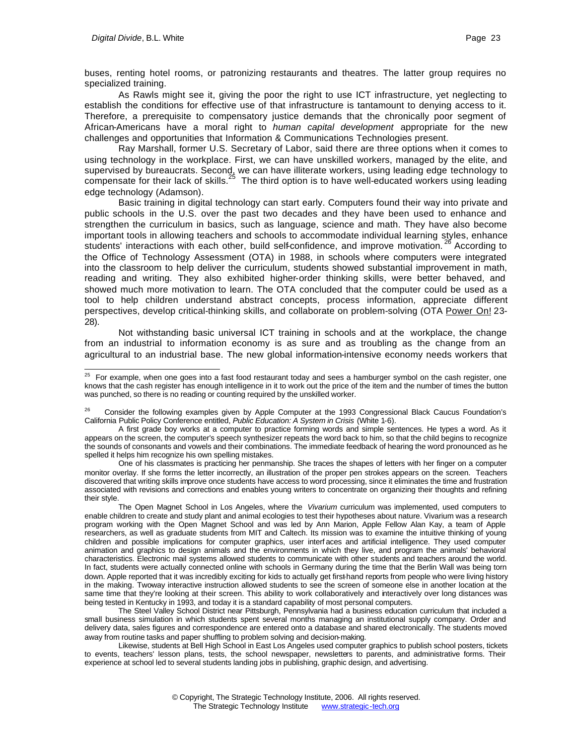buses, renting hotel rooms, or patronizing restaurants and theatres. The latter group requires no specialized training.

As Rawls might see it, giving the poor the right to use ICT infrastructure, yet neglecting to establish the conditions for effective use of that infrastructure is tantamount to denying access to it. Therefore, a prerequisite to compensatory justice demands that the chronically poor segment of African-Americans have a moral right to *human capital development* appropriate for the new challenges and opportunities that Information & Communications Technologies present.

Ray Marshall, former U.S. Secretary of Labor, said there are three options when it comes to using technology in the workplace. First, we can have unskilled workers, managed by the elite, and supervised by bureaucrats. Second, we can have illiterate workers, using leading edge technology to compensate for their lack of skills.<sup>25</sup> The third option is to have well-educated workers using leading edge technology (Adamson).

Basic training in digital technology can start early. Computers found their way into private and public schools in the U.S. over the past two decades and they have been used to enhance and strengthen the curriculum in basics, such as language, science and math. They have also become important tools in allowing teachers and schools to accommodate individual learning styles, enhance students' interactions with each other, build self-confidence, and improve motivation.<sup>26</sup> According to the Office of Technology Assessment (OTA) in 1988, in schools where computers were integrated into the classroom to help deliver the curriculum, students showed substantial improvement in math, reading and writing. They also exhibited higher-order thinking skills, were better behaved, and showed much more motivation to learn. The OTA concluded that the computer could be used as a tool to help children understand abstract concepts, process information, appreciate different perspectives, develop critical-thinking skills, and collaborate on problem-solving (OTA Power On! 23-28).

Not withstanding basic universal ICT training in schools and at the workplace, the change from an industrial to information economy is as sure and as troubling as the change from an agricultural to an industrial base. The new global information-intensive economy needs workers that

Likewise, students at Bell High School in East Los Angeles used computer graphics to publish school posters, tickets to events, teachers' lesson plans, tests, the school newspaper, newsletters to parents, and administrative forms. Their experience at school led to several students landing jobs in publishing, graphic design, and advertising.

l  $25$  For example, when one goes into a fast food restaurant today and sees a hamburger symbol on the cash register, one knows that the cash register has enough intelligence in it to work out the price of the item and the number of times the button was punched, so there is no reading or counting required by the unskilled worker.

<sup>26</sup> Consider the following examples given by Apple Computer at the 1993 Congressional Black Caucus Foundation's California Public Policy Conference entitled, *Public Education: A System in Crisis* (White 1-6).

A first grade boy works at a computer to practice forming words and simple sentences. He types a word. As it appears on the screen, the computer's speech synthesizer repeats the word back to him, so that the child begins to recognize the sounds of consonants and vowels and their combinations. The immediate feedback of hearing the word pronounced as he spelled it helps him recognize his own spelling mistakes.

One of his classmates is practicing her penmanship. She traces the shapes of letters with her finger on a computer monitor overlay. If she forms the letter incorrectly, an illustration of the proper pen strokes appears on the screen. Teachers discovered that writing skills improve once students have access to word processing, since it eliminates the time and frustration associated with revisions and corrections and enables young writers to concentrate on organizing their thoughts and refining their style.

The Open Magnet School in Los Angeles, where the *Vivarium* curriculum was implemented, used computers to enable children to create and study plant and animal ecologies to test their hypotheses about nature. Vivarium was a research program working with the Open Magnet School and was led by Ann Marion, Apple Fellow Alan Kay, a team of Apple researchers, as well as graduate students from MIT and Caltech. Its mission was to examine the intuitive thinking of young children and possible implications for computer graphics, user interf aces and artificial intelligence. They used computer animation and graphics to design animals and the environments in which they live, and program the animals' behavioral characteristics. Electronic mail systems allowed students to communicate with other students and teachers around the world. In fact, students were actually connected online with schools in Germany during the time that the Berlin Wall was being torn down. Apple reported that it was incredibly exciting for kids to actually get first-hand reports from people who were living history in the making. Two way interactive instruction allowed students to see the screen of someone else in another location at the same time that they're looking at their screen. This ability to work collaboratively and interactively over long distances was being tested in Kentucky in 1993, and today it is a standard capability of most personal computers.

The Steel Valley School District near Pittsburgh, Pennsylvania had a business education curriculum that included a small business simulation in which students spent several months managing an institutional supply company. Order and delivery data, sales figures and correspondence are entered onto a database and shared electronically. The students moved away from routine tasks and paper shuffling to problem solving and decision-making.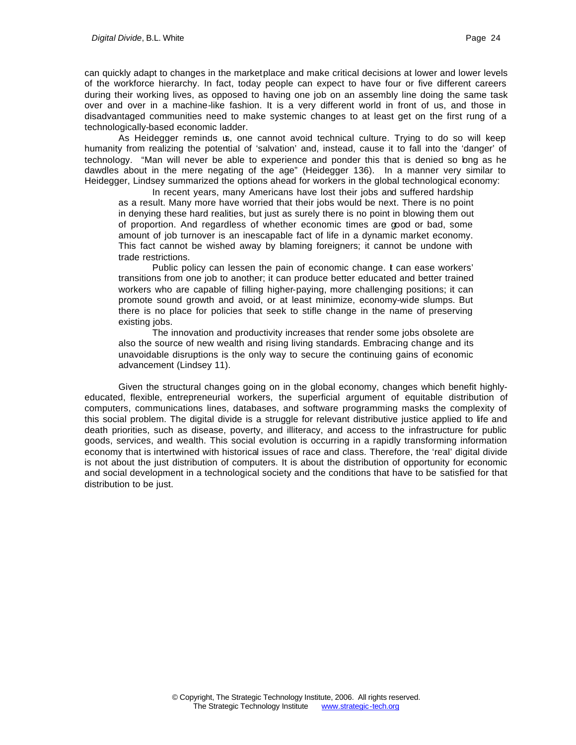can quickly adapt to changes in the marketplace and make critical decisions at lower and lower levels of the workforce hierarchy. In fact, today people can expect to have four or five different careers during their working lives, as opposed to having one job on an assembly line doing the same task over and over in a machine-like fashion. It is a very different world in front of us, and those in disadvantaged communities need to make systemic changes to at least get on the first rung of a technologically-based economic ladder.

As Heidegger reminds us, one cannot avoid technical culture. Trying to do so will keep humanity from realizing the potential of 'salvation' and, instead, cause it to fall into the 'danger' of technology. "Man will never be able to experience and ponder this that is denied so long as he dawdles about in the mere negating of the age" (Heidegger 136). In a manner very similar to Heidegger, Lindsey summarized the options ahead for workers in the global technological economy:

In recent years, many Americans have lost their jobs and suffered hardship as a result. Many more have worried that their jobs would be next. There is no point in denying these hard realities, but just as surely there is no point in blowing them out of proportion. And regardless of whether economic times are good or bad, some amount of job turnover is an inescapable fact of life in a dynamic market economy. This fact cannot be wished away by blaming foreigners; it cannot be undone with trade restrictions.

Public policy can lessen the pain of economic change. **t** can ease workers' transitions from one job to another; it can produce better educated and better trained workers who are capable of filling higher-paying, more challenging positions; it can promote sound growth and avoid, or at least minimize, economy-wide slumps. But there is no place for policies that seek to stifle change in the name of preserving existing jobs.

The innovation and productivity increases that render some jobs obsolete are also the source of new wealth and rising living standards. Embracing change and its unavoidable disruptions is the only way to secure the continuing gains of economic advancement (Lindsey 11).

Given the structural changes going on in the global economy, changes which benefit highlyeducated, flexible, entrepreneurial workers, the superficial argument of equitable distribution of computers, communications lines, databases, and software programming masks the complexity of this social problem. The digital divide is a struggle for relevant distributive justice applied to life and death priorities, such as disease, poverty, and illiteracy, and access to the infrastructure for public goods, services, and wealth. This social evolution is occurring in a rapidly transforming information economy that is intertwined with historical issues of race and class. Therefore, the 'real' digital divide is not about the just distribution of computers. It is about the distribution of opportunity for economic and social development in a technological society and the conditions that have to be satisfied for that distribution to be just.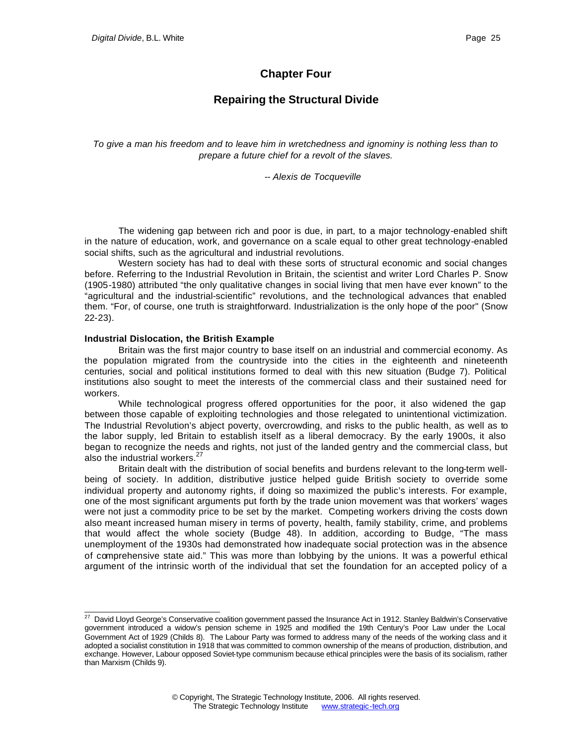### **Chapter Four**

## **Repairing the Structural Divide**

*To give a man his freedom and to leave him in wretchedness and ignominy is nothing less than to prepare a future chief for a revolt of the slaves.*

*-- Alexis de Tocqueville*

The widening gap between rich and poor is due, in part, to a major technology-enabled shift in the nature of education, work, and governance on a scale equal to other great technology-enabled social shifts, such as the agricultural and industrial revolutions.

Western society has had to deal with these sorts of structural economic and social changes before. Referring to the Industrial Revolution in Britain, the scientist and writer Lord Charles P. Snow (1905-1980) attributed "the only qualitative changes in social living that men have ever known" to the "agricultural and the industrial-scientific" revolutions, and the technological advances that enabled them. "For, of course, one truth is straightforward. Industrialization is the only hope of the poor" (Snow 22-23).

#### **Industrial Dislocation, the British Example**

l

Britain was the first major country to base itself on an industrial and commercial economy. As the population migrated from the countryside into the cities in the eighteenth and nineteenth centuries, social and political institutions formed to deal with this new situation (Budge 7). Political institutions also sought to meet the interests of the commercial class and their sustained need for workers.

While technological progress offered opportunities for the poor, it also widened the gap between those capable of exploiting technologies and those relegated to unintentional victimization. The Industrial Revolution's abject poverty, overcrowding, and risks to the public health, as well as to the labor supply, led Britain to establish itself as a liberal democracy. By the early 1900s, it also began to recognize the needs and rights, not just of the landed gentry and the commercial class, but also the industrial workers. $27$ 

Britain dealt with the distribution of social benefits and burdens relevant to the long-term wellbeing of society. In addition, distributive justice helped guide British society to override some individual property and autonomy rights, if doing so maximized the public's interests. For example, one of the most significant arguments put forth by the trade union movement was that workers' wages were not just a commodity price to be set by the market. Competing workers driving the costs down also meant increased human misery in terms of poverty, health, family stability, crime, and problems that would affect the whole society (Budge 48). In addition, according to Budge, "The mass unemployment of the 1930s had demonstrated how inadequate social protection was in the absence of comprehensive state aid." This was more than lobbying by the unions. It was a powerful ethical argument of the intrinsic worth of the individual that set the foundation for an accepted policy of a

 $^{27}$  David Lloyd George's Conservative coalition government passed the Insurance Act in 1912. Stanley Baldwin's Conservative government introduced a widow's pension scheme in 1925 and modified the 19th Century's Poor Law under the Local Government Act of 1929 (Childs 8). The Labour Party was formed to address many of the needs of the working class and it adopted a socialist constitution in 1918 that was committed to common ownership of the means of production, distribution, and exchange. However, Labour opposed Soviet-type communism because ethical principles were the basis of its socialism, rather than Marxism (Childs 9).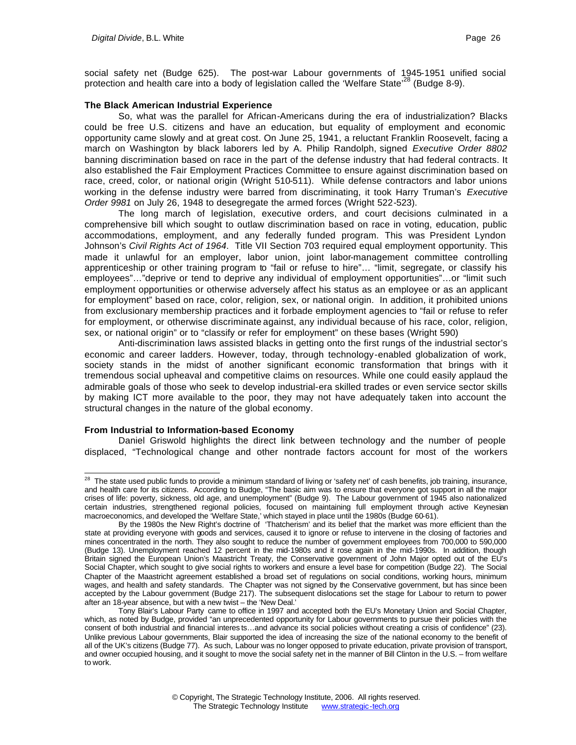social safety net (Budge 625). The post-war Labour governments of 1945-1951 unified social protection and health care into a body of legislation called the 'Welfare State'<sup>28</sup> (Budge 8-9).

### **The Black American Industrial Experience**

So, what was the parallel for African-Americans during the era of industrialization? Blacks could be free U.S. citizens and have an education, but equality of employment and economic opportunity came slowly and at great cost. On June 25, 1941, a reluctant Franklin Roosevelt, facing a march on Washington by black laborers led by A. Philip Randolph, signed *Executive Order 8802* banning discrimination based on race in the part of the defense industry that had federal contracts. It also established the Fair Employment Practices Committee to ensure against discrimination based on race, creed, color, or national origin (Wright 510-511). While defense contractors and labor unions working in the defense industry were barred from discriminating, it took Harry Truman's *Executive Order 9981* on July 26, 1948 to desegregate the armed forces (Wright 522-523).

The long march of legislation, executive orders, and court decisions culminated in a comprehensive bill which sought to outlaw discrimination based on race in voting, education, public accommodations, employment, and any federally funded program. This was President Lyndon Johnson's *Civil Rights Act of 1964*. Title VII Section 703 required equal employment opportunity. This made it unlawful for an employer, labor union, joint labor-management committee controlling apprenticeship or other training program to "fail or refuse to hire"… "limit, segregate, or classify his employees"…"deprive or tend to deprive any individual of employment opportunities"…or "limit such employment opportunities or otherwise adversely affect his status as an employee or as an applicant for employment" based on race, color, religion, sex, or national origin. In addition, it prohibited unions from exclusionary membership practices and it forbade employment agencies to "fail or refuse to refer for employment, or otherwise discriminate against, any individual because of his race, color, religion, sex, or national origin" or to "classify or refer for employment" on these bases (Wright 590)

Anti-discrimination laws assisted blacks in getting onto the first rungs of the industrial sector's economic and career ladders. However, today, through technology-enabled globalization of work, society stands in the midst of another significant economic transformation that brings with it tremendous social upheaval and competitive claims on resources. While one could easily applaud the admirable goals of those who seek to develop industrial-era skilled trades or even service sector skills by making ICT more available to the poor, they may not have adequately taken into account the structural changes in the nature of the global economy.

### **From Industrial to Information-based Economy**

Daniel Griswold highlights the direct link between technology and the number of people displaced, "Technological change and other nontrade factors account for most of the workers

l  $^{28}$  The state used public funds to provide a minimum standard of living or 'safety net' of cash benefits, job training, insurance, and health care for its citizens. According to Budge, "The basic aim was to ensure that everyone got support in all the major crises of life: poverty, sickness, old age, and unemployment" (Budge 9). The Labour government of 1945 also nationalized certain industries, strengthened regional policies, focused on maintaining full employment through active Keynesian macroeconomics, and developed the 'Welfare State,' which stayed in place until the 1980s (Budge 60-61).

By the 1980s the New Right's doctrine of 'Thatcherism' and its belief that the market was more efficient than the state at providing everyone with goods and services, caused it to ignore or refuse to intervene in the closing of factories and mines concentrated in the north. They also sought to reduce the number of government employees from 700,000 to 590,000 (Budge 13). Unemployment reached 12 percent in the mid-1980s and it rose again in the mid-1990s. In addition, though Britain signed the European Union's Maastricht Treaty, the Conservative government of John Major opted out of the EU's Social Chapter, which sought to give social rights to workers and ensure a level base for competition (Budge 22). The Social Chapter of the Maastricht agreement established a broad set of regulations on social conditions, working hours, minimum wages, and health and safety standards. The Chapter was not signed by the Conservative government, but has since been accepted by the Labour government (Budge 217). The subsequent dislocations set the stage for Labour to return to power after an 18-year absence, but with a new twist – the 'New Deal.'

Tony Blair's Labour Party came to office in 1997 and accepted both the EU's Monetary Union and Social Chapter, which, as noted by Budge, provided "an unprecedented opportunity for Labour governments to pursue their policies with the consent of both industrial and financial interes ts…and advance its social policies without creating a crisis of confidence" (23). Unlike previous Labour governments, Blair supported the idea of increasing the size of the national economy to the benefit of all of the UK's citizens (Budge 77). As such, Labour was no longer opposed to private education, private provision of transport, and owner occupied housing, and it sought to move the social safety net in the manner of Bill Clinton in the U.S. – from welfare to work.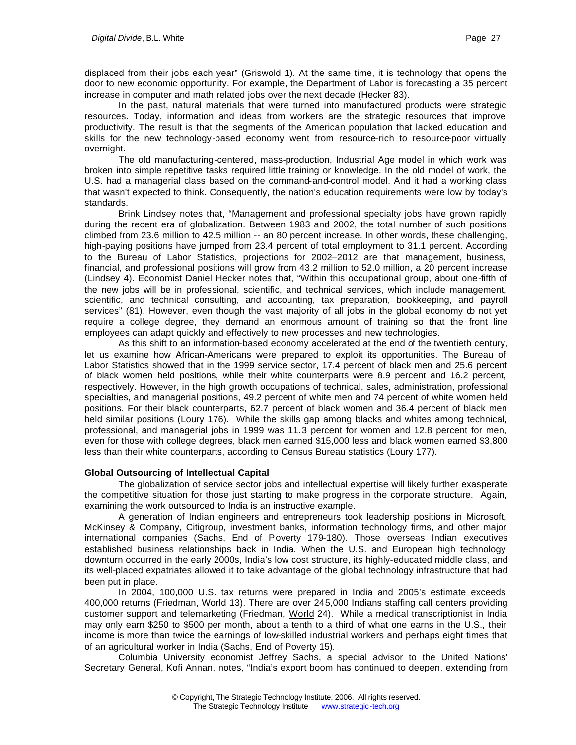displaced from their jobs each year" (Griswold 1). At the same time, it is technology that opens the door to new economic opportunity. For example, the Department of Labor is forecasting a 35 percent increase in computer and math related jobs over the next decade (Hecker 83).

In the past, natural materials that were turned into manufactured products were strategic resources. Today, information and ideas from workers are the strategic resources that improve productivity. The result is that the segments of the American population that lacked education and skills for the new technology-based economy went from resource-rich to resource-poor virtually overnight.

The old manufacturing-centered, mass-production, Industrial Age model in which work was broken into simple repetitive tasks required little training or knowledge. In the old model of work, the U.S. had a managerial class based on the command-and-control model. And it had a working class that wasn't expected to think. Consequently, the nation's education requirements were low by today's standards.

Brink Lindsey notes that, "Management and professional specialty jobs have grown rapidly during the recent era of globalization. Between 1983 and 2002, the total number of such positions climbed from 23.6 million to 42.5 million -- an 80 percent increase. In other words, these challenging, high-paying positions have jumped from 23.4 percent of total employment to 31.1 percent. According to the Bureau of Labor Statistics, projections for 2002–2012 are that management, business, financial, and professional positions will grow from 43.2 million to 52.0 million, a 20 percent increase (Lindsey 4). Economist Daniel Hecker notes that, "Within this occupational group, about one-fifth of the new jobs will be in professional, scientific, and technical services, which include management, scientific, and technical consulting, and accounting, tax preparation, bookkeeping, and payroll services" (81). However, even though the vast majority of all jobs in the global economy do not yet require a college degree, they demand an enormous amount of training so that the front line employees can adapt quickly and effectively to new processes and new technologies.

As this shift to an information-based economy accelerated at the end of the twentieth century, let us examine how African-Americans were prepared to exploit its opportunities. The Bureau of Labor Statistics showed that in the 1999 service sector, 17.4 percent of black men and 25.6 percent of black women held positions, while their white counterparts were 8.9 percent and 16.2 percent, respectively. However, in the high growth occupations of technical, sales, administration, professional specialties, and managerial positions, 49.2 percent of white men and 74 percent of white women held positions. For their black counterparts, 62.7 percent of black women and 36.4 percent of black men held similar positions (Loury 176). While the skills gap among blacks and whites among technical, professional, and managerial jobs in 1999 was 11.3 percent for women and 12.8 percent for men, even for those with college degrees, black men earned \$15,000 less and black women earned \$3,800 less than their white counterparts, according to Census Bureau statistics (Loury 177).

### **Global Outsourcing of Intellectual Capital**

The globalization of service sector jobs and intellectual expertise will likely further exasperate the competitive situation for those just starting to make progress in the corporate structure. Again, examining the work outsourced to India is an instructive example.

A generation of Indian engineers and entrepreneurs took leadership positions in Microsoft, McKinsey & Company, Citigroup, investment banks, information technology firms, and other major international companies (Sachs, *End of Poverty 179-180)*. Those overseas Indian executives established business relationships back in India. When the U.S. and European high technology downturn occurred in the early 2000s, India's low cost structure, its highly-educated middle class, and its well-placed expatriates allowed it to take advantage of the global technology infrastructure that had been put in place.

In 2004, 100,000 U.S. tax returns were prepared in India and 2005's estimate exceeds 400,000 returns (Friedman, World 13). There are over 245,000 Indians staffing call centers providing customer support and telemarketing (Friedman, World 24). While a medical transcriptionist in India may only earn \$250 to \$500 per month, about a tenth to a third of what one earns in the U.S., their income is more than twice the earnings of low-skilled industrial workers and perhaps eight times that of an agricultural worker in India (Sachs, *End of Poverty* 15).

Columbia University economist Jeffrey Sachs, a special advisor to the United Nations' Secretary General, Kofi Annan, notes, "India's export boom has continued to deepen, extending from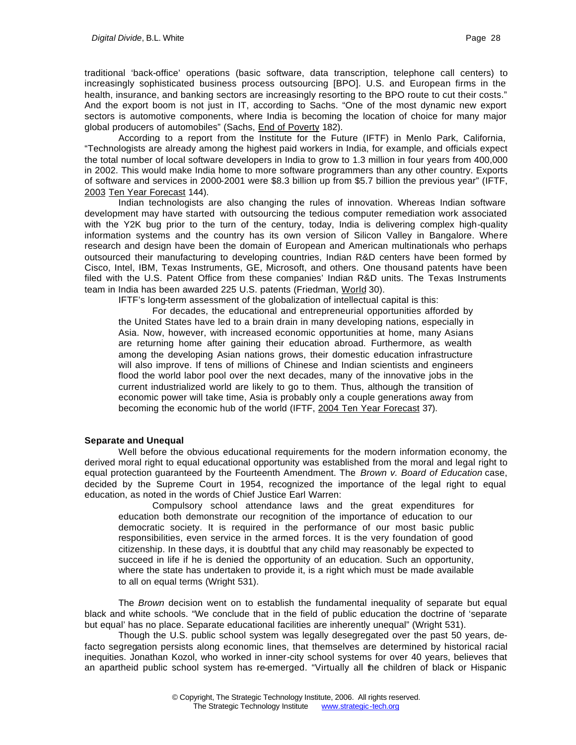traditional 'back-office' operations (basic software, data transcription, telephone call centers) to increasingly sophisticated business process outsourcing [BPO]. U.S. and European firms in the health, insurance, and banking sectors are increasingly resorting to the BPO route to cut their costs." And the export boom is not just in IT, according to Sachs. "One of the most dynamic new export sectors is automotive components, where India is becoming the location of choice for many major global producers of automobiles" (Sachs, End of Poverty 182).

According to a report from the Institute for the Future (IFTF) in Menlo Park, California, "Technologists are already among the highest paid workers in India, for example, and officials expect the total number of local software developers in India to grow to 1.3 million in four years from 400,000 in 2002. This would make India home to more software programmers than any other country. Exports of software and services in 2000-2001 were \$8.3 billion up from \$5.7 billion the previous year" (IFTF, 2003 Ten Year Forecast 144).

Indian technologists are also changing the rules of innovation. Whereas Indian software development may have started with outsourcing the tedious computer remediation work associated with the Y2K bug prior to the turn of the century, today, India is delivering complex high-quality information systems and the country has its own version of Silicon Valley in Bangalore. Where research and design have been the domain of European and American multinationals who perhaps outsourced their manufacturing to developing countries, Indian R&D centers have been formed by Cisco, Intel, IBM, Texas Instruments, GE, Microsoft, and others. One thousand patents have been filed with the U.S. Patent Office from these companies' Indian R&D units. The Texas Instruments team in India has been awarded 225 U.S. patents (Friedman, World 30).

IFTF's long-term assessment of the globalization of intellectual capital is this:

For decades, the educational and entrepreneurial opportunities afforded by the United States have led to a brain drain in many developing nations, especially in Asia. Now, however, with increased economic opportunities at home, many Asians are returning home after gaining their education abroad. Furthermore, as wealth among the developing Asian nations grows, their domestic education infrastructure will also improve. If tens of millions of Chinese and Indian scientists and engineers flood the world labor pool over the next decades, many of the innovative jobs in the current industrialized world are likely to go to them. Thus, although the transition of economic power will take time, Asia is probably only a couple generations away from becoming the economic hub of the world (IFTF, 2004 Ten Year Forecast 37).

### **Separate and Unequal**

Well before the obvious educational requirements for the modern information economy, the derived moral right to equal educational opportunity was established from the moral and legal right to equal protection guaranteed by the Fourteenth Amendment. The *Brown v. Board of Education* case, decided by the Supreme Court in 1954, recognized the importance of the legal right to equal education, as noted in the words of Chief Justice Earl Warren:

Compulsory school attendance laws and the great expenditures for education both demonstrate our recognition of the importance of education to our democratic society. It is required in the performance of our most basic public responsibilities, even service in the armed forces. It is the very foundation of good citizenship. In these days, it is doubtful that any child may reasonably be expected to succeed in life if he is denied the opportunity of an education. Such an opportunity, where the state has undertaken to provide it, is a right which must be made available to all on equal terms (Wright 531).

The *Brown* decision went on to establish the fundamental inequality of separate but equal black and white schools. "We conclude that in the field of public education the doctrine of 'separate but equal' has no place. Separate educational facilities are inherently unequal" (Wright 531).

Though the U.S. public school system was legally desegregated over the past 50 years, defacto segregation persists along economic lines, that themselves are determined by historical racial inequities. Jonathan Kozol, who worked in inner-city school systems for over 40 years, believes that an apartheid public school system has re-emerged. "Virtually all the children of black or Hispanic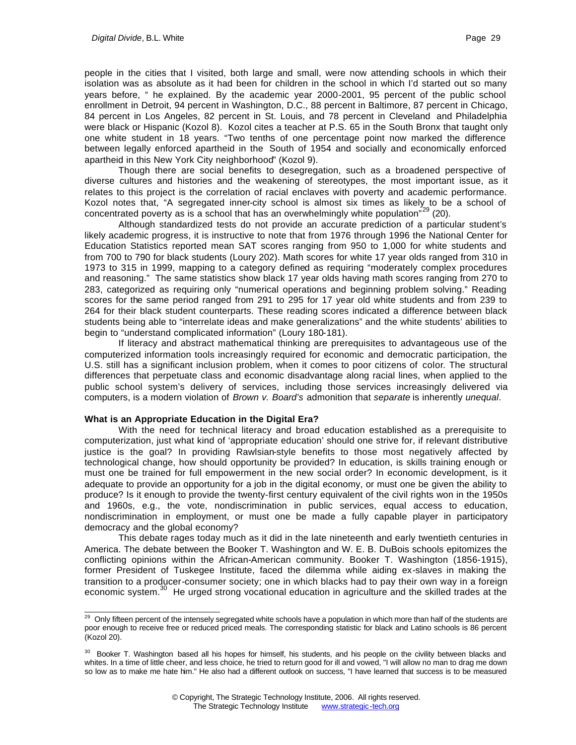people in the cities that I visited, both large and small, were now attending schools in which their isolation was as absolute as it had been for children in the school in which I'd started out so many years before, " he explained. By the academic year 2000-2001, 95 percent of the public school enrollment in Detroit, 94 percent in Washington, D.C., 88 percent in Baltimore, 87 percent in Chicago, 84 percent in Los Angeles, 82 percent in St. Louis, and 78 percent in Cleveland and Philadelphia were black or Hispanic (Kozol 8). Kozol cites a teacher at P.S. 65 in the South Bronx that taught only one white student in 18 years. "Two tenths of one percentage point now marked the difference between legally enforced apartheid in the South of 1954 and socially and economically enforced apartheid in this New York City neighborhood" (Kozol 9).

Though there are social benefits to desegregation, such as a broadened perspective of diverse cultures and histories and the weakening of stereotypes, the most important issue, as it relates to this project is the correlation of racial enclaves with poverty and academic performance. Kozol notes that, "A segregated inner-city school is almost six times as likely to be a school of concentrated poverty as is a school that has an overwhelmingly white population<sup>"29</sup> (20).

Although standardized tests do not provide an accurate prediction of a particular student's likely academic progress, it is instructive to note that from 1976 through 1996 the National Center for Education Statistics reported mean SAT scores ranging from 950 to 1,000 for white students and from 700 to 790 for black students (Loury 202). Math scores for white 17 year olds ranged from 310 in 1973 to 315 in 1999, mapping to a category defined as requiring "moderately complex procedures and reasoning." The same statistics show black 17 year olds having math scores ranging from 270 to 283, categorized as requiring only "numerical operations and beginning problem solving." Reading scores for the same period ranged from 291 to 295 for 17 year old white students and from 239 to 264 for their black student counterparts. These reading scores indicated a difference between black students being able to "interrelate ideas and make generalizations" and the white students' abilities to begin to "understand complicated information" (Loury 180-181).

If literacy and abstract mathematical thinking are prerequisites to advantageous use of the computerized information tools increasingly required for economic and democratic participation, the U.S. still has a significant inclusion problem, when it comes to poor citizens of color. The structural differences that perpetuate class and economic disadvantage along racial lines, when applied to the public school system's delivery of services, including those services increasingly delivered via computers, is a modern violation of *Brown v. Board's* admonition that *separate* is inherently *unequal*.

### **What is an Appropriate Education in the Digital Era?**

With the need for technical literacy and broad education established as a prerequisite to computerization, just what kind of 'appropriate education' should one strive for, if relevant distributive justice is the goal? In providing Rawlsian-style benefits to those most negatively affected by technological change, how should opportunity be provided? In education, is skills training enough or must one be trained for full empowerment in the new social order? In economic development, is it adequate to provide an opportunity for a job in the digital economy, or must one be given the ability to produce? Is it enough to provide the twenty-first century equivalent of the civil rights won in the 1950s and 1960s, e.g., the vote, nondiscrimination in public services, equal access to education, nondiscrimination in employment, or must one be made a fully capable player in participatory democracy and the global economy?

This debate rages today much as it did in the late nineteenth and early twentieth centuries in America. The debate between the Booker T. Washington and W. E. B. DuBois schools epitomizes the conflicting opinions within the African-American community. Booker T. Washington (1856-1915), former President of Tuskegee Institute, faced the dilemma while aiding ex-slaves in making the transition to a producer-consumer society; one in which blacks had to pay their own way in a foreign economic system.<sup>30</sup> He urged strong vocational education in agriculture and the skilled trades at the

l <sup>29</sup> Only fifteen percent of the intensely segregated white schools have a population in which more than half of the students are poor enough to receive free or reduced priced meals. The corresponding statistic for black and Latino schools is 86 percent (Kozol 20).

<sup>&</sup>lt;sup>30</sup> Booker T. Washington based all his hopes for himself, his students, and his people on the civility between blacks and whites. In a time of little cheer, and less choice, he tried to return good for ill and vowed, "I will allow no man to drag me down so low as to make me hate him." He also had a different outlook on success, "I have learned that success is to be measured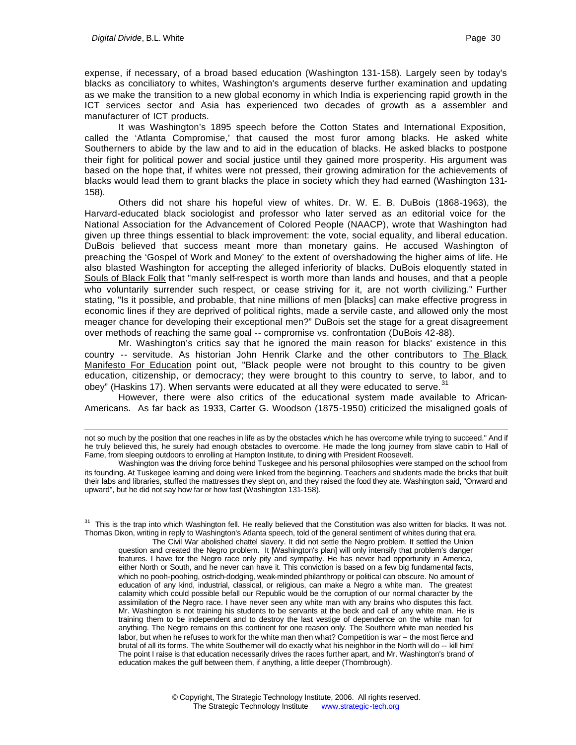expense, if necessary, of a broad based education (Washington 131-158). Largely seen by today's blacks as conciliatory to whites, Washington's arguments deserve further examination and updating as we make the transition to a new global economy in which India is experiencing rapid growth in the ICT services sector and Asia has experienced two decades of growth as a assembler and manufacturer of ICT products.

It was Washington's 1895 speech before the Cotton States and International Exposition, called the 'Atlanta Compromise,' that caused the most furor among blacks. He asked white Southerners to abide by the law and to aid in the education of blacks. He asked blacks to postpone their fight for political power and social justice until they gained more prosperity. His argument was based on the hope that, if whites were not pressed, their growing admiration for the achievements of blacks would lead them to grant blacks the place in society which they had earned (Washington 131- 158).

Others did not share his hopeful view of whites. Dr. W. E. B. DuBois (1868-1963), the Harvard-educated black sociologist and professor who later served as an editorial voice for the National Association for the Advancement of Colored People (NAACP), wrote that Washington had given up three things essential to black improvement: the vote, social equality, and liberal education. DuBois believed that success meant more than monetary gains. He accused Washington of preaching the 'Gospel of Work and Money' to the extent of overshadowing the higher aims of life. He also blasted Washington for accepting the alleged inferiority of blacks. DuBois eloquently stated in Souls of Black Folk that "manly self-respect is worth more than lands and houses, and that a people who voluntarily surrender such respect, or cease striving for it, are not worth civilizing." Further stating, "Is it possible, and probable, that nine millions of men [blacks] can make effective progress in economic lines if they are deprived of political rights, made a servile caste, and allowed only the most meager chance for developing their exceptional men?" DuBois set the stage for a great disagreement over methods of reaching the same goal -- compromise vs. confrontation (DuBois 42-88).

Mr. Washington's critics say that he ignored the main reason for blacks' existence in this country -- servitude. As historian John Henrik Clarke and the other contributors to The Black Manifesto For Education point out, "Black people were not brought to this country to be given education, citizenship, or democracy; they were brought to this country to serve, to labor, and to obey" (Haskins 17). When servants were educated at all they were educated to serve.<sup>31</sup>

However, there were also critics of the educational system made available to African-Americans. As far back as 1933, Carter G. Woodson (1875-1950) criticized the misaligned goals of

<sup>31</sup> This is the trap into which Washington fell. He really believed that the Constitution was also written for blacks. It was not. Thomas Dixon, writing in reply to Washington's Atlanta speech, told of the general sentiment of whites during that era.

The Civil War abolished chattel slavery. It did not settle the Negro problem. It settled the Union question and created the Negro problem. It [Washington's plan] will only intensify that problem's danger features. I have for the Negro race only pity and sympathy. He has never had opportunity in America, either North or South, and he never can have it. This conviction is based on a few big fundamental facts, which no pooh-poohing, ostrich-dodging, weak-minded philanthropy or political can obscure. No amount of education of any kind, industrial, classical, or religious, can make a Negro a white man. The greatest calamity which could possible befall our Republic would be the corruption of our normal character by the assimilation of the Negro race. I have never seen any white man with any brains who disputes this fact. Mr. Washington is not training his students to be servants at the beck and call of any white man. He is training them to be independent and to destroy the last vestige of dependence on the white man for anything. The Negro remains on this continent for one reason only. The Southern white man needed his labor, but when he refuses to work for the white man then what? Competition is war -- the most fierce and brutal of all its forms. The white Southerner will do exactly what his neighbor in the North will do -- kill him! The point I raise is that education necessarily drives the races further apart, and Mr. Washington's brand of education makes the gulf between them, if anything, a little deeper (Thornbrough).

not so much by the position that one reaches in life as by the obstacles which he has overcome while trying to succeed." And if he truly believed this, he surely had enough obstacles to overcome. He made the long journey from slave cabin to Hall of Fame, from sleeping outdoors to enrolling at Hampton Institute, to dining with President Roosevelt.

Washington was the driving force behind Tuskegee and his personal philosophies were stamped on the school from its founding. At Tuskegee learning and doing were linked from the beginning. Teachers and students made the bricks that built their labs and libraries, stuffed the mattresses they slept on, and they raised the food they ate. Washington said, "Onward and upward", but he did not say how far or how fast (Washington 131-158).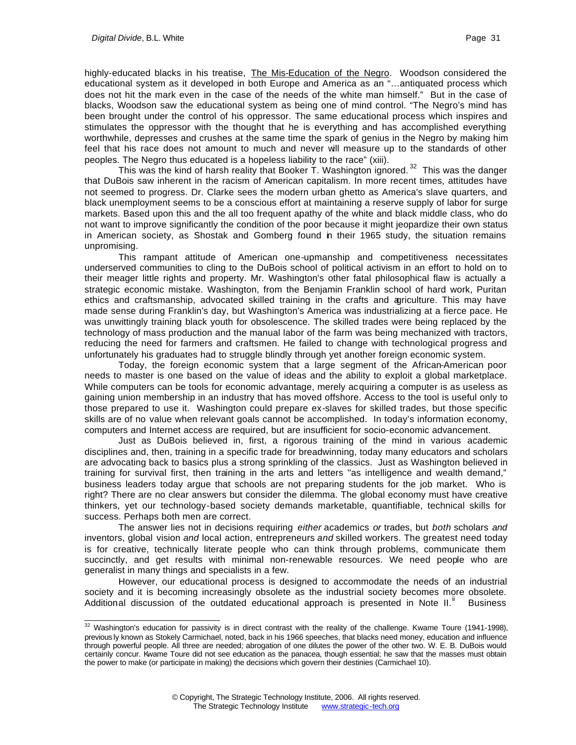highly-educated blacks in his treatise, The Mis-Education of the Negro. Woodson considered the educational system as it developed in both Europe and America as an "…antiquated process which does not hit the mark even in the case of the needs of the white man himself." But in the case of blacks, Woodson saw the educational system as being one of mind control. "The Negro's mind has been brought under the control of his oppressor. The same educational process which inspires and stimulates the oppressor with the thought that he is everything and has accomplished everything worthwhile, depresses and crushes at the same time the spark of genius in the Negro by making him feel that his race does not amount to much and never will measure up to the standards of other peoples. The Negro thus educated is a hopeless liability to the race" (xiii).

This was the kind of harsh reality that Booker  $\overline{T}$ . Washington ignored.<sup>32</sup> This was the danger that DuBois saw inherent in the racism of American capitalism. In more recent times, attitudes have not seemed to progress. Dr. Clarke sees the modern urban ghetto as America's slave quarters, and black unemployment seems to be a conscious effort at maintaining a reserve supply of labor for surge markets. Based upon this and the all too frequent apathy of the white and black middle class, who do not want to improve significantly the condition of the poor because it might jeopardize their own status in American society, as Shostak and Gomberg found in their 1965 study, the situation remains unpromising.

This rampant attitude of American one-upmanship and competitiveness necessitates underserved communities to cling to the DuBois school of political activism in an effort to hold on to their meager little rights and property. Mr. Washington's other fatal philosophical flaw is actually a strategic economic mistake. Washington, from the Benjamin Franklin school of hard work, Puritan ethics and craftsmanship, advocated skilled training in the crafts and agriculture. This may have made sense during Franklin's day, but Washington's America was industrializing at a fierce pace. He was unwittingly training black youth for obsolescence. The skilled trades were being replaced by the technology of mass production and the manual labor of the farm was being mechanized with tractors, reducing the need for farmers and craftsmen. He failed to change with technological progress and unfortunately his graduates had to struggle blindly through yet another foreign economic system.

Today, the foreign economic system that a large segment of the African-American poor needs to master is one based on the value of ideas and the ability to exploit a global marketplace. While computers can be tools for economic advantage, merely acquiring a computer is as useless as gaining union membership in an industry that has moved offshore. Access to the tool is useful only to those prepared to use it. Washington could prepare ex-slaves for skilled trades, but those specific skills are of no value when relevant goals cannot be accomplished. In today's information economy, computers and Internet access are required, but are insufficient for socio-economic advancement.

Just as DuBois believed in, first, a rigorous training of the mind in various academic disciplines and, then, training in a specific trade for breadwinning, today many educators and scholars are advocating back to basics plus a strong sprinkling of the classics. Just as Washington believed in training for survival first, then training in the arts and letters ''as intelligence and wealth demand," business leaders today argue that schools are not preparing students for the job market. Who is right? There are no clear answers but consider the dilemma. The global economy must have creative thinkers, yet our technology-based society demands marketable, quantifiable, technical skills for success. Perhaps both men are correct.

The answer lies not in decisions requiring *either* academics *or* trades, but *both* scholars *and* inventors, global vision *and* local action, entrepreneurs *and* skilled workers. The greatest need today is for creative, technically literate people who can think through problems, communicate them succinctly, and get results with minimal non-renewable resources. We need people who are generalist in many things and specialists in a few.

However, our educational process is designed to accommodate the needs of an industrial society and it is becoming increasingly obsolete as the industrial society becomes more obsolete. Additional discussion of the outdated educational approach is presented in Note II. $"$  Business

 $32$  Washington's education for passivity is in direct contrast with the reality of the challenge. Kwame Toure (1941-1998), previous ly known as Stokely Carmichael, noted, back in his 1966 speeches, that blacks need money, education and influence through powerful people. All three are needed; abrogation of one dilutes the power of the other two. W. E. B. DuBois would certainly concur. Kwame Toure did not see education as the panacea, though essential; he saw that the masses must obtain the power to make (or participate in making) the decisions which govern their destinies (Carmichael 10).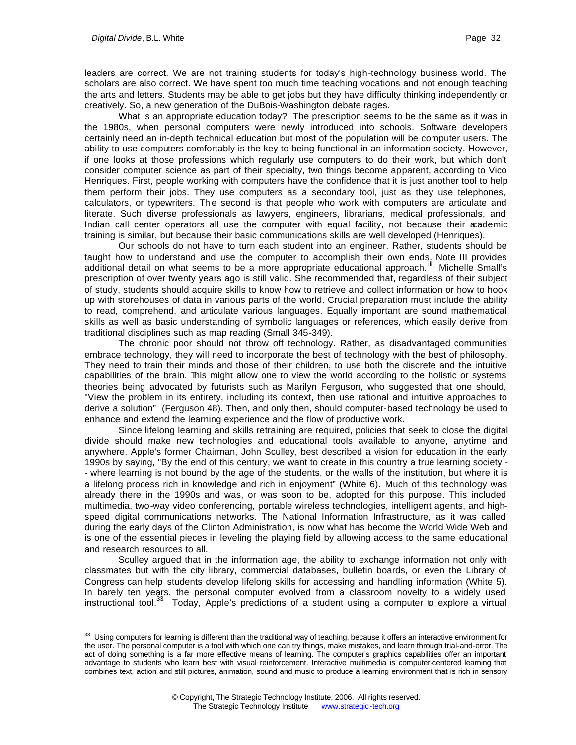leaders are correct. We are not training students for today's high-technology business world. The scholars are also correct. We have spent too much time teaching vocations and not enough teaching the arts and letters. Students may be able to get jobs but they have difficulty thinking independently or creatively. So, a new generation of the DuBois-Washington debate rages.

What is an appropriate education today? The prescription seems to be the same as it was in the 1980s, when personal computers were newly introduced into schools. Software developers certainly need an in-depth technical education but most of the population will be computer users. The ability to use computers comfortably is the key to being functional in an information society. However, if one looks at those professions which regularly use computers to do their work, but which don't consider computer science as part of their specialty, two things become apparent, according to Vico Henriques. First, people working with computers have the confidence that it is just another tool to help them perform their jobs. They use computers as a secondary tool, just as they use telephones, calculators, or typewriters. The second is that people who work with computers are articulate and literate. Such diverse professionals as lawyers, engineers, librarians, medical professionals, and Indian call center operators all use the computer with equal facility, not because their academic training is similar, but because their basic communications skills are well developed (Henriques).

Our schools do not have to turn each student into an engineer. Rather, students should be taught how to understand and use the computer to accomplish their own ends. Note III provides additional detail on what seems to be a more appropriate educational approach.<sup>"</sup> Michelle Small's prescription of over twenty years ago is still valid. She recommended that, regardless of their subject of study, students should acquire skills to know how to retrieve and collect information or how to hook up with storehouses of data in various parts of the world. Crucial preparation must include the ability to read, comprehend, and articulate various languages. Equally important are sound mathematical skills as well as basic understanding of symbolic languages or references, which easily derive from traditional disciplines such as map reading (Small 345-349).

The chronic poor should not throw off technology. Rather, as disadvantaged communities embrace technology, they will need to incorporate the best of technology with the best of philosophy. They need to train their minds and those of their children, to use both the discrete and the intuitive capabilities of the brain. This might allow one to view the world according to the holistic or systems theories being advocated by futurists such as Marilyn Ferguson, who suggested that one should, "View the problem in its entirety, including its context, then use rational and intuitive approaches to derive a solution" (Ferguson 48). Then, and only then, should computer-based technology be used to enhance and extend the learning experience and the flow of productive work.

Since lifelong learning and skills retraining are required, policies that seek to close the digital divide should make new technologies and educational tools available to anyone, anytime and anywhere. Apple's former Chairman, John Sculley, best described a vision for education in the early 1990s by saying, "By the end of this century, we want to create in this country a true learning society - - where learning is not bound by the age of the students, or the walls of the institution, but where it is a lifelong process rich in knowledge and rich in enjoyment" (White 6). Much of this technology was already there in the 1990s and was, or was soon to be, adopted for this purpose. This included multimedia, two-way video conferencing, portable wireless technologies, intelligent agents, and highspeed digital communications networks. The National Information Infrastructure, as it was called during the early days of the Clinton Administration, is now what has become the World Wide Web and is one of the essential pieces in leveling the playing field by allowing access to the same educational and research resources to all.

Sculley argued that in the information age, the ability to exchange information not only with classmates but with the city library, commercial databases, bulletin boards, or even the Library of Congress can help students develop lifelong skills for accessing and handling information (White 5). In barely ten years, the personal computer evolved from a classroom novelty to a widely used instructional tool.<sup>33</sup> Today, Apple's predictions of a student using a computer to explore a virtual

 $33$  Using computers for learning is different than the traditional way of teaching, because it offers an interactive environment for the user. The personal computer is a tool with which one can try things, make mistakes, and learn through trial-and-error. The act of doing something is a far more effective means of learning. The computer's graphics capabilities offer an important advantage to students who learn best with visual reinforcement. Interactive multimedia is computer-centered learning that combines text, action and still pictures, animation, sound and music to produce a learning environment that is rich in sensory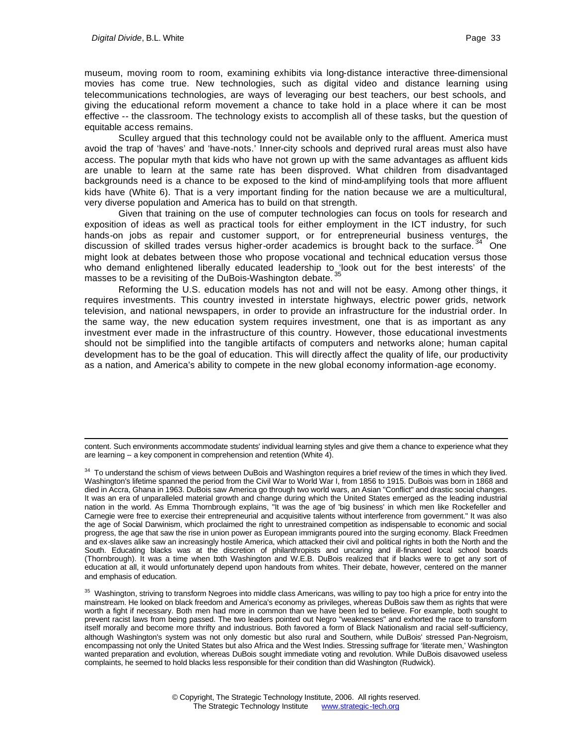museum, moving room to room, examining exhibits via long-distance interactive three-dimensional movies has come true. New technologies, such as digital video and distance learning using telecommunications technologies, are ways of leveraging our best teachers, our best schools, and giving the educational reform movement a chance to take hold in a place where it can be most effective -- the classroom. The technology exists to accomplish all of these tasks, but the question of equitable access remains.

Sculley argued that this technology could not be available only to the affluent. America must avoid the trap of 'haves' and 'have-nots.' Inner-city schools and deprived rural areas must also have access. The popular myth that kids who have not grown up with the same advantages as affluent kids are unable to learn at the same rate has been disproved. What children from disadvantaged backgrounds need is a chance to be exposed to the kind of mind-amplifying tools that more affluent kids have (White 6). That is a very important finding for the nation because we are a multicultural, very diverse population and America has to build on that strength.

Given that training on the use of computer technologies can focus on tools for research and exposition of ideas as well as practical tools for either employment in the ICT industry, for such hands-on jobs as repair and customer support, or for entrepreneurial business ventures, the discussion of skilled trades versus higher-order academics is brought back to the surface.  $34$  One might look at debates between those who propose vocational and technical education versus those who demand enlightened liberally educated leadership to 'look out for the best interests' of the masses to be a revisiting of the DuBois-Washington debate. 35

Reforming the U.S. education models has not and will not be easy. Among other things, it requires investments. This country invested in interstate highways, electric power grids, network television, and national newspapers, in order to provide an infrastructure for the industrial order. In the same way, the new education system requires investment, one that is as important as any investment ever made in the infrastructure of this country. However, those educational investments should not be simplified into the tangible artifacts of computers and networks alone; human capital development has to be the goal of education. This will directly affect the quality of life, our productivity as a nation, and America's ability to compete in the new global economy information-age economy.

content. Such environments accommodate students' individual learning styles and give them a chance to experience what they are learning -- a key component in comprehension and retention (White 4).

<sup>&</sup>lt;sup>34</sup> To understand the schism of views between DuBois and Washington requires a brief review of the times in which they lived. Washington's lifetime spanned the period from the Civil War to World War I, from 1856 to 1915. DuBois was born in 1868 and died in Accra, Ghana in 1963. DuBois saw America go through two world wars, an Asian "Conflict" and drastic social changes. It was an era of unparalleled material growth and change during which the United States emerged as the leading industrial nation in the world. As Emma Thornbrough explains, "It was the age of 'big business' in which men like Rockefeller and Carnegie were free to exercise their entrepreneurial and acquisitive talents without interference from government." It was also the age of Social Darwinism, which proclaimed the right to unrestrained competition as indispensable to economic and social progress, the age that saw the rise in union power as European immigrants poured into the surging economy. Black Freedmen and ex-slaves alike saw an increasingly hostile America, which attacked their civil and political rights in both the North and the South. Educating blacks was at the discretion of philanthropists and uncaring and ill-financed local school boards (Thornbrough). It was a time when both Washington and W.E.B. DuBois realized that if blacks were to get any sort of education at all, it would unfortunately depend upon handouts from whites. Their debate, however, centered on the manner and emphasis of education.

<sup>&</sup>lt;sup>35</sup> Washington, striving to transform Negroes into middle class Americans, was willing to pay too high a price for entry into the mainstream. He looked on black freedom and America's economy as privileges, whereas DuBois saw them as rights that were worth a fight if necessary. Both men had more in common than we have been led to believe. For example, both sought to prevent racist laws from being passed. The two leaders pointed out Negro "weaknesses" and exhorted the race to transform itself morally and become more thrifty and industrious. Both favored a form of Black Nationalism and racial self-sufficiency, although Washington's system was not only domestic but also rural and Southern, while DuBois' stressed Pan-Negroism, encompassing not only the United States but also Africa and the West Indies. Stressing suffrage for 'literate men,' Washington wanted preparation and evolution, whereas DuBois sought immediate voting and revolution. While DuBois disavowed useless complaints, he seemed to hold blacks less responsible for their condition than did Washington (Rudwick).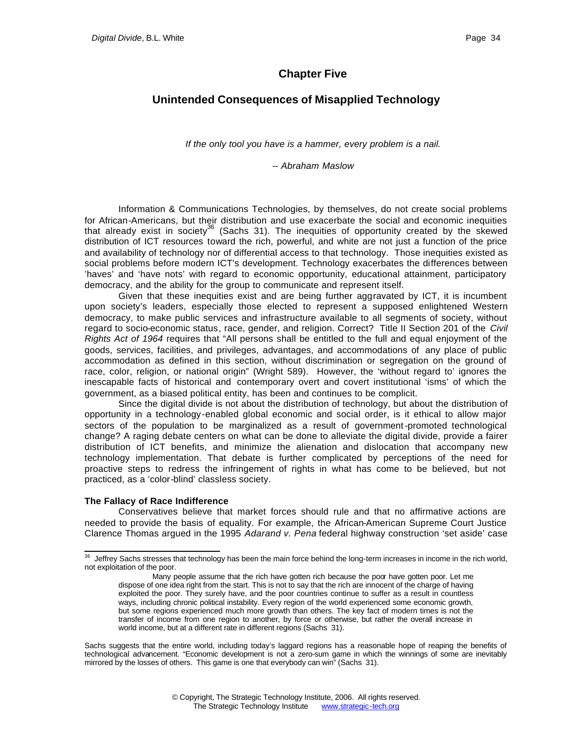# **Chapter Five**

## **Unintended Consequences of Misapplied Technology**

*If the only tool you have is a hammer, every problem is a nail.*

#### *-- Abraham Maslow*

Information & Communications Technologies, by themselves, do not create social problems for African-Americans, but their distribution and use exacerbate the social and economic inequities that already exist in society<sup>36</sup> (Sachs 31). The inequities of opportunity created by the skewed distribution of ICT resources toward the rich, powerful, and white are not just a function of the price and availability of technology nor of differential access to that technology. Those inequities existed as social problems before modern ICT's development. Technology exacerbates the differences between 'haves' and 'have nots' with regard to economic opportunity, educational attainment, participatory democracy, and the ability for the group to communicate and represent itself.

Given that these inequities exist and are being further aggravated by ICT, it is incumbent upon society's leaders, especially those elected to represent a supposed enlightened Western democracy, to make public services and infrastructure available to all segments of society, without regard to socio-economic status, race, gender, and religion. Correct? Title II Section 201 of the *Civil Rights Act of 1964* requires that "All persons shall be entitled to the full and equal enjoyment of the goods, services, facilities, and privileges, advantages, and accommodations of any place of public accommodation as defined in this section, without discrimination or segregation on the ground of race, color, religion, or national origin" (Wright 589). However, the 'without regard to' ignores the inescapable facts of historical and contemporary overt and covert institutional 'isms' of which the government, as a biased political entity, has been and continues to be complicit.

Since the digital divide is not about the distribution of technology, but about the distribution of opportunity in a technology-enabled global economic and social order, is it ethical to allow major sectors of the population to be marginalized as a result of government-promoted technological change? A raging debate centers on what can be done to alleviate the digital divide, provide a fairer distribution of ICT benefits, and minimize the alienation and dislocation that accompany new technology implementation. That debate is further complicated by perceptions of the need for proactive steps to redress the infringement of rights in what has come to be believed, but not practiced, as a 'color-blind' classless society.

#### **The Fallacy of Race Indifference**

Conservatives believe that market forces should rule and that no affirmative actions are needed to provide the basis of equality. For example, the African-American Supreme Court Justice Clarence Thomas argued in the 1995 *Adarand v. Pena* federal highway construction 'set aside' case

Sachs suggests that the entire world, including today's laggard regions has a reasonable hope of reaping the benefits of technological advancement. "Economic development is not a zero-sum game in which the winnings of some are inevitably mirrored by the losses of others. This game is one that everybody can win" (Sachs 31).

l  $36$  Jeffrey Sachs stresses that technology has been the main force behind the long-term increases in income in the rich world, not exploitation of the poor.

Many people assume that the rich have gotten rich because the poor have gotten poor. Let me dispose of one idea right from the start. This is not to say that the rich are innocent of the charge of having exploited the poor. They surely have, and the poor countries continue to suffer as a result in countless ways, including chronic political instability. Every region of the world experienced some economic growth, but some regions experienced much more growth than others. The key fact of modern times is not the transfer of income from one region to another, by force or otherwise, but rather the overall increase in world income, but at a different rate in different regions (Sachs 31).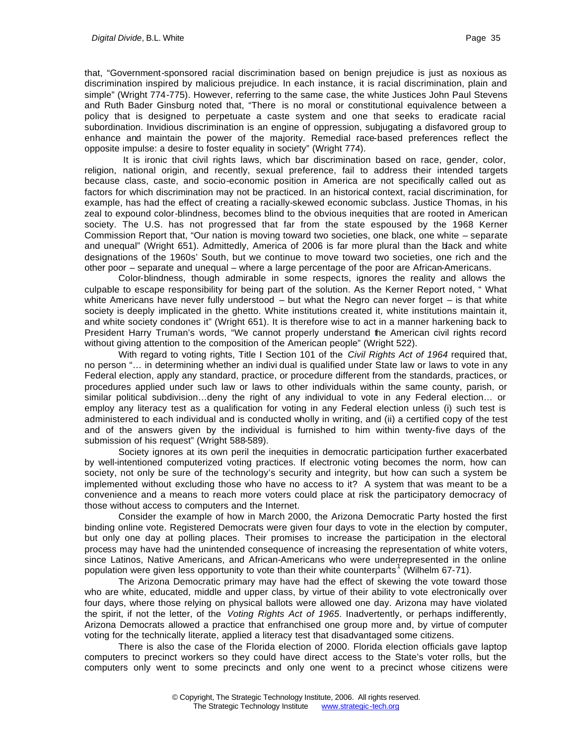that, "Government-sponsored racial discrimination based on benign prejudice is just as noxious as discrimination inspired by malicious prejudice. In each instance, it is racial discrimination, plain and simple" (Wright 774-775). However, referring to the same case, the white Justices John Paul Stevens and Ruth Bader Ginsburg noted that, "There is no moral or constitutional equivalence between a policy that is designed to perpetuate a caste system and one that seeks to eradicate racial subordination. Invidious discrimination is an engine of oppression, subjugating a disfavored group to enhance and maintain the power of the majority. Remedial race-based preferences reflect the opposite impulse: a desire to foster equality in society" (Wright 774).

 It is ironic that civil rights laws, which bar discrimination based on race, gender, color, religion, national origin, and recently, sexual preference, fail to address their intended targets because class, caste, and socio-economic position in America are not specifically called out as factors for which discrimination may not be practiced. In an historical context, racial discrimination, for example, has had the effect of creating a racially-skewed economic subclass. Justice Thomas, in his zeal to expound color-blindness, becomes blind to the obvious inequities that are rooted in American society. The U.S. has not progressed that far from the state espoused by the 1968 Kerner Commission Report that, "Our nation is moving toward two societies, one black, one white – separate and unequal" (Wright 651). Admittedly, America of 2006 is far more plural than the black and white designations of the 1960s' South, but we continue to move toward two societies, one rich and the other poor – separate and unequal – where a large percentage of the poor are African-Americans.

Color-blindness, though admirable in some respects, ignores the reality and allows the culpable to escape responsibility for being part of the solution. As the Kerner Report noted, " What white Americans have never fully understood  $-$  but what the Negro can never forget  $-$  is that white society is deeply implicated in the ghetto. White institutions created it, white institutions maintain it, and white society condones it" (Wright 651). It is therefore wise to act in a manner harkening back to President Harry Truman's words, "We cannot properly understand the American civil rights record without giving attention to the composition of the American people" (Wright 522).

With regard to voting rights, Title I Section 101 of the *Civil Rights Act of 1964* required that, no person "… in determining whether an indivi dual is qualified under State law or laws to vote in any Federal election, apply any standard, practice, or procedure different from the standards, practices, or procedures applied under such law or laws to other individuals within the same county, parish, or similar political subdivision…deny the right of any individual to vote in any Federal election… or employ any literacy test as a qualification for voting in any Federal election unless (i) such test is administered to each individual and is conducted wholly in writing, and (ii) a certified copy of the test and of the answers given by the individual is furnished to him within twenty-five days of the submission of his request" (Wright 588-589).

Society ignores at its own peril the inequities in democratic participation further exacerbated by well-intentioned computerized voting practices. If electronic voting becomes the norm, how can society, not only be sure of the technology's security and integrity, but how can such a system be implemented without excluding those who have no access to it? A system that was meant to be a convenience and a means to reach more voters could place at risk the participatory democracy of those without access to computers and the Internet.

Consider the example of how in March 2000, the Arizona Democratic Party hosted the first binding online vote. Registered Democrats were given four days to vote in the election by computer, but only one day at polling places. Their promises to increase the participation in the electoral process may have had the unintended consequence of increasing the representation of white voters, since Latinos, Native Americans, and African-Americans who were underrepresented in the online population were given less opportunity to vote than their white counterparts<sup>1</sup> (Wilhelm 67-71).

The Arizona Democratic primary may have had the effect of skewing the vote toward those who are white, educated, middle and upper class, by virtue of their ability to vote electronically over four days, where those relying on physical ballots were allowed one day. Arizona may have violated the spirit, if not the letter, of the *Voting Rights Act of 1965*. Inadvertently, or perhaps indifferently, Arizona Democrats allowed a practice that enfranchised one group more and, by virtue of computer voting for the technically literate, applied a literacy test that disadvantaged some citizens.

There is also the case of the Florida election of 2000. Florida election officials gave laptop computers to precinct workers so they could have direct access to the State's voter rolls, but the computers only went to some precincts and only one went to a precinct whose citizens were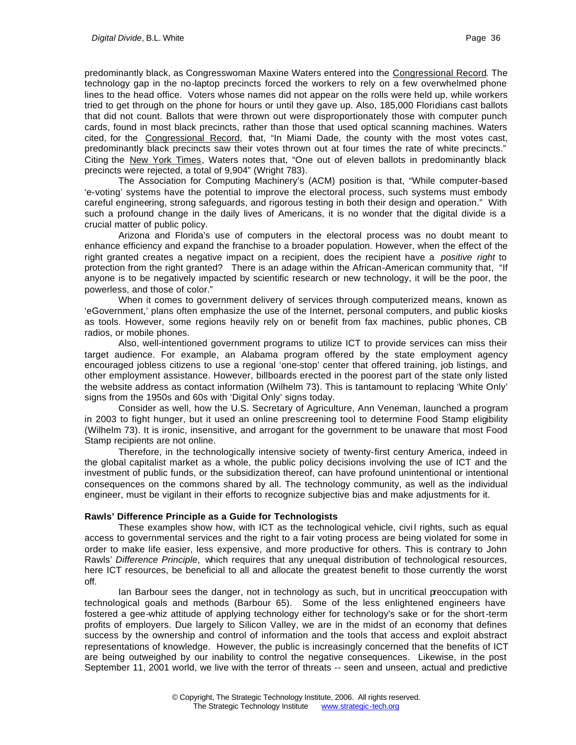predominantly black, as Congresswoman Maxine Waters entered into the Congressional Record. The technology gap in the no-laptop precincts forced the workers to rely on a few overwhelmed phone lines to the head office. Voters whose names did not appear on the rolls were held up, while workers tried to get through on the phone for hours or until they gave up. Also, 185,000 Floridians cast ballots that did not count. Ballots that were thrown out were disproportionately those with computer punch cards, found in most black precincts, rather than those that used optical scanning machines. Waters cited, for the Congressional Record, that, "In Miami Dade, the county with the most votes cast, predominantly black precincts saw their votes thrown out at four times the rate of white precincts." Citing the New York Times, Waters notes that, "One out of eleven ballots in predominantly black precincts were rejected, a total of 9,904" (Wright 783).

The Association for Computing Machinery's (ACM) position is that, "While computer-based 'e-voting' systems have the potential to improve the electoral process, such systems must embody careful engineering, strong safeguards, and rigorous testing in both their design and operation." With such a profound change in the daily lives of Americans, it is no wonder that the digital divide is a crucial matter of public policy.

Arizona and Florida's use of computers in the electoral process was no doubt meant to enhance efficiency and expand the franchise to a broader population. However, when the effect of the right granted creates a negative impact on a recipient, does the recipient have a *positive right* to protection from the right granted? There is an adage within the African-American community that, "If anyone is to be negatively impacted by scientific research or new technology, it will be the poor, the powerless, and those of color."

When it comes to government delivery of services through computerized means, known as 'eGovernment,' plans often emphasize the use of the Internet, personal computers, and public kiosks as tools. However, some regions heavily rely on or benefit from fax machines, public phones, CB radios, or mobile phones.

Also, well-intentioned government programs to utilize ICT to provide services can miss their target audience. For example, an Alabama program offered by the state employment agency encouraged jobless citizens to use a regional 'one-stop' center that offered training, job listings, and other employment assistance. However, billboards erected in the poorest part of the state only listed the website address as contact information (Wilhelm 73). This is tantamount to replacing 'White Only' signs from the 1950s and 60s with 'Digital Only' signs today.

Consider as well, how the U.S. Secretary of Agriculture, Ann Veneman, launched a program in 2003 to fight hunger, but it used an online prescreening tool to determine Food Stamp eligibility (Wilhelm 73). It is ironic, insensitive, and arrogant for the government to be unaware that most Food Stamp recipients are not online.

Therefore, in the technologically intensive society of twenty-first century America, indeed in the global capitalist market as a whole, the public policy decisions involving the use of ICT and the investment of public funds, or the subsidization thereof, can have profound unintentional or intentional consequences on the commons shared by all. The technology community, as well as the individual engineer, must be vigilant in their efforts to recognize subjective bias and make adjustments for it.

### **Rawls' Difference Principle as a Guide for Technologists**

These examples show how, with ICT as the technological vehicle, civil rights, such as equal access to governmental services and the right to a fair voting process are being violated for some in order to make life easier, less expensive, and more productive for others. This is contrary to John Rawls' *Difference Principle*, which requires that any unequal distribution of technological resources, here ICT resources, be beneficial to all and allocate the greatest benefit to those currently the worst off.

Ian Barbour sees the danger, not in technology as such, but in uncritical preoccupation with technological goals and methods (Barbour 65). Some of the less enlightened engineers have fostered a gee-whiz attitude of applying technology either for technology's sake or for the short-term profits of employers. Due largely to Silicon Valley, we are in the midst of an economy that defines success by the ownership and control of information and the tools that access and exploit abstract representations of knowledge. However, the public is increasingly concerned that the benefits of ICT are being outweighed by our inability to control the negative consequences. Likewise, in the post September 11, 2001 world, we live with the terror of threats -- seen and unseen, actual and predictive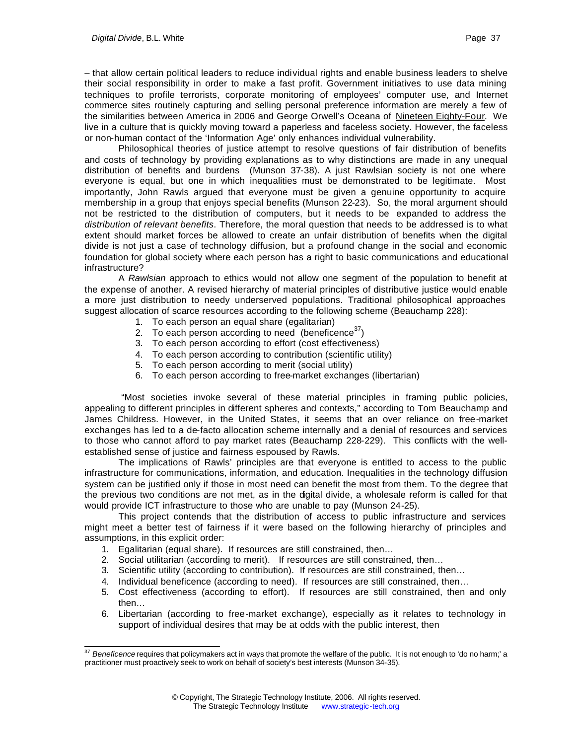– that allow certain political leaders to reduce individual rights and enable business leaders to shelve their social responsibility in order to make a fast profit. Government initiatives to use data mining techniques to profile terrorists, corporate monitoring of employees' computer use, and Internet commerce sites routinely capturing and selling personal preference information are merely a few of the similarities between America in 2006 and George Orwell's Oceana of Nineteen Eighty-Four. We live in a culture that is quickly moving toward a paperless and faceless society. However, the faceless or non-human contact of the 'Information Age' only enhances individual vulnerability.

Philosophical theories of justice attempt to resolve questions of fair distribution of benefits and costs of technology by providing explanations as to why distinctions are made in any unequal distribution of benefits and burdens (Munson 37-38). A just Rawlsian society is not one where everyone is equal, but one in which inequalities must be demonstrated to be legitimate. Most importantly, John Rawls argued that everyone must be given a genuine opportunity to acquire membership in a group that enjoys special benefits (Munson 22-23). So, the moral argument should not be restricted to the distribution of computers, but it needs to be expanded to address the *distribution of relevant benefits*. Therefore, the moral question that needs to be addressed is to what extent should market forces be allowed to create an unfair distribution of benefits when the digital divide is not just a case of technology diffusion, but a profound change in the social and economic foundation for global society where each person has a right to basic communications and educational infrastructure?

A *Rawlsian* approach to ethics would not allow one segment of the population to benefit at the expense of another. A revised hierarchy of material principles of distributive justice would enable a more just distribution to needy underserved populations. Traditional philosophical approaches suggest allocation of scarce resources according to the following scheme (Beauchamp 228):

- 1. To each person an equal share (egalitarian)
- 2. To each person according to need (beneficence $37$ )
- 3. To each person according to effort (cost effectiveness)
- 4. To each person according to contribution (scientific utility)
- 5. To each person according to merit (social utility)
- 6. To each person according to free-market exchanges (libertarian)

 "Most societies invoke several of these material principles in framing public policies, appealing to different principles in different spheres and contexts," according to Tom Beauchamp and James Childress. However, in the United States, it seems that an over reliance on free-market exchanges has led to a de-facto allocation scheme internally and a denial of resources and services to those who cannot afford to pay market rates (Beauchamp 228-229). This conflicts with the wellestablished sense of justice and fairness espoused by Rawls.

The implications of Rawls' principles are that everyone is entitled to access to the public infrastructure for communications, information, and education. Inequalities in the technology diffusion system can be justified only if those in most need can benefit the most from them. To the degree that the previous two conditions are not met, as in the digital divide, a wholesale reform is called for that would provide ICT infrastructure to those who are unable to pay (Munson 24-25).

This project contends that the distribution of access to public infrastructure and services might meet a better test of fairness if it were based on the following hierarchy of principles and assumptions, in this explicit order:

- 1. Egalitarian (equal share). If resources are still constrained, then…
- 2. Social utilitarian (according to merit). If resources are still constrained, then…
- 3. Scientific utility (according to contribution). If resources are still constrained, then…
- 4. Individual beneficence (according to need). If resources are still constrained, then…
- 5. Cost effectiveness (according to effort). If resources are still constrained, then and only then…
- 6. Libertarian (according to free-market exchange), especially as it relates to technology in support of individual desires that may be at odds with the public interest, then

l <sup>37</sup> *Beneficence* requires that policymakers act in ways that promote the welfare of the public. It is not enough to 'do no harm;' a practitioner must proactively seek to work on behalf of society's best interests (Munson 34-35).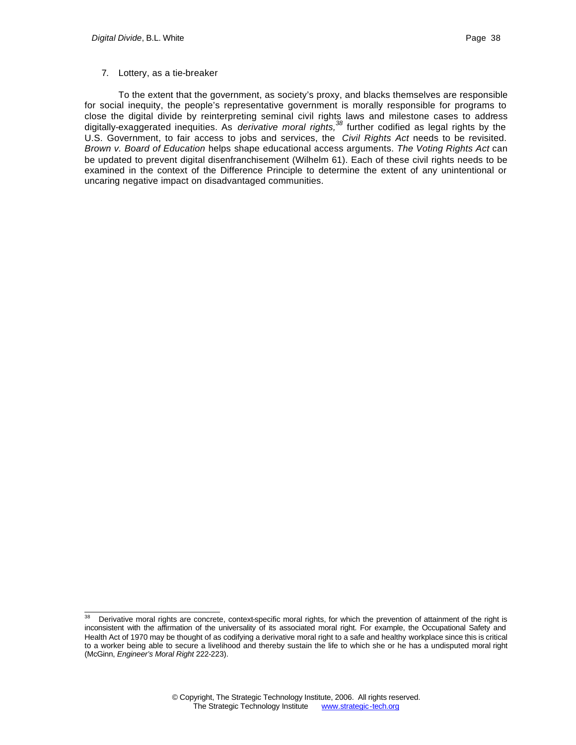### 7. Lottery, as a tie-breaker

To the extent that the government, as society's proxy, and blacks themselves are responsible for social inequity, the people's representative government is morally responsible for programs to close the digital divide by reinterpreting seminal civil rights laws and milestone cases to address digitally-exaggerated inequities. As *derivative moral rights,<sup>38</sup>* further codified as legal rights by the U.S. Government, to fair access to jobs and services, the *Civil Rights Act* needs to be revisited. *Brown v. Board of Education* helps shape educational access arguments. *The Voting Rights Act* can be updated to prevent digital disenfranchisement (Wilhelm 61). Each of these civil rights needs to be examined in the context of the Difference Principle to determine the extent of any unintentional or uncaring negative impact on disadvantaged communities.

<sup>38</sup> Derivative moral rights are concrete, context-specific moral rights, for which the prevention of attainment of the right is inconsistent with the affirmation of the universality of its associated moral right. For example, the Occupational Safety and Health Act of 1970 may be thought of as codifying a derivative moral right to a safe and healthy workplace since this is critical to a worker being able to secure a livelihood and thereby sustain the life to which she or he has a undisputed moral right (McGinn, *Engineer's Moral Right* 222-223).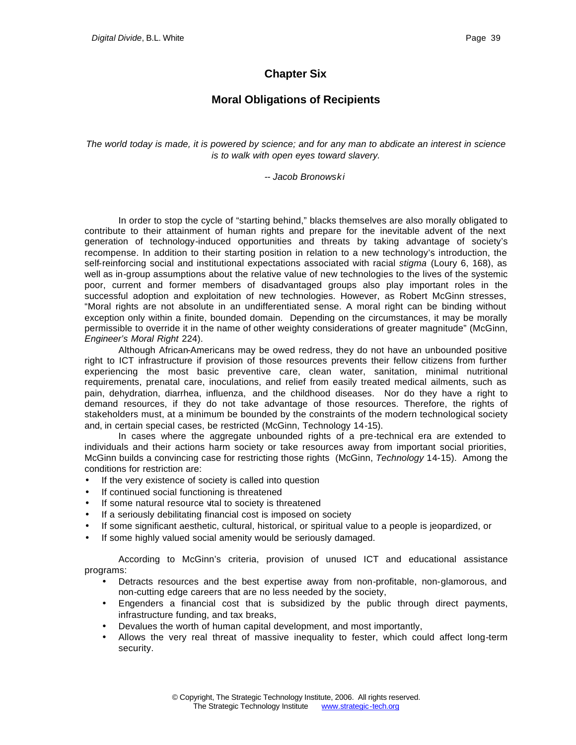# **Chapter Six**

# **Moral Obligations of Recipients**

*The world today is made, it is powered by science; and for any man to abdicate an interest in science is to walk with open eyes toward slavery.*

*-- Jacob Bronowski*

In order to stop the cycle of "starting behind," blacks themselves are also morally obligated to contribute to their attainment of human rights and prepare for the inevitable advent of the next generation of technology-induced opportunities and threats by taking advantage of society's recompense. In addition to their starting position in relation to a new technology's introduction, the self-reinforcing social and institutional expectations associated with racial *stigma* (Loury 6, 168), as well as in-group assumptions about the relative value of new technologies to the lives of the systemic poor, current and former members of disadvantaged groups also play important roles in the successful adoption and exploitation of new technologies. However, as Robert McGinn stresses, "Moral rights are not absolute in an undifferentiated sense. A moral right can be binding without exception only within a finite, bounded domain. Depending on the circumstances, it may be morally permissible to override it in the name of other weighty considerations of greater magnitude" (McGinn, *Engineer's Moral Right* 224).

Although African-Americans may be owed redress, they do not have an unbounded positive right to ICT infrastructure if provision of those resources prevents their fellow citizens from further experiencing the most basic preventive care, clean water, sanitation, minimal nutritional requirements, prenatal care, inoculations, and relief from easily treated medical ailments, such as pain, dehydration, diarrhea, influenza, and the childhood diseases. Nor do they have a right to demand resources, if they do not take advantage of those resources. Therefore, the rights of stakeholders must, at a minimum be bounded by the constraints of the modern technological society and, in certain special cases, be restricted (McGinn, Technology 14-15).

In cases where the aggregate unbounded rights of a pre-technical era are extended to individuals and their actions harm society or take resources away from important social priorities, McGinn builds a convincing case for restricting those rights (McGinn, *Technology* 14-15). Among the conditions for restriction are:

- If the very existence of society is called into question
- If continued social functioning is threatened
- If some natural resource vital to society is threatened
- If a seriously debilitating financial cost is imposed on society
- If some significant aesthetic, cultural, historical, or spiritual value to a people is jeopardized, or
- If some highly valued social amenity would be seriously damaged.

According to McGinn's criteria, provision of unused ICT and educational assistance programs:

- Detracts resources and the best expertise away from non-profitable, non-glamorous, and non-cutting edge careers that are no less needed by the society,
- Engenders a financial cost that is subsidized by the public through direct payments, infrastructure funding, and tax breaks,
- Devalues the worth of human capital development, and most importantly,
- Allows the very real threat of massive inequality to fester, which could affect long-term security.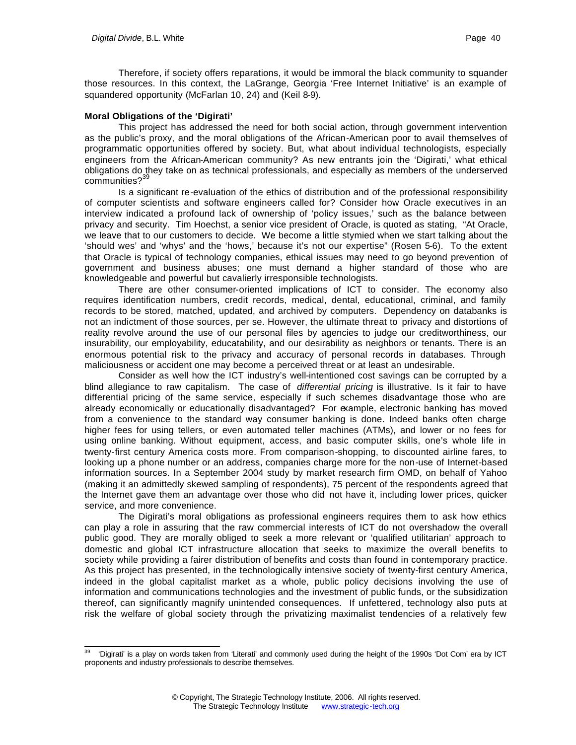Therefore, if society offers reparations, it would be immoral the black community to squander those resources. In this context, the LaGrange, Georgia 'Free Internet Initiative' is an example of squandered opportunity (McFarlan 10, 24) and (Keil 8-9).

### **Moral Obligations of the 'Digirati'**

This project has addressed the need for both social action, through government intervention as the public's proxy, and the moral obligations of the African-American poor to avail themselves of programmatic opportunities offered by society. But, what about individual technologists, especially engineers from the African-American community? As new entrants join the 'Digirati,' what ethical obligations do they take on as technical professionals, and especially as members of the underserved communities?<sup>39</sup>

Is a significant re-evaluation of the ethics of distribution and of the professional responsibility of computer scientists and software engineers called for? Consider how Oracle executives in an interview indicated a profound lack of ownership of 'policy issues,' such as the balance between privacy and security. Tim Hoechst, a senior vice president of Oracle, is quoted as stating, "At Oracle, we leave that to our customers to decide. We become a little stymied when we start talking about the 'should wes' and 'whys' and the 'hows,' because it's not our expertise" (Rosen 5-6). To the extent that Oracle is typical of technology companies, ethical issues may need to go beyond prevention of government and business abuses; one must demand a higher standard of those who are knowledgeable and powerful but cavalierly irresponsible technologists.

There are other consumer-oriented implications of ICT to consider. The economy also requires identification numbers, credit records, medical, dental, educational, criminal, and family records to be stored, matched, updated, and archived by computers. Dependency on databanks is not an indictment of those sources, per se. However, the ultimate threat to privacy and distortions of reality revolve around the use of our personal files by agencies to judge our creditworthiness, our insurability, our employability, educatability, and our desirability as neighbors or tenants. There is an enormous potential risk to the privacy and accuracy of personal records in databases. Through maliciousness or accident one may become a perceived threat or at least an undesirable.

Consider as well how the ICT industry's well-intentioned cost savings can be corrupted by a blind allegiance to raw capitalism. The case of *differential pricing* is illustrative. Is it fair to have differential pricing of the same service, especially if such schemes disadvantage those who are already economically or educationally disadvantaged? For example, electronic banking has moved from a convenience to the standard way consumer banking is done. Indeed banks often charge higher fees for using tellers, or even automated teller machines (ATMs), and lower or no fees for using online banking. Without equipment, access, and basic computer skills, one's whole life in twenty-first century America costs more. From comparison-shopping, to discounted airline fares, to looking up a phone number or an address, companies charge more for the non-use of Internet-based information sources. In a September 2004 study by market research firm OMD, on behalf of Yahoo (making it an admittedly skewed sampling of respondents), 75 percent of the respondents agreed that the Internet gave them an advantage over those who did not have it, including lower prices, quicker service, and more convenience.

The Digirati's moral obligations as professional engineers requires them to ask how ethics can play a role in assuring that the raw commercial interests of ICT do not overshadow the overall public good. They are morally obliged to seek a more relevant or 'qualified utilitarian' approach to domestic and global ICT infrastructure allocation that seeks to maximize the overall benefits to society while providing a fairer distribution of benefits and costs than found in contemporary practice. As this project has presented, in the technologically intensive society of twenty-first century America, indeed in the global capitalist market as a whole, public policy decisions involving the use of information and communications technologies and the investment of public funds, or the subsidization thereof, can significantly magnify unintended consequences. If unfettered, technology also puts at risk the welfare of global society through the privatizing maximalist tendencies of a relatively few

l <sup>39</sup> 'Digirati' is a play on words taken from 'Literati' and commonly used during the height of the 1990s 'Dot Com' era by ICT proponents and industry professionals to describe themselves.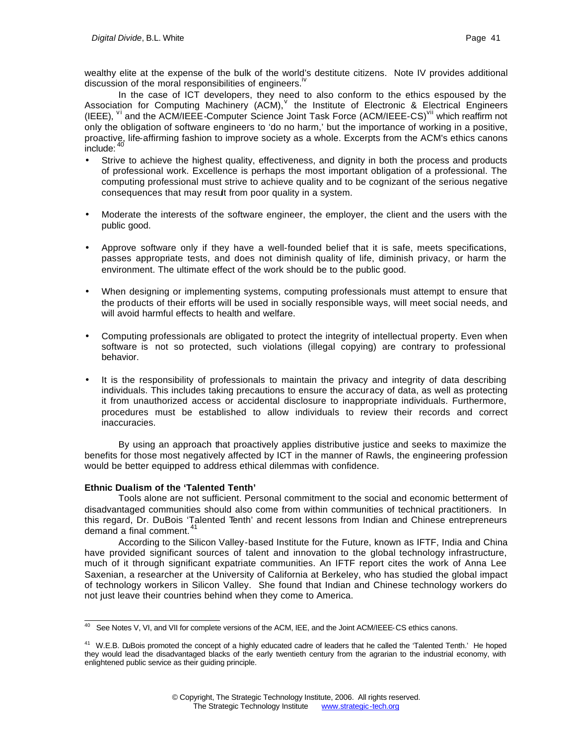wealthy elite at the expense of the bulk of the world's destitute citizens. Note IV provides additional discussion of the moral responsibilities of engineers.<sup>iv</sup>

In the case of ICT developers, they need to also conform to the ethics espoused by the Association for Computing Machinery (ACM), the Institute of Electronic & Electrical Engineers (IEEE), <sup>V</sup> and the ACM/IEEE-Computer Science Joint Task Force (ACM/IEEE-CS)<sup>VII</sup> which reaffirm not only the obligation of software engineers to 'do no harm,' but the importance of working in a positive, proactive, life-affirming fashion to improve society as a whole. Excerpts from the ACM's ethics canons  $inc$ include:  $40$ 

- Strive to achieve the highest quality, effectiveness, and dignity in both the process and products of professional work. Excellence is perhaps the most important obligation of a professional. The computing professional must strive to achieve quality and to be cognizant of the serious negative consequences that may result from poor quality in a system.
- Moderate the interests of the software engineer, the employer, the client and the users with the public good.
- Approve software only if they have a well-founded belief that it is safe, meets specifications, passes appropriate tests, and does not diminish quality of life, diminish privacy, or harm the environment. The ultimate effect of the work should be to the public good.
- When designing or implementing systems, computing professionals must attempt to ensure that the products of their efforts will be used in socially responsible ways, will meet social needs, and will avoid harmful effects to health and welfare.
- Computing professionals are obligated to protect the integrity of intellectual property. Even when software is not so protected, such violations (illegal copying) are contrary to professional behavior.
- It is the responsibility of professionals to maintain the privacy and integrity of data describing individuals. This includes taking precautions to ensure the accuracy of data, as well as protecting it from unauthorized access or accidental disclosure to inappropriate individuals. Furthermore, procedures must be established to allow individuals to review their records and correct inaccuracies.

By using an approach that proactively applies distributive justice and seeks to maximize the benefits for those most negatively affected by ICT in the manner of Rawls, the engineering profession would be better equipped to address ethical dilemmas with confidence.

### **Ethnic Dualism of the 'Talented Tenth'**

Tools alone are not sufficient. Personal commitment to the social and economic betterment of disadvantaged communities should also come from within communities of technical practitioners. In this regard, Dr. DuBois 'Talented Tenth' and recent lessons from Indian and Chinese entrepreneurs demand a final comment.<sup>41</sup>

According to the Silicon Valley-based Institute for the Future, known as IFTF, India and China have provided significant sources of talent and innovation to the global technology infrastructure, much of it through significant expatriate communities. An IFTF report cites the work of Anna Lee Saxenian, a researcher at the University of California at Berkeley, who has studied the global impact of technology workers in Silicon Valley. She found that Indian and Chinese technology workers do not just leave their countries behind when they come to America.

l <sup>40</sup> See Notes V, VI, and VII for complete versions of the ACM, IEE, and the Joint ACM/IEEE-CS ethics canons.

<sup>&</sup>lt;sup>41</sup> W.E.B. DuBois promoted the concept of a highly educated cadre of leaders that he called the 'Talented Tenth.' He hoped they would lead the disadvantaged blacks of the early twentieth century from the agrarian to the industrial economy, with enlightened public service as their guiding principle.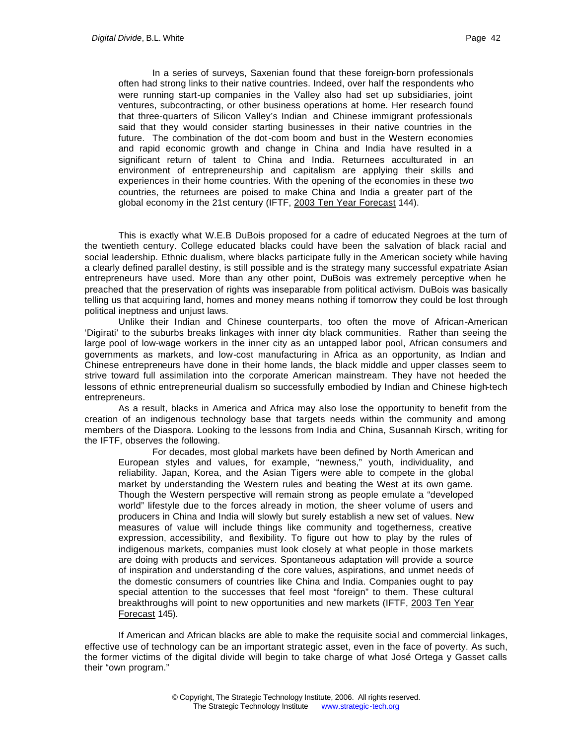In a series of surveys, Saxenian found that these foreign-born professionals often had strong links to their native countries. Indeed, over half the respondents who were running start-up companies in the Valley also had set up subsidiaries, joint ventures, subcontracting, or other business operations at home. Her research found that three-quarters of Silicon Valley's Indian and Chinese immigrant professionals said that they would consider starting businesses in their native countries in the future. The combination of the dot-com boom and bust in the Western economies and rapid economic growth and change in China and India have resulted in a significant return of talent to China and India. Returnees acculturated in an environment of entrepreneurship and capitalism are applying their skills and experiences in their home countries. With the opening of the economies in these two countries, the returnees are poised to make China and India a greater part of the global economy in the 21st century (IFTF, 2003 Ten Year Forecast 144).

This is exactly what W.E.B DuBois proposed for a cadre of educated Negroes at the turn of the twentieth century. College educated blacks could have been the salvation of black racial and social leadership. Ethnic dualism, where blacks participate fully in the American society while having a clearly defined parallel destiny, is still possible and is the strategy many successful expatriate Asian entrepreneurs have used. More than any other point, DuBois was extremely perceptive when he preached that the preservation of rights was inseparable from political activism. DuBois was basically telling us that acquiring land, homes and money means nothing if tomorrow they could be lost through political ineptness and unjust laws.

Unlike their Indian and Chinese counterparts, too often the move of African-American 'Digirati' to the suburbs breaks linkages with inner city black communities. Rather than seeing the large pool of low-wage workers in the inner city as an untapped labor pool, African consumers and governments as markets, and low-cost manufacturing in Africa as an opportunity, as Indian and Chinese entrepreneurs have done in their home lands, the black middle and upper classes seem to strive toward full assimilation into the corporate American mainstream. They have not heeded the lessons of ethnic entrepreneurial dualism so successfully embodied by Indian and Chinese high-tech entrepreneurs.

As a result, blacks in America and Africa may also lose the opportunity to benefit from the creation of an indigenous technology base that targets needs within the community and among members of the Diaspora. Looking to the lessons from India and China, Susannah Kirsch, writing for the IFTF, observes the following.

For decades, most global markets have been defined by North American and European styles and values, for example, "newness," youth, individuality, and reliability. Japan, Korea, and the Asian Tigers were able to compete in the global market by understanding the Western rules and beating the West at its own game. Though the Western perspective will remain strong as people emulate a "developed world" lifestyle due to the forces already in motion, the sheer volume of users and producers in China and India will slowly but surely establish a new set of values. New measures of value will include things like community and togetherness, creative expression, accessibility, and flexibility. To figure out how to play by the rules of indigenous markets, companies must look closely at what people in those markets are doing with products and services. Spontaneous adaptation will provide a source of inspiration and understanding of the core values, aspirations, and unmet needs of the domestic consumers of countries like China and India. Companies ought to pay special attention to the successes that feel most "foreign" to them. These cultural breakthroughs will point to new opportunities and new markets (IFTF, 2003 Ten Year Forecast 145).

If American and African blacks are able to make the requisite social and commercial linkages, effective use of technology can be an important strategic asset, even in the face of poverty. As such, the former victims of the digital divide will begin to take charge of what José Ortega y Gasset calls their "own program."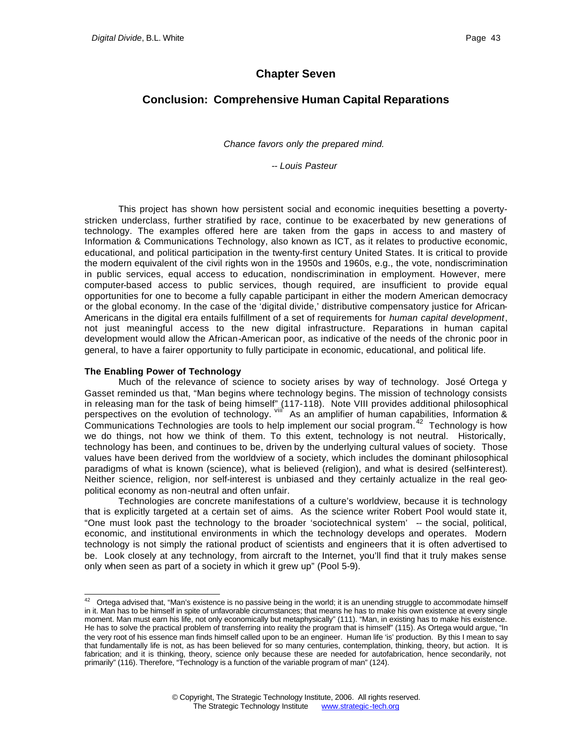## **Chapter Seven**

# **Conclusion: Comprehensive Human Capital Reparations**

*Chance favors only the prepared mind.*

*-- Louis Pasteur*

This project has shown how persistent social and economic inequities besetting a povertystricken underclass, further stratified by race, continue to be exacerbated by new generations of technology. The examples offered here are taken from the gaps in access to and mastery of Information & Communications Technology, also known as ICT, as it relates to productive economic, educational, and political participation in the twenty-first century United States. It is critical to provide the modern equivalent of the civil rights won in the 1950s and 1960s, e.g., the vote, nondiscrimination in public services, equal access to education, nondiscrimination in employment. However, mere computer-based access to public services, though required, are insufficient to provide equal opportunities for one to become a fully capable participant in either the modern American democracy or the global economy. In the case of the 'digital divide,' distributive compensatory justice for African-Americans in the digital era entails fulfillment of a set of requirements for *human capital development*, not just meaningful access to the new digital infrastructure. Reparations in human capital development would allow the African-American poor, as indicative of the needs of the chronic poor in general, to have a fairer opportunity to fully participate in economic, educational, and political life.

#### **The Enabling Power of Technology**

l

Much of the relevance of science to society arises by way of technology. José Ortega y Gasset reminded us that, "Man begins where technology begins. The mission of technology consists in releasing man for the task of being himself" (117-118). Note VIII provides additional philosophical perspectives on the evolution of technology. <sup>viii</sup> As an amplifier of human capabilities, Information &  $\overline{\text{Communications}}$  Technologies are tools to help implement our social program.<sup>42</sup> Technology is how we do things, not how we think of them. To this extent, technology is not neutral. Historically, technology has been, and continues to be, driven by the underlying cultural values of society. Those values have been derived from the worldview of a society, which includes the dominant philosophical paradigms of what is known (science), what is believed (religion), and what is desired (self-interest). Neither science, religion, nor self-interest is unbiased and they certainly actualize in the real geopolitical economy as non-neutral and often unfair.

Technologies are concrete manifestations of a culture's worldview, because it is technology that is explicitly targeted at a certain set of aims. As the science writer Robert Pool would state it, "One must look past the technology to the broader 'sociotechnical system' -- the social, political, economic, and institutional environments in which the technology develops and operates. Modern technology is not simply the rational product of scientists and engineers that it is often advertised to be. Look closely at any technology, from aircraft to the Internet, you'll find that it truly makes sense only when seen as part of a society in which it grew up" (Pool 5-9).

 $42$  Ortega advised that, "Man's existence is no passive being in the world; it is an unending struggle to accommodate himself in it. Man has to be himself in spite of unfavorable circumstances; that means he has to make his own existence at every single moment. Man must earn his life, not only economically but metaphysically" (111). "Man, in existing has to make his existence. He has to solve the practical problem of transferring into reality the program that is himself" (115). As Ortega would argue, "In the very root of his essence man finds himself called upon to be an engineer. Human life 'is' production. By this I mean to say that fundamentally life is not, as has been believed for so many centuries, contemplation, thinking, theory, but action. It is fabrication; and it is thinking, theory, science only because these are needed for autofabrication, hence secondarily, not primarily" (116). Therefore, "Technology is a function of the variable program of man" (124).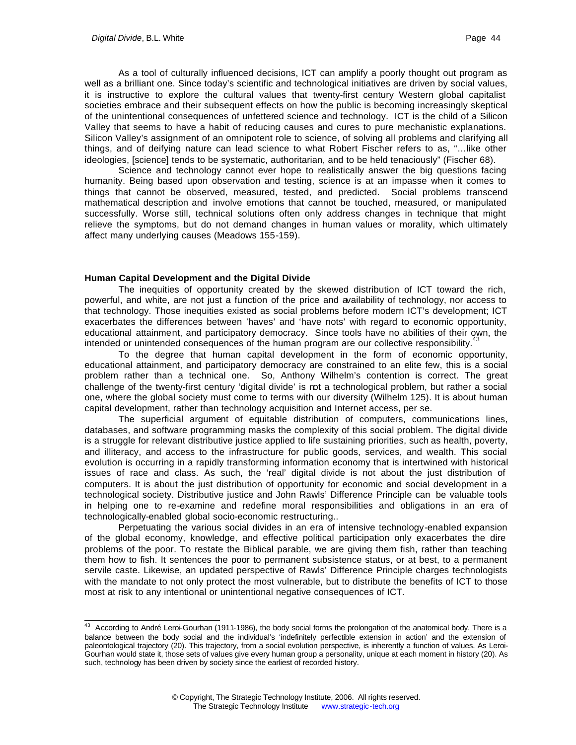As a tool of culturally influenced decisions, ICT can amplify a poorly thought out program as well as a brilliant one. Since today's scientific and technological initiatives are driven by social values, it is instructive to explore the cultural values that twenty-first century Western global capitalist societies embrace and their subsequent effects on how the public is becoming increasingly skeptical of the unintentional consequences of unfettered science and technology. ICT is the child of a Silicon Valley that seems to have a habit of reducing causes and cures to pure mechanistic explanations. Silicon Valley's assignment of an omnipotent role to science, of solving all problems and clarifying all things, and of deifying nature can lead science to what Robert Fischer refers to as, "…like other ideologies, [science] tends to be systematic, authoritarian, and to be held tenaciously" (Fischer 68).

Science and technology cannot ever hope to realistically answer the big questions facing humanity. Being based upon observation and testing, science is at an impasse when it comes to things that cannot be observed, measured, tested, and predicted. Social problems transcend mathematical description and involve emotions that cannot be touched, measured, or manipulated successfully. Worse still, technical solutions often only address changes in technique that might relieve the symptoms, but do not demand changes in human values or morality, which ultimately affect many underlying causes (Meadows 155-159).

#### **Human Capital Development and the Digital Divide**

The inequities of opportunity created by the skewed distribution of ICT toward the rich, powerful, and white, are not just a function of the price and availability of technology, nor access to that technology. Those inequities existed as social problems before modern ICT's development; ICT exacerbates the differences between 'haves' and 'have nots' with regard to economic opportunity, educational attainment, and participatory democracy. Since tools have no abilities of their own, the intended or unintended consequences of the human program are our collective responsibility.<sup>43</sup>

To the degree that human capital development in the form of economic opportunity, educational attainment, and participatory democracy are constrained to an elite few, this is a social problem rather than a technical one. So, Anthony Wilhelm's contention is correct. The great challenge of the twenty-first century 'digital divide' is not a technological problem, but rather a social one, where the global society must come to terms with our diversity (Wilhelm 125). It is about human capital development, rather than technology acquisition and Internet access, per se.

The superficial argument of equitable distribution of computers, communications lines, databases, and software programming masks the complexity of this social problem. The digital divide is a struggle for relevant distributive justice applied to life sustaining priorities, such as health, poverty, and illiteracy, and access to the infrastructure for public goods, services, and wealth. This social evolution is occurring in a rapidly transforming information economy that is intertwined with historical issues of race and class. As such, the 'real' digital divide is not about the just distribution of computers. It is about the just distribution of opportunity for economic and social development in a technological society. Distributive justice and John Rawls' Difference Principle can be valuable tools in helping one to re-examine and redefine moral responsibilities and obligations in an era of technologically-enabled global socio-economic restructuring..

Perpetuating the various social divides in an era of intensive technology-enabled expansion of the global economy, knowledge, and effective political participation only exacerbates the dire problems of the poor. To restate the Biblical parable, we are giving them fish, rather than teaching them how to fish. It sentences the poor to permanent subsistence status, or at best, to a permanent servile caste. Likewise, an updated perspective of Rawls' Difference Principle charges technologists with the mandate to not only protect the most vulnerable, but to distribute the benefits of ICT to those most at risk to any intentional or unintentional negative consequences of ICT.

 $43$  According to André Leroi-Gourhan (1911-1986), the body social forms the prolongation of the anatomical body. There is a balance between the body social and the individual's 'indefinitely perfectible extension in action' and the extension of paleontological trajectory (20). This trajectory, from a social evolution perspective, is inherently a function of values. As Leroi-Gourhan would state it, those sets of values give every human group a personality, unique at each moment in history (20). As such, technology has been driven by society since the earliest of recorded history.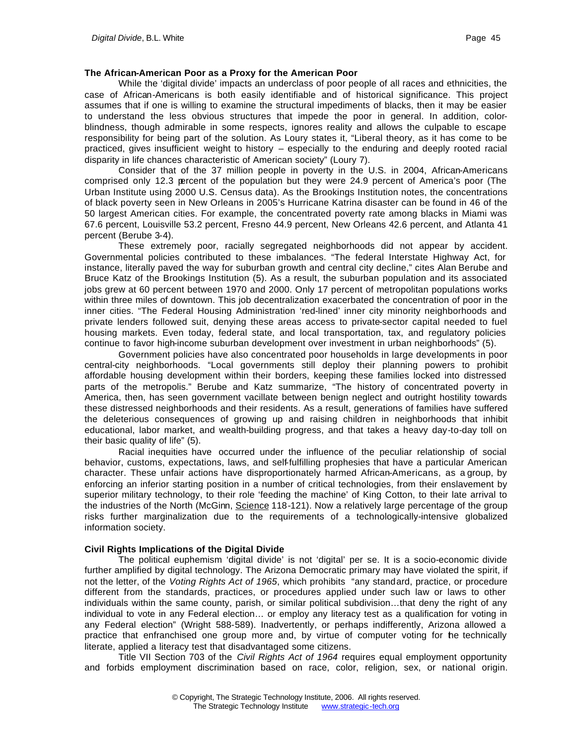### **The African-American Poor as a Proxy for the American Poor**

While the 'digital divide' impacts an underclass of poor people of all races and ethnicities, the case of African-Americans is both easily identifiable and of historical significance. This project assumes that if one is willing to examine the structural impediments of blacks, then it may be easier to understand the less obvious structures that impede the poor in general. In addition, colorblindness, though admirable in some respects, ignores reality and allows the culpable to escape responsibility for being part of the solution. As Loury states it, "Liberal theory, as it has come to be practiced, gives insufficient weight to history – especially to the enduring and deeply rooted racial disparity in life chances characteristic of American society" (Loury 7).

Consider that of the 37 million people in poverty in the U.S. in 2004, African-Americans comprised only 12.3 percent of the population but they were 24.9 percent of America's poor (The Urban Institute using 2000 U.S. Census data). As the Brookings Institution notes, the concentrations of black poverty seen in New Orleans in 2005's Hurricane Katrina disaster can be found in 46 of the 50 largest American cities. For example, the concentrated poverty rate among blacks in Miami was 67.6 percent, Louisville 53.2 percent, Fresno 44.9 percent, New Orleans 42.6 percent, and Atlanta 41 percent (Berube 3-4).

These extremely poor, racially segregated neighborhoods did not appear by accident. Governmental policies contributed to these imbalances. "The federal Interstate Highway Act, for instance, literally paved the way for suburban growth and central city decline," cites Alan Berube and Bruce Katz of the Brookings Institution (5). As a result, the suburban population and its associated jobs grew at 60 percent between 1970 and 2000. Only 17 percent of metropolitan populations works within three miles of downtown. This job decentralization exacerbated the concentration of poor in the inner cities. "The Federal Housing Administration 'red-lined' inner city minority neighborhoods and private lenders followed suit, denying these areas access to private-sector capital needed to fuel housing markets. Even today, federal state, and local transportation, tax, and regulatory policies continue to favor high-income suburban development over investment in urban neighborhoods" (5).

Government policies have also concentrated poor households in large developments in poor central-city neighborhoods. "Local governments still deploy their planning powers to prohibit affordable housing development within their borders, keeping these families locked into distressed parts of the metropolis." Berube and Katz summarize, "The history of concentrated poverty in America, then, has seen government vacillate between benign neglect and outright hostility towards these distressed neighborhoods and their residents. As a result, generations of families have suffered the deleterious consequences of growing up and raising children in neighborhoods that inhibit educational, labor market, and wealth-building progress, and that takes a heavy day-to-day toll on their basic quality of life" (5).

Racial inequities have occurred under the influence of the peculiar relationship of social behavior, customs, expectations, laws, and self-fulfilling prophesies that have a particular American character. These unfair actions have disproportionately harmed African-Americans, as a group, by enforcing an inferior starting position in a number of critical technologies, from their enslavement by superior military technology, to their role 'feeding the machine' of King Cotton, to their late arrival to the industries of the North (McGinn, Science 118-121). Now a relatively large percentage of the group risks further marginalization due to the requirements of a technologically-intensive globalized information society.

### **Civil Rights Implications of the Digital Divide**

The political euphemism 'digital divide' is not 'digital' per se. It is a socio-economic divide further amplified by digital technology. The Arizona Democratic primary may have violated the spirit, if not the letter, of the *Voting Rights Act of 1965*, which prohibits "any standard, practice, or procedure different from the standards, practices, or procedures applied under such law or laws to other individuals within the same county, parish, or similar political subdivision…that deny the right of any individual to vote in any Federal election… or employ any literacy test as a qualification for voting in any Federal election" (Wright 588-589). Inadvertently, or perhaps indifferently, Arizona allowed a practice that enfranchised one group more and, by virtue of computer voting for the technically literate, applied a literacy test that disadvantaged some citizens.

Title VII Section 703 of the *Civil Rights Act of 1964* requires equal employment opportunity and forbids employment discrimination based on race, color, religion, sex, or national origin.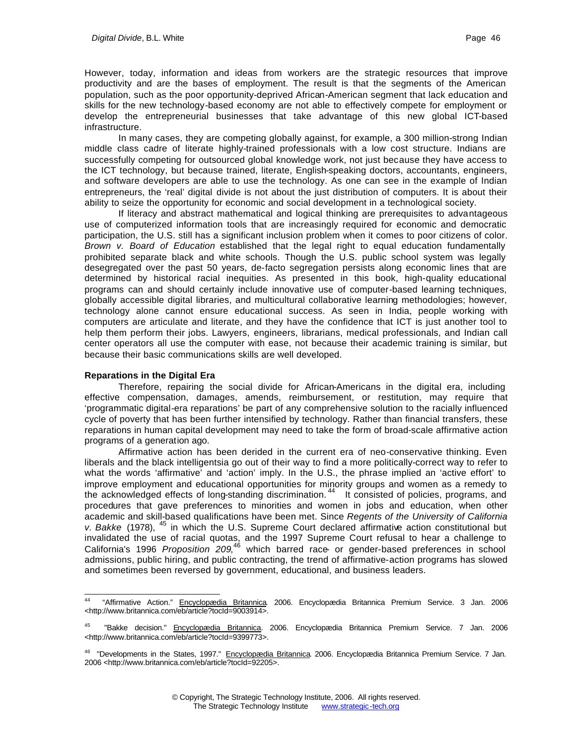However, today, information and ideas from workers are the strategic resources that improve productivity and are the bases of employment. The result is that the segments of the American population, such as the poor opportunity-deprived African-American segment that lack education and skills for the new technology-based economy are not able to effectively compete for employment or develop the entrepreneurial businesses that take advantage of this new global ICT-based infrastructure.

In many cases, they are competing globally against, for example, a 300 million-strong Indian middle class cadre of literate highly-trained professionals with a low cost structure. Indians are successfully competing for outsourced global knowledge work, not just because they have access to the ICT technology, but because trained, literate, English-speaking doctors, accountants, engineers, and software developers are able to use the technology. As one can see in the example of Indian entrepreneurs, the 'real' digital divide is not about the just distribution of computers. It is about their ability to seize the opportunity for economic and social development in a technological society.

If literacy and abstract mathematical and logical thinking are prerequisites to advantageous use of computerized information tools that are increasingly required for economic and democratic participation, the U.S. still has a significant inclusion problem when it comes to poor citizens of color. *Brown v. Board of Education* established that the legal right to equal education fundamentally prohibited separate black and white schools. Though the U.S. public school system was legally desegregated over the past 50 years, de-facto segregation persists along economic lines that are determined by historical racial inequities. As presented in this book, high-quality educational programs can and should certainly include innovative use of computer-based learning techniques, globally accessible digital libraries, and multicultural collaborative learning methodologies; however, technology alone cannot ensure educational success. As seen in India, people working with computers are articulate and literate, and they have the confidence that ICT is just another tool to help them perform their jobs. Lawyers, engineers, librarians, medical professionals, and Indian call center operators all use the computer with ease, not because their academic training is similar, but because their basic communications skills are well developed.

### **Reparations in the Digital Era**

Therefore, repairing the social divide for African-Americans in the digital era, including effective compensation, damages, amends, reimbursement, or restitution, may require that 'programmatic digital-era reparations' be part of any comprehensive solution to the racially influenced cycle of poverty that has been further intensified by technology. Rather than financial transfers, these reparations in human capital development may need to take the form of broad-scale affirmative action programs of a generation ago.

Affirmative action has been derided in the current era of neo-conservative thinking. Even liberals and the black intelligentsia go out of their way to find a more politically-correct way to refer to what the words 'affirmative' and 'action' imply. In the U.S., the phrase implied an 'active effort' to improve employment and educational opportunities for minority groups and women as a remedy to the acknowledged effects of long-standing discrimination.<sup>44</sup> It consisted of policies, programs, and procedures that gave preferences to minorities and women in jobs and education, when other academic and skill-based qualifications have been met. Since *Regents of the University of California*  v. Bakke (1978), <sup>45</sup> in which the U.S. Supreme Court declared affirmative action constitutional but invalidated the use of racial quotas, and the 1997 Supreme Court refusal to hear a challenge to California's 1996 *Proposition 209*, <sup>46</sup> which barred race- or gender-based preferences in school admissions, public hiring, and public contracting, the trend of affirmative-action programs has slowed and sometimes been reversed by government, educational, and business leaders.

<sup>44</sup> "Affirmative Action." Encyclopædia Britannica. 2006. Encyclopædia Britannica Premium Service. 3 Jan. 2006 <http://www.britannica.com/eb/article?tocId=9003914>.

<sup>45</sup> "Bakke decision." Encyclopædia Britannica. 2006. Encyclopædia Britannica Premium Service. 7 Jan. 2006 <http://www.britannica.com/eb/article?tocId=9399773>.

<sup>&</sup>lt;sup>46</sup> "Developments in the States, 1997." Encyclopædia Britannica. 2006. Encyclopædia Britannica Premium Service. 7 Jan. 2006 <http://www.britannica.com/eb/article?tocId=92205>.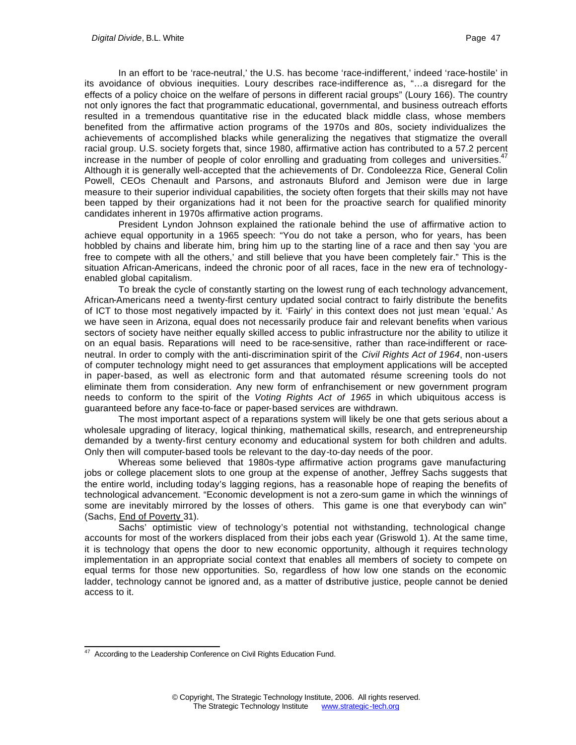In an effort to be 'race-neutral,' the U.S. has become 'race-indifferent,' indeed 'race-hostile' in its avoidance of obvious inequities. Loury describes race-indifference as, "…a disregard for the effects of a policy choice on the welfare of persons in different racial groups" (Loury 166). The country not only ignores the fact that programmatic educational, governmental, and business outreach efforts resulted in a tremendous quantitative rise in the educated black middle class, whose members benefited from the affirmative action programs of the 1970s and 80s, society individualizes the achievements of accomplished blacks while generalizing the negatives that stigmatize the overall racial group. U.S. society forgets that, since 1980, affirmative action has contributed to a 57.2 percent increase in the number of people of color enrolling and graduating from colleges and universities.<sup>47</sup> Although it is generally well-accepted that the achievements of Dr. Condoleezza Rice, General Colin Powell, CEOs Chenault and Parsons, and astronauts Bluford and Jemison were due in large measure to their superior individual capabilities, the society often forgets that their skills may not have been tapped by their organizations had it not been for the proactive search for qualified minority candidates inherent in 1970s affirmative action programs.

President Lyndon Johnson explained the rationale behind the use of affirmative action to achieve equal opportunity in a 1965 speech: "You do not take a person, who for years, has been hobbled by chains and liberate him, bring him up to the starting line of a race and then say 'you are free to compete with all the others,' and still believe that you have been completely fair." This is the situation African-Americans, indeed the chronic poor of all races, face in the new era of technologyenabled global capitalism.

To break the cycle of constantly starting on the lowest rung of each technology advancement, African-Americans need a twenty-first century updated social contract to fairly distribute the benefits of ICT to those most negatively impacted by it. 'Fairly' in this context does not just mean 'equal.' As we have seen in Arizona, equal does not necessarily produce fair and relevant benefits when various sectors of society have neither equally skilled access to public infrastructure nor the ability to utilize it on an equal basis. Reparations will need to be race-sensitive, rather than race-indifferent or raceneutral. In order to comply with the anti-discrimination spirit of the *Civil Rights Act of 1964*, non-users of computer technology might need to get assurances that employment applications will be accepted in paper-based, as well as electronic form and that automated résume screening tools do not eliminate them from consideration. Any new form of enfranchisement or new government program needs to conform to the spirit of the *Voting Rights Act of 1965* in which ubiquitous access is guaranteed before any face-to-face or paper-based services are withdrawn.

The most important aspect of a reparations system will likely be one that gets serious about a wholesale upgrading of literacy, logical thinking, mathematical skills, research, and entrepreneurship demanded by a twenty-first century economy and educational system for both children and adults. Only then will computer-based tools be relevant to the day-to-day needs of the poor.

Whereas some believed that 1980s-type affirmative action programs gave manufacturing jobs or college placement slots to one group at the expense of another, Jeffrey Sachs suggests that the entire world, including today's lagging regions, has a reasonable hope of reaping the benefits of technological advancement. "Economic development is not a zero-sum game in which the winnings of some are inevitably mirrored by the losses of others. This game is one that everybody can win" (Sachs, End of Poverty 31).

Sachs' optimistic view of technology's potential not withstanding, technological change accounts for most of the workers displaced from their jobs each year (Griswold 1). At the same time, it is technology that opens the door to new economic opportunity, although it requires technology implementation in an appropriate social context that enables all members of society to compete on equal terms for those new opportunities. So, regardless of how low one stands on the economic ladder, technology cannot be ignored and, as a matter of distributive justice, people cannot be denied access to it.

l <sup>47</sup> According to the Leadership Conference on Civil Rights Education Fund.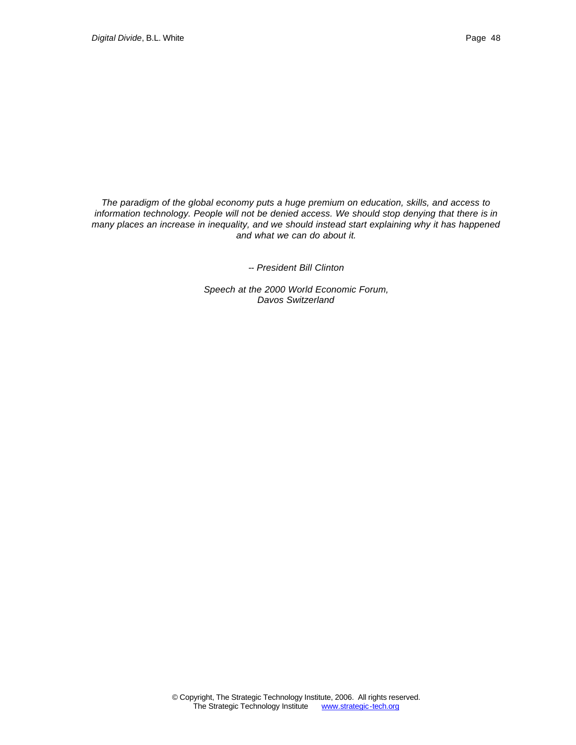*The paradigm of the global economy puts a huge premium on education, skills, and access to information technology. People will not be denied access. We should stop denying that there is in many places an increase in inequality, and we should instead start explaining why it has happened and what we can do about it.*

*-- President Bill Clinton*

*Speech at the 2000 World Economic Forum, Davos Switzerland*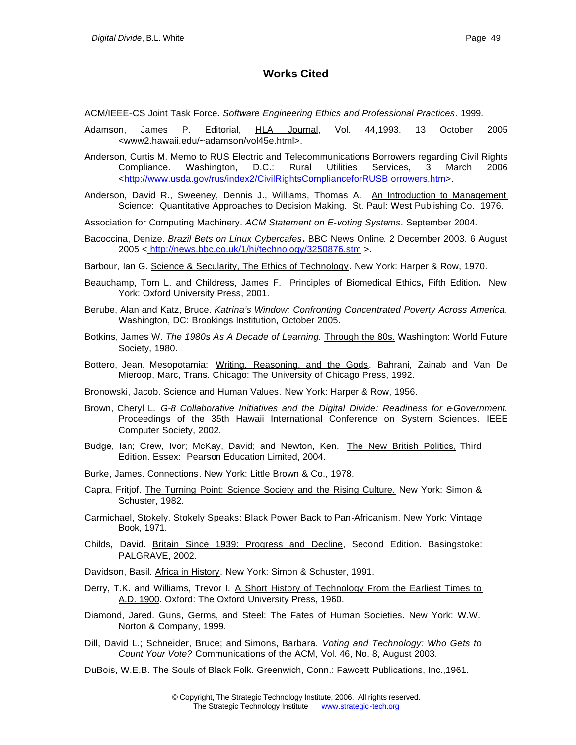# **Works Cited**

ACM/IEEE-CS Joint Task Force. *Software Engineering Ethics and Professional Practices*. 1999.

- Adamson, James P. Editorial, HLA Journal, Vol. 44,1993. 13 October 2005 <www2.hawaii.edu/~adamson/vol45e.html>.
- Anderson, Curtis M. Memo to RUS Electric and Telecommunications Borrowers regarding Civil Rights Compliance. Washington, D.C.: Rural Utilities Services, 3 March 2006 <http://www.usda.gov/rus/index2/CivilRightsComplianceforRUSB orrowers.htm>.
- Anderson, David R., Sweeney, Dennis J., Williams, Thomas A. An Introduction to Management Science: Quantitative Approaches to Decision Making. St. Paul: West Publishing Co. 1976.
- Association for Computing Machinery. *ACM Statement on E-voting Systems*. September 2004.
- Bacoccina, Denize. *Brazil Bets on Linux Cybercafes***.** BBC News Online. 2 December 2003. 6 August 2005 < http://news.bbc.co.uk/1/hi/technology/3250876.stm >.

Barbour, Ian G. Science & Secularity, The Ethics of Technology. New York: Harper & Row, 1970.

- Beauchamp, Tom L. and Childress, James F. Principles of Biomedical Ethics**,** Fifth Edition**.** New York: Oxford University Press, 2001.
- Berube, Alan and Katz, Bruce. *Katrina's Window: Confronting Concentrated Poverty Across America.* Washington, DC: Brookings Institution, October 2005.
- Botkins, James W. *The 1980s As A Decade of Learning*. Through the 80s. Washington: World Future Society, 1980.
- Bottero, Jean. Mesopotamia: Writing, Reasoning, and the Gods. Bahrani, Zainab and Van De Mieroop, Marc, Trans. Chicago: The University of Chicago Press, 1992.

Bronowski, Jacob. Science and Human Values. New York: Harper & Row, 1956.

- Brown, Cheryl L. *G-8 Collaborative Initiatives and the Digital Divide: Readiness for e-Government.* Proceedings of the 35th Hawaii International Conference on System Sciences. IEEE Computer Society, 2002.
- Budge, Ian; Crew, Ivor; McKay, David; and Newton, Ken. The New British Politics, Third Edition. Essex: Pearson Education Limited, 2004.
- Burke, James. Connections. New York: Little Brown & Co., 1978.
- Capra, Fritjof. The Turning Point: Science Society and the Rising Culture. New York: Simon & Schuster, 1982.
- Carmichael, Stokely. Stokely Speaks: Black Power Back to Pan-Africanism. New York: Vintage Book, 1971.
- Childs, David. Britain Since 1939: Progress and Decline, Second Edition. Basingstoke: PALGRAVE, 2002.
- Davidson, Basil. Africa in History. New York: Simon & Schuster, 1991.
- Derry, T.K. and Williams, Trevor I. A Short History of Technology From the Earliest Times to A.D. 1900. Oxford: The Oxford University Press, 1960.
- Diamond, Jared. Guns, Germs, and Steel: The Fates of Human Societies. New York: W.W. Norton & Company, 1999.
- Dill, David L.; Schneider, Bruce; and Simons, Barbara. *Voting and Technology: Who Gets to Count Your Vote?* Communications of the ACM, Vol. 46, No. 8, August 2003.
- DuBois, W.E.B. The Souls of Black Folk. Greenwich, Conn.: Fawcett Publications, Inc.,1961.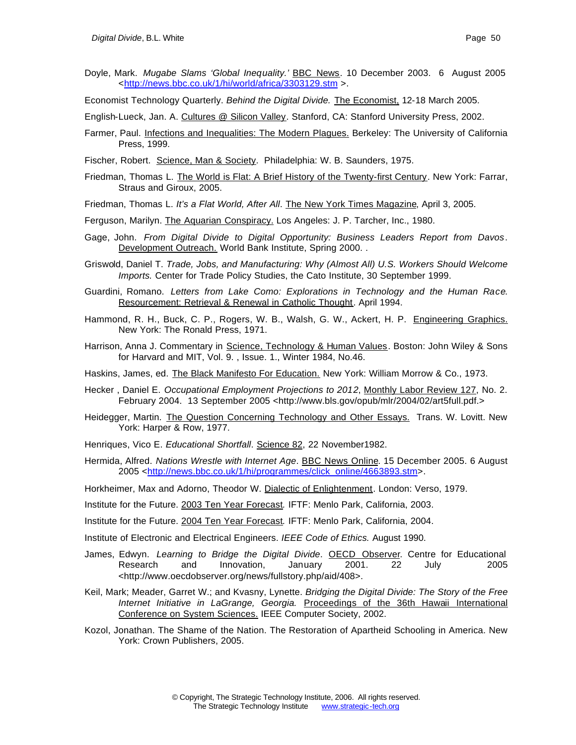- Doyle, Mark. *Mugabe Slams 'Global Inequality.'* BBC News. 10 December 2003. 6 August 2005 <http://news.bbc.co.uk/1/hi/world/africa/3303129.stm >.
- Economist Technology Quarterly. *Behind the Digital Divide.* The Economist, 12-18 March 2005.
- English-Lueck, Jan. A. Cultures @ Silicon Valley. Stanford, CA: Stanford University Press, 2002.
- Farmer, Paul. Infections and Inequalities: The Modern Plagues. Berkeley: The University of California Press, 1999.
- Fischer, Robert. Science, Man & Society. Philadelphia: W. B. Saunders, 1975.
- Friedman, Thomas L. The World is Flat: A Brief History of the Twenty-first Century. New York: Farrar, Straus and Giroux, 2005.
- Friedman, Thomas L. *It's a Flat World, After All*. The New York Times Magazine, April 3, 2005.
- Ferguson, Marilyn. The Aquarian Conspiracy. Los Angeles: J. P. Tarcher, Inc., 1980.
- Gage, John. *From Digital Divide to Digital Opportunity: Business Leaders Report from Davos*. Development Outreach. World Bank Institute, Spring 2000. .
- Griswold, Daniel T. *Trade, Jobs, and Manufacturing: Why (Almost All) U.S. Workers Should Welcome Imports.* Center for Trade Policy Studies, the Cato Institute, 30 September 1999.
- Guardini, Romano. *Letters from Lake Como: Explorations in Technology and the Human Race*. Resourcement: Retrieval & Renewal in Catholic Thought. April 1994.
- Hammond, R. H., Buck, C. P., Rogers, W. B., Walsh, G. W., Ackert, H. P. Engineering Graphics. New York: The Ronald Press, 1971.
- Harrison, Anna J. Commentary in Science, Technology & Human Values. Boston: John Wiley & Sons for Harvard and MIT, Vol. 9. , Issue. 1., Winter 1984, No.46.
- Haskins, James, ed. The Black Manifesto For Education. New York: William Morrow & Co., 1973.
- Hecker , Daniel E. *Occupational Employment Projections to 2012*, Monthly Labor Review 127, No. 2. February 2004. 13 September 2005 <http://www.bls.gov/opub/mlr/2004/02/art5full.pdf.>
- Heidegger, Martin. The Question Concerning Technology and Other Essays. Trans. W. Lovitt. New York: Harper & Row, 1977.
- Henriques, Vico E. *Educational Shortfall*. Science 82, 22 November1982.
- Hermida, Alfred. *Nations Wrestle with Internet Age*. BBC News Online. 15 December 2005. 6 August 2005 <http://news.bbc.co.uk/1/hi/programmes/click\_online/4663893.stm>.
- Horkheimer, Max and Adorno, Theodor W. Dialectic of Enlightenment. London: Verso, 1979.
- Institute for the Future. 2003 Ten Year Forecast*.* IFTF: Menlo Park, California, 2003.
- Institute for the Future. 2004 Ten Year Forecast*.* IFTF: Menlo Park, California, 2004.
- Institute of Electronic and Electrical Engineers. *IEEE Code of Ethics.* August 1990.
- James, Edwyn. *Learning to Bridge the Digital Divide*. **OECD Observer.** Centre for Educational Research and Innovation, January 2001. 22 July 2005 <http://www.oecdobserver.org/news/fullstory.php/aid/408>.
- Keil, Mark; Meader, Garret W.; and Kvasny, Lynette. *Bridging the Digital Divide: The Story of the Free Internet Initiative in LaGrange, Georgia.* Proceedings of the 36th Hawaii International Conference on System Sciences. IEEE Computer Society, 2002.
- Kozol, Jonathan. The Shame of the Nation. The Restoration of Apartheid Schooling in America. New York: Crown Publishers, 2005.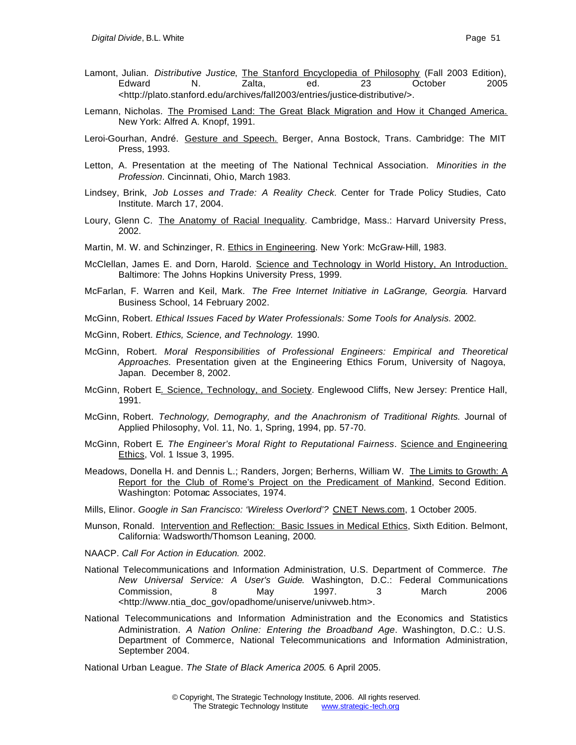- Lamont, Julian. *Distributive Justice*, The Stanford Encyclopedia of Philosophy (Fall 2003 Edition), Edward N. Zalta, ed. 23 October 2005 <http://plato.stanford.edu/archives/fall2003/entries/justice-distributive/>.
- Lemann, Nicholas. The Promised Land: The Great Black Migration and How it Changed America. New York: Alfred A. Knopf, 1991.
- Leroi-Gourhan, André. Gesture and Speech. Berger, Anna Bostock, Trans. Cambridge: The MIT Press, 1993.
- Letton, A. Presentation at the meeting of The National Technical Association. *Minorities in the Profession*. Cincinnati, Ohio, March 1983.
- Lindsey, Brink, *Job Losses and Trade: A Reality Check.* Center for Trade Policy Studies, Cato Institute. March 17, 2004.
- Loury, Glenn C. The Anatomy of Racial Inequality. Cambridge, Mass.: Harvard University Press, 2002.
- Martin, M. W. and Schinzinger, R. Ethics in Engineering. New York: McGraw-Hill, 1983.
- McClellan, James E. and Dorn, Harold. Science and Technology in World History, An Introduction. Baltimore: The Johns Hopkins University Press, 1999.
- McFarlan, F. Warren and Keil, Mark. *The Free Internet Initiative in LaGrange, Georgia.* Harvard Business School, 14 February 2002.
- McGinn, Robert. *Ethical Issues Faced by Water Professionals: Some Tools for Analysis.* 2002.
- McGinn, Robert. *Ethics, Science, and Technology.* 1990.
- McGinn, Robert. *Moral Responsibilities of Professional Engineers: Empirical and Theoretical Approaches.* Presentation given at the Engineering Ethics Forum, University of Nagoya, Japan. December 8, 2002.
- McGinn, Robert E. Science, Technology, and Society. Englewood Cliffs, New Jersey: Prentice Hall, 1991.
- McGinn, Robert. *Technology, Demography, and the Anachronism of Traditional Rights.* Journal of Applied Philosophy, Vol. 11, No. 1, Spring, 1994, pp. 57-70.
- McGinn, Robert E*. The Engineer's Moral Right to Reputational Fairness*. Science and Engineering Ethics, Vol. 1 Issue 3, 1995.
- Meadows, Donella H. and Dennis L.; Randers, Jorgen; Berherns, William W. The Limits to Growth: A Report for the Club of Rome's Project on the Predicament of Mankind, Second Edition. Washington: Potomac Associates, 1974.
- Mills, Elinor. *Google in San Francisco: 'Wireless Overlord'?* CNET News.com, 1 October 2005.
- Munson, Ronald. Intervention and Reflection: Basic Issues in Medical Ethics, Sixth Edition. Belmont, California: Wadsworth/Thomson Leaning, 2000.
- NAACP. *Call For Action in Education.* 2002.
- National Telecommunications and Information Administration, U.S. Department of Commerce. *The New Universal Service: A User's Guide*. Washington, D.C.: Federal Communications Commission, 8 May 1997. 3 March 2006 <http://www.ntia\_doc\_gov/opadhome/uniserve/univweb.htm>.
- National Telecommunications and Information Administration and the Economics and Statistics Administration. *A Nation Online: Entering the Broadband Age*. Washington, D.C.: U.S. Department of Commerce, National Telecommunications and Information Administration, September 2004.

National Urban League. *The State of Black America 2005*. 6 April 2005.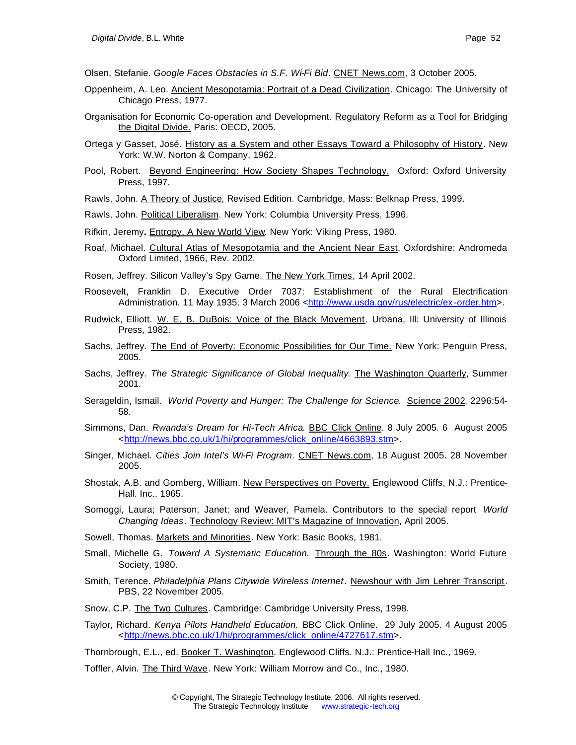Olsen, Stefanie. *Google Faces Obstacles in S.F. Wi-Fi Bid*. CNET News.com, 3 October 2005.

- Oppenheim, A. Leo. Ancient Mesopotamia: Portrait of a Dead Civilization. Chicago: The University of Chicago Press, 1977.
- Organisation for Economic Co-operation and Development. Regulatory Reform as a Tool for Bridging the Digital Divide. Paris: OECD, 2005.
- Ortega y Gasset, José. History as a System and other Essays Toward a Philosophy of History. New York: W.W. Norton & Company, 1962.
- Pool, Robert. Beyond Engineering: How Society Shapes Technology. Oxford: Oxford University Press, 1997.
- Rawls, John. A Theory of Justice, Revised Edition. Cambridge, Mass: Belknap Press, 1999.
- Rawls, John. Political Liberalism. New York: Columbia University Press, 1996.
- Rifkin, Jeremy**.** Entropy, A New World View. New York: Viking Press, 1980.
- Roaf, Michael. Cultural Atlas of Mesopotamia and the Ancient Near East. Oxfordshire: Andromeda Oxford Limited, 1966, Rev. 2002.
- Rosen, Jeffrey. Silicon Valley's Spy Game. The New York Times, 14 April 2002.
- Roosevelt, Franklin D. Executive Order 7037: Establishment of the Rural Electrification Administration. 11 May 1935. 3 March 2006 <http://www.usda.gov/rus/electric/ex-order.htm>.
- Rudwick, Elliott. W. E. B. DuBois: Voice of the Black Movement. Urbana, Ill: University of Illinois Press, 1982.
- Sachs, Jeffrey. The End of Poverty: Economic Possibilities for Our Time. New York: Penguin Press, 2005.
- Sachs, Jeffrey. *The Strategic Significance of Global Inequality*. The Washington Quarterly, Summer 2001.
- Serageldin, Ismail. *World Poverty and Hunger: The Challenge for Science*. Science 2002, 2296:54- 58.
- Simmons, Dan. *Rwanda's Dream for Hi-Tech Africa*. BBC Click Online. 8 July 2005. 6 August 2005 <http://news.bbc.co.uk/1/hi/programmes/click\_online/4663893.stm>.
- Singer, Michael. *Cities Join Intel's Wi-Fi Program*. CNET News.com, 18 August 2005. 28 November 2005.
- Shostak, A.B. and Gomberg, William. New Perspectives on Poverty. Englewood Cliffs, N.J.: Prentice-Hall. Inc., 1965.
- Somoggi, Laura; Paterson, Janet; and Weaver, Pamela. Contributors to the special report *World Changing Ideas*. Technology Review: MIT's Magazine of Innovation, April 2005.
- Sowell, Thomas. Markets and Minorities. New York: Basic Books, 1981.
- Small, Michelle G. *Toward A Systematic Education.* Through the 80s. Washington: World Future Society, 1980.
- Smith, Terence. *Philadelphia Plans Citywide Wireless Internet*. Newshour with Jim Lehrer Transcript. PBS, 22 November 2005.
- Snow, C.P. The Two Cultures. Cambridge: Cambridge University Press, 1998.
- Taylor, Richard. *Kenya Pilots Handheld Education.* BBC Click Online. 29 July 2005. 4 August 2005 <http://news.bbc.co.uk/1/hi/programmes/click\_online/4727617.stm>.

Thornbrough, E.L., ed. Booker T. Washington. Englewood Cliffs. N.J.: Prentice-Hall Inc., 1969.

Toffler, Alvin. The Third Wave. New York: William Morrow and Co., Inc., 1980.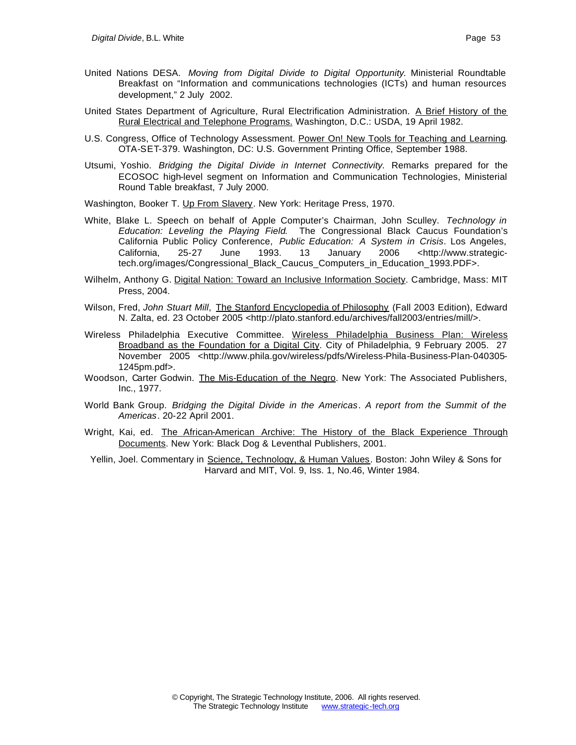- United Nations DESA. *Moving from Digital Divide to Digital Opportunity*. Ministerial Roundtable Breakfast on "Information and communications technologies (ICTs) and human resources development," 2 July 2002.
- United States Department of Agriculture, Rural Electrification Administration. A Brief History of the Rural Electrical and Telephone Programs. Washington, D.C.: USDA, 19 April 1982.
- U.S. Congress, Office of Technology Assessment. Power On! New Tools for Teaching and Learning. OTA-SET-379. Washington, DC: U.S. Government Printing Office, September 1988.
- Utsumi, Yoshio. *Bridging the Digital Divide in Internet Connectivity.* Remarks prepared for the ECOSOC high-level segment on Information and Communication Technologies, Ministerial Round Table breakfast, 7 July 2000.

Washington, Booker T. Up From Slavery. New York: Heritage Press, 1970.

- White, Blake L. Speech on behalf of Apple Computer's Chairman, John Sculley. *Technology in Education: Leveling the Playing Field*. The Congressional Black Caucus Foundation's California Public Policy Conference, *Public Education: A System in Crisis*. Los Angeles, California, 25-27 June 1993. 13 January 2006 <http://www.strategictech.org/images/Congressional\_Black\_Caucus\_Computers\_in\_Education\_1993.PDF>.
- Wilhelm, Anthony G. Digital Nation: Toward an Inclusive Information Society. Cambridge, Mass: MIT Press, 2004.
- Wilson, Fred, *John Stuart Mill*, The Stanford Encyclopedia of Philosophy (Fall 2003 Edition), Edward N. Zalta, ed. 23 October 2005 <http://plato.stanford.edu/archives/fall2003/entries/mill/>.
- Wireless Philadelphia Executive Committee. Wireless Philadelphia Business Plan: Wireless Broadband as the Foundation for a Digital City. City of Philadelphia, 9 February 2005. 27 November 2005 <http://www.phila.gov/wireless/pdfs/Wireless-Phila-Business-Plan-040305- 1245pm.pdf>.
- Woodson, Carter Godwin. The Mis-Education of the Negro. New York: The Associated Publishers, Inc., 1977.
- World Bank Group. *Bridging the Digital Divide in the Americas*. *A report from the Summit of the Americas*. 20-22 April 2001.
- Wright, Kai, ed. The African-American Archive: The History of the Black Experience Through Documents. New York: Black Dog & Leventhal Publishers, 2001.
- Yellin, Joel. Commentary in Science, Technology, & Human Values. Boston: John Wiley & Sons for Harvard and MIT, Vol. 9, Iss. 1, No.46, Winter 1984.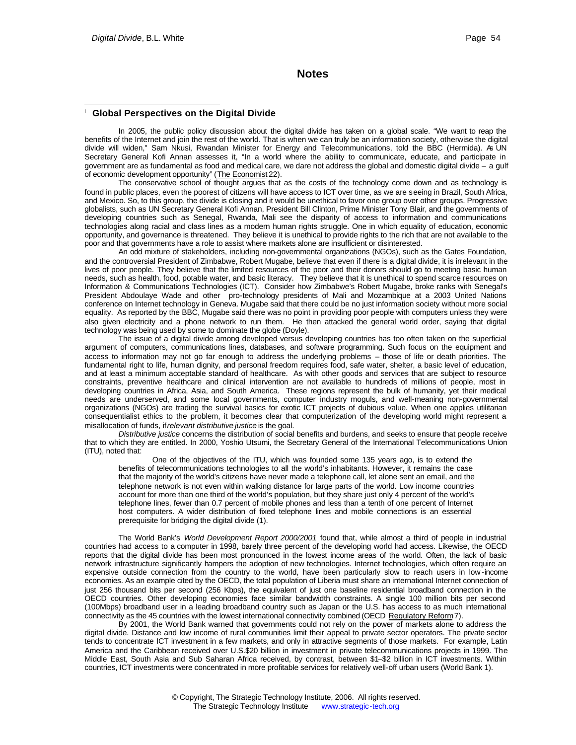### **Notes**

#### I **Global Perspectives on the Digital Divide**

In 2005, the public policy discussion about the digital divide has taken on a global scale. "We want to reap the benefits of the Internet and join the rest of the world. That is when we can truly be an information society, otherwise the digital divide will widen," Sam Nkusi, Rwandan Minister for Energy and Telecommunications, told the BBC (Hermida). As UN Secretary General Kofi Annan assesses it, "In a world where the ability to communicate, educate, and participate in government are as fundamental as food and medical care, we dare not address the global and domestic digital divide – a gulf of economic development opportunity" (The Economist 22).

The conservative school of thought argues that as the costs of the technology come down and as technology is found in public places, even the poorest of citizens will have access to ICT over time, as we are seeing in Brazil, South Africa, and Mexico. So, to this group, the divide is closing and it would be unethical to favor one group over other groups. Progressive globalists, such as UN Secretary General Kofi Annan, President Bill Clinton, Prime Minister Tony Blair, and the governments of developing countries such as Senegal, Rwanda, Mali see the disparity of access to information and communications technologies along racial and class lines as a modern human rights struggle. One in which equality of education, economic opportunity, and governance is threatened. They believe it is unethical to provide rights to the rich that are not available to the poor and that governments have a role to assist where markets alone are insufficient or disinterested.

An odd mixture of stakeholders, including non-governmental organizations (NGOs), such as the Gates Foundation, and the controversial President of Zimbabwe, Robert Mugabe, believe that even if there is a digital divide, it is irrelevant in the lives of poor people. They believe that the limited resources of the poor and their donors should go to meeting basic human needs, such as health, food, potable water, and basic literacy. They believe that it is unethical to spend scarce resources on Information & Communications Technologies (ICT). Consider how Zimbabwe's Robert Mugabe, broke ranks with Senegal's President Abdoulaye Wade and other pro-technology presidents of Mali and Mozambique at a 2003 United Nations conference on Internet technology in Geneva. Mugabe said that there could be no just information society without more social equality. As reported by the BBC, Mugabe said there was no point in providing poor people with computers unless they were also given electricity and a phone network to run them. He then attacked the general world order, saying that digital technology was being used by some to dominate the globe (Doyle).

The issue of a digital divide among developed versus developing countries has too often taken on the superficial argument of computers, communications lines, databases, and software programming. Such focus on the equipment and access to information may not go far enough to address the underlying problems – those of life or death priorities. The fundamental right to life, human dignity, and personal freedom requires food, safe water, shelter, a basic level of education, and at least a minimum acceptable standard of healthcare. As with other goods and services that are subject to resource constraints, preventive healthcare and clinical intervention are not available to hundreds of millions of people, most in developing countries in Africa, Asia, and South America. These regions represent the bulk of humanity, yet their medical needs are underserved, and some local governments, computer industry moguls, and well-meaning non-governmental organizations (NGOs) are trading the survival basics for exotic ICT projects of dubious value. When one applies utilitarian consequentialist ethics to the problem, it becomes clear that computerization of the developing world might represent a misallocation of funds, if *relevant distributive justice* is the goal.

*Distributive justice* concerns the distribution of social benefits and burdens, and seeks to ensure that people receive that to which they are entitled. In 2000, Yoshio Utsumi, the Secretary General of the International Telecommunications Union (ITU), noted that:

One of the objectives of the ITU, which was founded some 135 years ago, is to extend the benefits of telecommunications technologies to all the world's inhabitants. However, it remains the case that the majority of the world's citizens have never made a telephone call, let alone sent an email, and the telephone network is not even within walking distance for large parts of the world. Low income countries account for more than one third of the world's population, but they share just only 4 percent of the world's telephone lines, fewer than 0.7 percent of mobile phones and less than a tenth of one percent of Internet host computers. A wider distribution of fixed telephone lines and mobile connections is an essential prerequisite for bridging the digital divide (1).

The World Bank's *World Development Report 2000/2001* found that, while almost a third of people in industrial countries had access to a computer in 1998, barely three percent of the developing world had access. Likewise, the OECD reports that the digital divide has been most pronounced in the lowest income areas of the world. Often, the lack of basic network infrastructure significantly hampers the adoption of new technologies. Internet technologies, which often require an expensive outside connection from the country to the world, have been particularly slow to reach users in low -income economies. As an example cited by the OECD, the total population of Liberia must share an international Internet connection of just 256 thousand bits per second (256 Kbps), the equivalent of just one baseline residential broadband connection in the OECD countries. Other developing economies face similar bandwidth constraints. A single 100 million bits per second (100Mbps) broadband user in a leading broadband country such as Japan or the U.S. has access to as much international connectivity as the 45 countries with the lowest international connectivity combined (OECD Regulatory Reform 7).

By 2001, the World Bank warned that governments could not rely on the power of markets alone to address the digital divide. Distance and low income of rural communities limit their appeal to private sector operators. The private sector tends to concentrate ICT investment in a few markets, and only in attractive segments of those markets. For example, Latin America and the Caribbean received over U.S.\$20 billion in investment in private telecommunications projects in 1999. The Middle East, South Asia and Sub Saharan Africa received, by contrast, between \$1–\$2 billion in ICT investments. Within countries, ICT investments were concentrated in more profitable services for relatively well-off urban users (World Bank 1).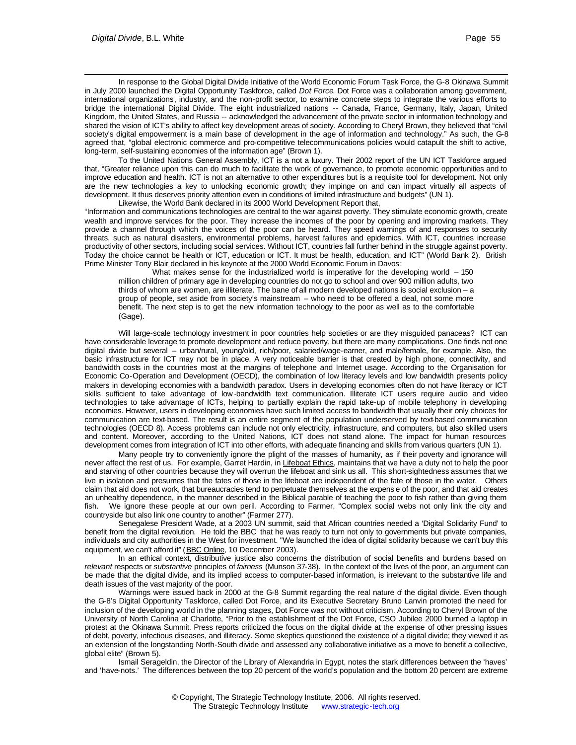l In response to the Global Digital Divide Initiative of the World Economic Forum Task Force, the G-8 Okinawa Summit in July 2000 launched the Digital Opportunity Taskforce, called *Dot Force*. Dot Force was a collaboration among government, international organizations, industry, and the non-profit sector, to examine concrete steps to integrate the various efforts to bridge the international Digital Divide. The eight industrialized nations -- Canada, France, Germany, Italy, Japan, United Kingdom, the United States, and Russia -- acknowledged the advancement of the private sector in information technology and shared the vision of ICT's ability to affect key development areas of society. According to Cheryl Brown, they believed that "civil society's digital empowerment is a main base of development in the age of information and technology." As such, the G-8 agreed that, "global electronic commerce and pro-competitive telecommunications policies would catapult the shift to active, long-term, self-sustaining economies of the information age" (Brown 1).

To the United Nations General Assembly, ICT is a not a luxury. Their 2002 report of the UN ICT Taskforce argued that, "Greater reliance upon this can do much to facilitate the work of governance, to promote economic opportunities and to improve education and health. ICT is not an alternative to other expenditures but is a requisite tool for development. Not only are the new technologies a key to unlocking economic growth; they impinge on and can impact virtually all aspects of development. It thus deserves priority attention even in conditions of limited infrastructure and budgets" (UN 1).

Likewise, the World Bank declared in its 2000 World Development Report that, "Information and communications technologies are central to the war against poverty. They stimulate economic growth, create wealth and improve services for the poor. They increase the incomes of the poor by opening and improving markets. They provide a channel through which the voices of the poor can be heard. They speed warnings of and responses to security threats, such as natural disasters, environmental problems, harvest failures and epidemics. With ICT, countries increase productivity of other sectors, including social services. Without ICT, countries fall further behind in the struggle against poverty. Today the choice cannot be health or ICT, education or ICT. It must be health, education, and ICT" (World Bank 2). British Prime Minister Tony Blair declared in his keynote at the 2000 World Economic Forum in Davos:

What makes sense for the industrialized world is imperative for the developing world - 150 million children of primary age in developing countries do not go to school and over 900 million adults, two thirds of whom are women, are illiterate. The bane of all modern developed nations is social exclusion – a group of people, set aside from society's mainstream – who need to be offered a deal, not some more benefit. The next step is to get the new information technology to the poor as well as to the comfortable (Gage).

Will large-scale technology investment in poor countries help societies or are they misguided panaceas? ICT can have considerable leverage to promote development and reduce poverty, but there are many complications. One finds not one digital divide but several – urban/rural, young/old, rich/poor, salaried/wage-earner, and male/female, for example. Also, the basic infrastructure for ICT may not be in place. A very noticeable barrier is that created by high phone, connectivity, and bandwidth costs in the countries most at the margins of telephone and Internet usage. According to the Organisation for Economic Co-Operation and Development (OECD), the combination of low literacy levels and low bandwidth presents policy makers in developing economies with a bandwidth paradox. Users in developing economies often do not have literacy or ICT skills sufficient to take advantage of low -bandwidth text communication. Illiterate ICT users require audio and video technologies to take advantage of ICTs, helping to partially explain the rapid take-up of mobile telephony in developing economies. However, users in developing economies have such limited access to bandwidth that usually their only choices for communication are text-based. The result is an entire segment of the population underserved by text-based communication technologies (OECD 8). Access problems can include not only electricity, infrastructure, and computers, but also skilled users and content. Moreover, according to the United Nations, ICT does not stand alone. The impact for human resources development comes from integration of ICT into other efforts, with adequate financing and skills from various quarters (UN 1).

Many people try to conveniently ignore the plight of the masses of humanity, as if their poverty and ignorance will never affect the rest of us. For example, Garret Hardin, in Lifeboat Ethics, maintains that we have a duty not to help the poor and starving of other countries because they will overrun the lifeboat and sink us all. This short-sightedness assumes that we live in isolation and presumes that the fates of those in the lifeboat are independent of the fate of those in the water. Others claim that aid does not work, that bureaucracies tend to perpetuate themselves at the expens e of the poor, and that aid creates an unhealthy dependence, in the manner described in the Biblical parable of teaching the poor to fish rather than giving them fish. We ignore these people at our own peril. According to Farmer, "Complex social webs not only link the city and countryside but also link one country to another" (Farmer 277).

Senegalese President Wade, at a 2003 UN summit, said that African countries needed a 'Digital Solidarity Fund' to benefit from the digital revolution. He told the BBC that he was ready to turn not only to governments but private companies, individuals and city authorities in the West for investment. "We launched the idea of digital solidarity because we can't buy this equipment, we can't afford it" (BBC Online, 10 December 2003).

In an ethical context, distributive justice also concerns the distribution of social benefits and burdens based on *relevant* respects or *substantive* principles of *fairness* (Munson 37-38). In the context of the lives of the poor, an argument can be made that the digital divide, and its implied access to computer-based information, is irrelevant to the substantive life and death issues of the vast majority of the poor.

Warnings were issued back in 2000 at the G-8 Summit regarding the real nature of the digital divide. Even though the G-8's Digital Opportunity Taskforce, called Dot Force, and its Executive Secretary Bruno Lanvin promoted the need for inclusion of the developing world in the planning stages, Dot Force was not without criticism. According to Cheryl Brown of the University of North Carolina at Charlotte, "Prior to the establishment of the Dot Force, CSO Jubilee 2000 burned a laptop in protest at the Okinawa Summit. Press reports criticized the focus on the digital divide at the expense of other pressing issues of debt, poverty, infectious diseases, and illiteracy. Some skeptics questioned the existence of a digital divide; they viewed it as an extension of the longstanding North-South divide and assessed any collaborative initiative as a move to benefit a collective, global elite" (Brown 5).

Ismail Serageldin, the Director of the Library of Alexandria in Egypt, notes the stark differences between the 'haves' and 'have-nots.' The differences between the top 20 percent of the world's population and the bottom 20 percent are extreme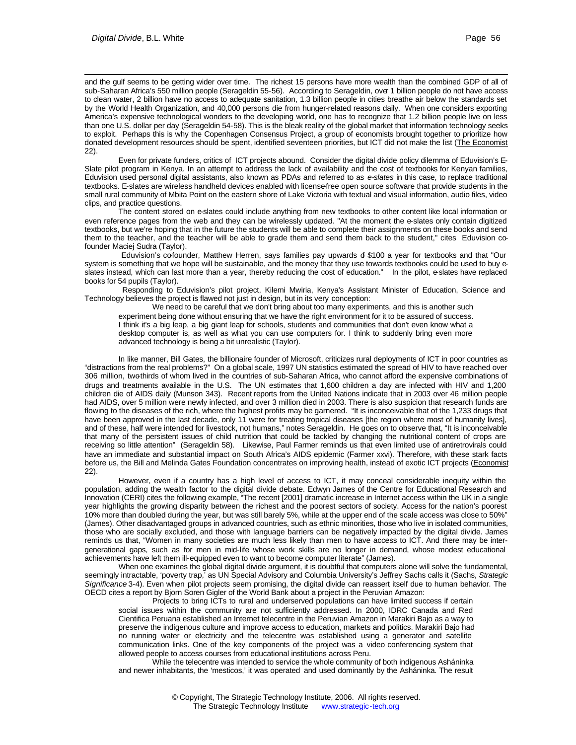and the gulf seems to be getting wider over time. The richest 15 persons have more wealth than the combined GDP of all of sub-Saharan Africa's 550 million people (Serageldin 55-56). According to Serageldin, over 1 billion people do not have access to clean water, 2 billion have no access to adequate sanitation, 1.3 billion people in cities breathe air below the standards set by the World Health Organization, and 40,000 persons die from hunger-related reasons daily. When one considers exporting America's expensive technological wonders to the developing world, one has to recognize that 1.2 billion people live on less than one U.S. dollar per day (Serageldin 54-58). This is the bleak reality of the global market that information technology seeks to exploit. Perhaps this is why the Copenhagen Consensus Project, a group of economists brought together to prioritize how donated development resources should be spent, identified seventeen priorities, but ICT did not make the list (The Economist 22).

Even for private funders, critics of ICT projects abound. Consider the digital divide policy dilemma of Eduvision's E-Slate pilot program in Kenya. In an attempt to address the lack of availability and the cost of textbooks for Kenyan families, Eduvision used personal digital assistants, also known as PDAs and referred to as *e-slates* in this case, to replace traditional textbooks. E-slates are wireless handheld devices enabled with licensefree open source software that provide students in the small rural community of Mbita Point on the eastern shore of Lake Victoria with textual and visual information, audio files, video clips, and practice questions.

The content stored on e-slates could include anything from new textbooks to other content like local information or even reference pages from the web and they can be wirelessly updated. "At the moment the e-slates only contain digitized textbooks, but we're hoping that in the future the students will be able to complete their assignments on these books and send them to the teacher, and the teacher will be able to grade them and send them back to the student," cites Eduvision cofounder Maciej Sudra (Taylor).

Eduvision's co-founder, Matthew Herren, says families pay upwards of \$100 a year for textbooks and that "Our system is something that we hope will be sustainable, and the money that they use towards textbooks could be used to buy eslates instead, which can last more than a year, thereby reducing the cost of education." In the pilot, e-slates have replaced books for 54 pupils (Taylor).

 Responding to Eduvision's pilot project, Kilemi Mwiria, Kenya's Assistant Minister of Education, Science and Technology believes the project is flawed not just in design, but in its very conception:

We need to be careful that we don't bring about too many experiments, and this is another such experiment being done without ensuring that we have the right environment for it to be assured of success. I think it's a big leap, a big giant leap for schools, students and communities that don't even know what a desktop computer is, as well as what you can use computers for. I think to suddenly bring even more advanced technology is being a bit unrealistic (Taylor).

In like manner, Bill Gates, the billionaire founder of Microsoft, criticizes rural deployments of ICT in poor countries as "distractions from the real problems?" On a global scale, 1997 UN statistics estimated the spread of HIV to have reached over 306 million, two-thirds of whom lived in the countries of sub-Saharan Africa, who cannot afford the expensive combinations of drugs and treatments available in the U.S. The UN estimates that 1,600 children a day are infected with HIV and 1,200 children die of AIDS daily (Munson 343). Recent reports from the United Nations indicate that in 2003 over 46 million people had AIDS, over 5 million were newly infected, and over 3 million died in 2003. There is also suspicion that research funds are flowing to the diseases of the rich, where the highest profits may be garnered. "It is inconceivable that of the 1,233 drugs that have been approved in the last decade, only 11 were for treating tropical diseases [the region where most of humanity lives], and of these, half were intended for livestock, not humans," notes Serageldin. He goes on to observe that, "It is inconceivable that many of the persistent issues of child nutrition that could be tackled by changing the nutritional content of crops are receiving so little attention" (Serageldin 58). Likewise, Paul Farmer reminds us that even limited use of antiretrovirals could have an immediate and substantial impact on South Africa's AIDS epidemic (Farmer xxvi). Therefore, with these stark facts before us, the Bill and Melinda Gates Foundation concentrates on improving health, instead of exotic ICT projects (Economist 22).

However, even if a country has a high level of access to ICT, it may conceal considerable inequity within the population, adding the wealth factor to the digital divide debate. Edwyn James of the Centre for Educational Research and Innovation (CERI) cites the following example, "The recent [2001] dramatic increase in Internet access within the UK in a single year highlights the growing disparity between the richest and the poorest sectors of society. Access for the nation's poorest 10% more than doubled during the year, but was still barely 5%, while at the upper end of the scale access was close to 50%" (James). Other disadvantaged groups in advanced countries, such as ethnic minorities, those who live in isolated communities, those who are socially excluded, and those with language barriers can be negatively impacted by the digital divide. James reminds us that, "Women in many societies are much less likely than men to have access to ICT. And there may be intergenerational gaps, such as for men in mid-life whose work skills are no longer in demand, whose modest educational achievements have left them ill-equipped even to want to become computer literate" (James).

When one examines the global digital divide argument, it is doubtful that computers alone will solve the fundamental, seemingly intractable, 'poverty trap,' as UN Special Advisory and Columbia University's Jeffrey Sachs calls it (Sachs, *Strategic Significance* 3-4). Even when pilot projects seem promising, the digital divide can reassert itself due to human behavior. The OECD cites a report by Bjorn Soren Gigler of the World Bank about a project in the Peruvian Amazon:

Projects to bring ICTs to rural and underserved populations can have limited success if certain social issues within the community are not sufficiently addressed. In 2000, IDRC Canada and Red Cientifica Peruana established an Internet telecentre in the Peruvian Amazon in Marakiri Bajo as a way to preserve the indigenous culture and improve access to education, markets and politics. Marakiri Bajo had no running water or electricity and the telecentre was established using a generator and satellite communication links. One of the key components of the project was a video conferencing system that allowed people to access courses from educational institutions across Peru.

While the telecentre was intended to service the whole community of both indigenous Asháninka and newer inhabitants, the 'mesticos,' it was operated and used dominantly by the Asháninka. The result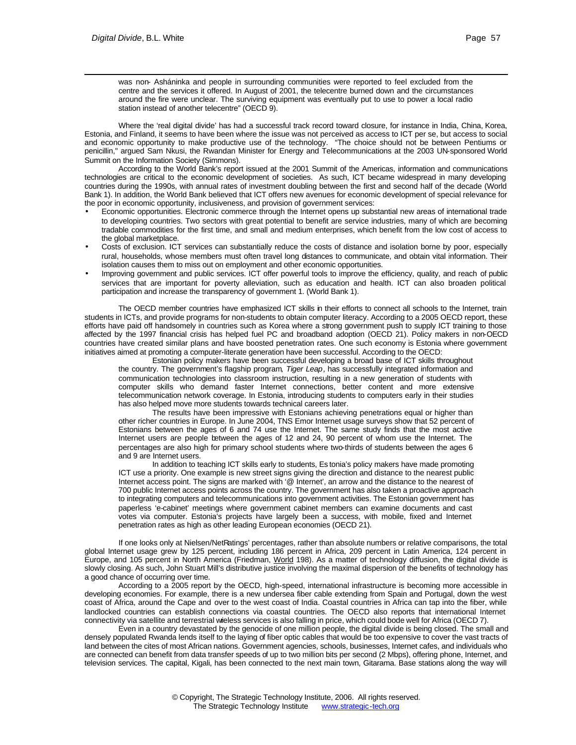was non- Asháninka and people in surrounding communities were reported to feel excluded from the centre and the services it offered. In August of 2001, the telecentre burned down and the circumstances around the fire were unclear. The surviving equipment was eventually put to use to power a local radio station instead of another telecentre" (OECD 9).

Where the 'real digital divide' has had a successful track record toward closure, for instance in India, China, Korea, Estonia, and Finland, it seems to have been where the issue was not perceived as access to ICT per se, but access to social and economic opportunity to make productive use of the technology. "The choice should not be between Pentiums or penicillin," argued Sam Nkusi, the Rwandan Minister for Energy and Telecommunications at the 2003 UN-sponsored World Summit on the Information Society (Simmons).

According to the World Bank's report issued at the 2001 Summit of the Americas, information and communications technologies are critical to the economic development of societies. As such, ICT became widespread in many developing countries during the 1990s, with annual rates of investment doubling between the first and second half of the decade (World Bank 1). In addition, the World Bank believed that ICT offers new avenues for economic development of special relevance for the poor in economic opportunity, inclusiveness, and provision of government services:

- Economic opportunities. Electronic commerce through the Internet opens up substantial new areas of international trade to developing countries. Two sectors with great potential to benefit are service industries, many of which are becoming tradable commodities for the first time, and small and medium enterprises, which benefit from the low cost of access to the global marketplace.
- Costs of exclusion. ICT services can substantially reduce the costs of distance and isolation borne by poor, especially rural, households, whose members must often travel long distances to communicate, and obtain vital information. Their isolation causes them to miss out on employment and other economic opportunities.
- Improving government and public services. ICT offer powerful tools to improve the efficiency, quality, and reach of public services that are important for poverty alleviation, such as education and health. ICT can also broaden political participation and increase the transparency of government 1. (World Bank 1).

The OECD member countries have emphasized ICT skills in their efforts to connect all schools to the Internet, train students in ICTs, and provide programs for non-students to obtain computer literacy. According to a 2005 OECD report, these efforts have paid off handsomely in countries such as Korea where a strong government push to supply ICT training to those affected by the 1997 financial crisis has helped fuel PC and broadband adoption (OECD 21). Policy makers in non-OECD countries have created similar plans and have boosted penetration rates. One such economy is Estonia where government initiatives aimed at promoting a computer-literate generation have been successful. According to the OECD:

Estonian policy makers have been successful developing a broad base of ICT skills throughout the country. The government's flagship program*, Tiger Leap*, has successfully integrated information and communication technologies into classroom instruction, resulting in a new generation of students with computer skills who demand faster Internet connections, better content and more extensive telecommunication network coverage. In Estonia, introducing students to computers early in their studies has also helped move more students towards technical careers later.

The results have been impressive with Estonians achieving penetrations equal or higher than other richer countries in Europe. In June 2004, TNS Emor Internet usage surveys show that 52 percent of Estonians between the ages of 6 and 74 use the Internet. The same study finds that the most active Internet users are people between the ages of 12 and 24, 90 percent of whom use the Internet. The percentages are also high for primary school students where two-thirds of students between the ages 6 and 9 are Internet users.

In addition to teaching ICT skills early to students, Es tonia's policy makers have made promoting ICT use a priority. One example is new street signs giving the direction and distance to the nearest public Internet access point. The signs are marked with '@ Internet', an arrow and the distance to the nearest of 700 public Internet access points across the country. The government has also taken a proactive approach to integrating computers and telecommunications into government activities. The Estonian government has paperless 'e-cabinet' meetings where government cabinet members can examine documents and cast votes via computer. Estonia's projects have largely been a success, with mobile, fixed and Internet penetration rates as high as other leading European economies (OECD 21).

If one looks only at Nielsen/NetRatings' percentages, rather than absolute numbers or relative comparisons, the total global Internet usage grew by 125 percent, including 186 percent in Africa, 209 percent in Latin America, 124 percent in Europe, and 105 percent in North America (Friedman, World 198). As a matter of technology diffusion, the digital divide is slowly closing. As such, John Stuart Mill's distributive justice involving the maximal dispersion of the benefits of technology has a good chance of occurring over time.

According to a 2005 report by the OECD, high-speed, international infrastructure is becoming more accessible in developing economies. For example, there is a new undersea fiber cable extending from Spain and Portugal, down the west coast of Africa, around the Cape and over to the west coast of India. Coastal countries in Africa can tap into the fiber, while landlocked countries can establish connections via coastal countries. The OECD also reports that international Internet connectivity via satellite and terrestrial wieless services is also falling in price, which could bode well for Africa (OECD 7).

Even in a country devastated by the genocide of one million people, the digital divide is being closed. The small and densely populated Rwanda lends itself to the laying of fiber optic cables that would be too expensive to cover the vast tracts of land between the cites of most African nations. Government agencies, schools, businesses, Internet cafes, and individuals who are connected can benefit from data transfer speeds of up to two million bits per second (2 Mbps), offering phone, Internet, and television services. The capital, Kigali, has been connected to the next main town, Gitarama. Base stations along the way will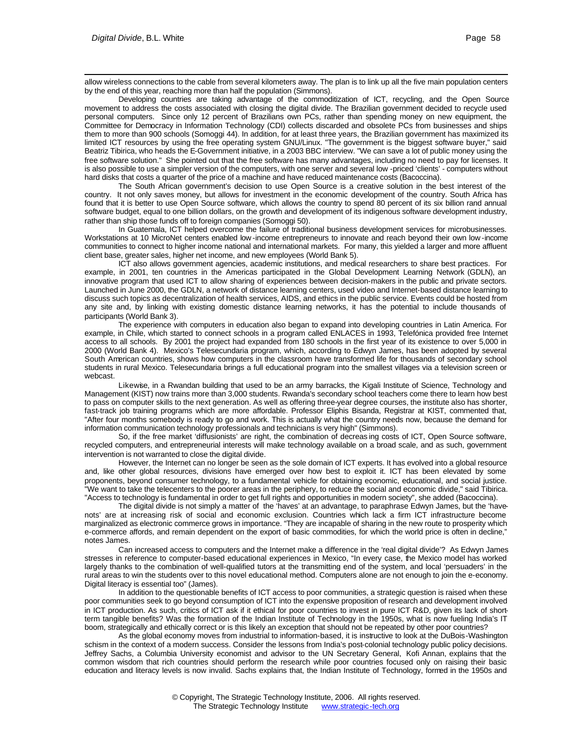allow wireless connections to the cable from several kilometers away. The plan is to link up all the five main population centers by the end of this year, reaching more than half the population (Simmons).

Developing countries are taking advantage of the commoditization of ICT, recycling, and the Open Source movement to address the costs associated with closing the digital divide. The Brazilian government decided to recycle used personal computers. Since only 12 percent of Brazilians own PCs, rather than spending money on new equipment, the Committee for Democracy in Information Technology (CDI) collects discarded and obsolete PCs from businesses and ships them to more than 900 schools (Somoggi 44). In addition, for at least three years, the Brazilian government has maximized its limited ICT resources by using the free operating system GNU/Linux. "The government is the biggest software buyer," said Beatriz Tibirica, who heads the E-Government initiative, in a 2003 BBC interview. "We can save a lot of public money using the free software solution." She pointed out that the free software has many advantages, including no need to pay for licenses. It is also possible to use a simpler version of the computers, with one server and several low -priced 'clients' - computers without hard disks that costs a quarter of the price of a machine and have reduced maintenance costs (Bacoccina).

The South African government's decision to use Open Source is a creative solution in the best interest of the country. It not only saves money, but allows for investment in the economic development of the country. South Africa has found that it is better to use Open Source software, which allows the country to spend 80 percent of its six billion rand annual software budget, equal to one billion dollars, on the growth and development of its indigenous software development industry, rather than ship those funds off to foreign companies (Somoggi 50).

In Guatemala, ICT helped overcome the failure of traditional business development services for microbusinesses. Workstations at 10 MicroNet centers enabled low -income entrepreneurs to innovate and reach beyond their own low -income communities to connect to higher income national and international markets. For many, this yielded a larger and more affluent client base, greater sales, higher net income, and new employees (World Bank 5).

ICT also allows government agencies, academic institutions, and medical researchers to share best practices. For example, in 2001, ten countries in the Americas participated in the Global Development Learning Network (GDLN), an innovative program that used ICT to allow sharing of experiences between decision-makers in the public and private sectors. Launched in June 2000, the GDLN, a network of distance learning centers, used video and Internet-based distance learning to discuss such topics as decentralization of health services, AIDS, and ethics in the public service. Events could be hosted from any site and, by linking with existing domestic distance learning networks, it has the potential to include thousands of participants (World Bank 3).

The experience with computers in education also began to expand into developing countries in Latin America. For example, in Chile, which started to connect schools in a program called ENLACES in 1993, Telefónica provided free Internet access to all schools. By 2001 the project had expanded from 180 schools in the first year of its existence to over 5,000 in 2000 (World Bank 4). Mexico's Telesecundaria program, which, according to Edwyn James, has been adopted by several South American countries, shows how computers in the classroom have transformed life for thousands of secondary school students in rural Mexico. Telesecundaria brings a full educational program into the smallest villages via a television screen or webcast.

Likewise, in a Rwandan building that used to be an army barracks, the Kigali Institute of Science, Technology and Management (KIST) now trains more than 3,000 students. Rwanda's secondary school teachers come there to learn how best to pass on computer skills to the next generation. As well as offering three-year degree courses, the institute also has shorter, fast-track job training programs which are more affordable. Professor Eliphis Bisanda, Registrar at KIST, commented that, "After four months somebody is ready to go and work. This is actually what the country needs now, because the demand for information communication technology professionals and technicians is very high" (Simmons).

So, if the free market 'diffusionists' are right, the combination of decreas ing costs of ICT, Open Source software, recycled computers, and entrepreneurial interests will make technology available on a broad scale, and as such, government intervention is not warranted to close the digital divide.

However, the Internet can no longer be seen as the sole domain of ICT experts. It has evolved into a global resource and, like other global resources, divisions have emerged over how best to exploit it. ICT has been elevated by some proponents, beyond consumer technology, to a fundamental vehicle for obtaining economic, educational, and social justice. "We want to take the telecenters to the poorer areas in the periphery, to reduce the social and economic divide," said Tibirica. "Access to technology is fundamental in order to get full rights and opportunities in modern society", she added (Bacoccina).

The digital divide is not simply a matter of the 'haves' at an advantage, to paraphrase Edwyn James, but the 'havenots' are at increasing risk of social and economic exclusion. Countries which lack a firm ICT infrastructure become marginalized as electronic commerce grows in importance. "They are incapable of sharing in the new route to prosperity which e-commerce affords, and remain dependent on the export of basic commodities, for which the world price is often in decline," notes James.

Can increased access to computers and the Internet make a difference in the 'real digital divide'? As Edwyn James stresses in reference to computer-based educational experiences in Mexico, "In every case, the Mexico model has worked largely thanks to the combination of well-qualified tutors at the transmitting end of the system, and local 'persuaders' in the rural areas to win the students over to this novel educational method. Computers alone are not enough to join the e-economy. Digital literacy is essential too" (James).

In addition to the questionable benefits of ICT access to poor communities, a strategic question is raised when these poor communities seek to go beyond consumption of ICT into the expensive proposition of research and development involved in ICT production. As such, critics of ICT ask if it ethical for poor countries to invest in pure ICT R&D, given its lack of shortterm tangible benefits? Was the formation of the Indian Institute of Technology in the 1950s, what is now fueling India's IT boom, strategically and ethically correct or is this likely an exception that should not be repeated by other poor countries?

As the global economy moves from industrial to information-based, it is instructive to look at the DuBois-Washington schism in the context of a modern success. Consider the lessons from India's post-colonial technology public policy decisions. Jeffrey Sachs, a Columbia University economist and advisor to the UN Secretary General, Kofi Annan, explains that the common wisdom that rich countries should perform the research while poor countries focused only on raising their basic education and literacy levels is now invalid. Sachs explains that, the Indian Institute of Technology, formed in the 1950s and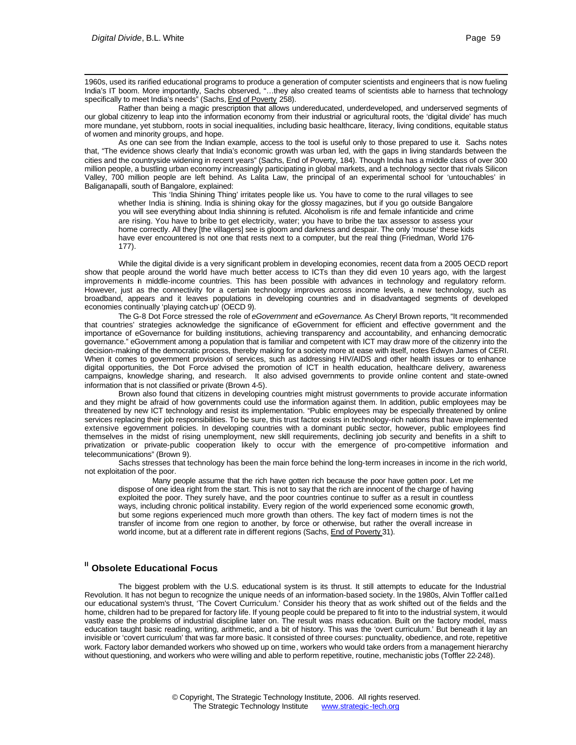1960s, used its rarified educational programs to produce a generation of computer scientists and engineers that is now fueling India's IT boom. More importantly, Sachs observed, "…they also created teams of scientists able to harness that technology specifically to meet India's needs" (Sachs, End of Poverty 258).

Rather than being a magic prescription that allows undereducated, underdeveloped, and underserved segments of our global citizenry to leap into the information economy from their industrial or agricultural roots, the 'digital divide' has much more mundane, yet stubborn, roots in social inequalities, including basic healthcare, literacy, living conditions, equitable status of women and minority groups, and hope.

As one can see from the Indian example, access to the tool is useful only to those prepared to use it. Sachs notes that, "The evidence shows clearly that India's economic growth was urban led, with the gaps in living standards between the cities and the countryside widening in recent years" (Sachs, End of Poverty, 184). Though India has a middle class of over 300 million people, a bustling urban economy increasingly participating in global markets, and a technology sector that rivals Silicon Valley, 700 million people are left behind. As Lalita Law, the principal of an experimental school for 'untouchables' in Baliganapalli, south of Bangalore, explained:

This 'India Shining Thing' irritates people like us. You have to come to the rural villages to see whether India is shining. India is shining okay for the glossy magazines, but if you go outside Bangalore you will see everything about India shinning is refuted. Alcoholism is rife and female infanticide and crime are rising. You have to bribe to get electricity, water; you have to bribe the tax assessor to assess your home correctly. All they [the villagers] see is gloom and darkness and despair. The only 'mouse' these kids have ever encountered is not one that rests next to a computer, but the real thing (Friedman, World 176- 177).

While the digital divide is a very significant problem in developing economies, recent data from a 2005 OECD report show that people around the world have much better access to ICTs than they did even 10 years ago, with the largest improvements in middle-income countries. This has been possible with advances in technology and regulatory reform. However, just as the connectivity for a certain technology improves across income levels, a new technology, such as broadband, appears and it leaves populations in developing countries and in disadvantaged segments of developed economies continually 'playing catch-up' (OECD 9).

The G-8 Dot Force stressed the role of *eGovernment* and *eGovernance*. As Cheryl Brown reports, "It recommended that countries' strategies acknowledge the significance of eGovernment for efficient and effective government and the importance of eGovernance for building institutions, achieving transparency and accountability, and enhancing democratic governance." eGovernment among a population that is familiar and competent with ICT may draw more of the citizenry into the decision-making of the democratic process, thereby making for a society more at ease with itself, notes Edwyn James of CERI. When it comes to government provision of services, such as addressing HIV/AIDS and other health issues or to enhance digital opportunities, the Dot Force advised the promotion of ICT in health education, healthcare delivery, awareness campaigns, knowledge sharing, and research. It also advised governments to provide online content and state-owned information that is not classified or private (Brown 4-5).

Brown also found that citizens in developing countries might mistrust governments to provide accurate information and they might be afraid of how governments could use the information against them. In addition, public employees may be threatened by new ICT technology and resist its implementation. "Public employees may be especially threatened by online services replacing their job responsibilities. To be sure, this trust factor exists in technology-rich nations that have implemented extensive egovernment policies. In developing countries with a dominant public sector, however, public employees find themselves in the midst of rising unemployment, new skill requirements, declining job security and benefits in a shift to privatization or private-public cooperation likely to occur with the emergence of pro-competitive information and telecommunications" (Brown 9).

Sachs stresses that technology has been the main force behind the long-term increases in income in the rich world, not exploitation of the poor.

Many people assume that the rich have gotten rich because the poor have gotten poor. Let me dispose of one idea right from the start. This is not to say that the rich are innocent of the charge of having exploited the poor. They surely have, and the poor countries continue to suffer as a result in countless ways, including chronic political instability. Every region of the world experienced some economic growth, but some regions experienced much more growth than others. The key fact of modern times is not the transfer of income from one region to another, by force or otherwise, but rather the overall increase in world income, but at a different rate in different regions (Sachs, End of Poverty 31).

### **II Obsolete Educational Focus**

The biggest problem with the U.S. educational system is its thrust. It still attempts to educate for the Industrial Revolution. It has not begun to recognize the unique needs of an information-based society. In the 1980s, Alvin Toffler cal1ed our educational system's thrust, 'The Covert Curriculum.' Consider his theory that as work shifted out of the fields and the home, children had to be prepared for factory life. If young people could be prepared to fit into to the industrial system, it would vastly ease the problems of industrial discipline later on. The result was mass education. Built on the factory model, mass education taught basic reading, writing, arithmetic, and a bit of history. This was the 'overt curriculum.' But beneath it lay an invisible or 'covert curriculum' that was far more basic. It consisted of three courses: punctuality, obedience, and rote, repetitive work. Factory labor demanded workers who showed up on time, workers who would take orders from a management hierarchy without questioning, and workers who were willing and able to perform repetitive, routine, mechanistic jobs (Toffler 22-248).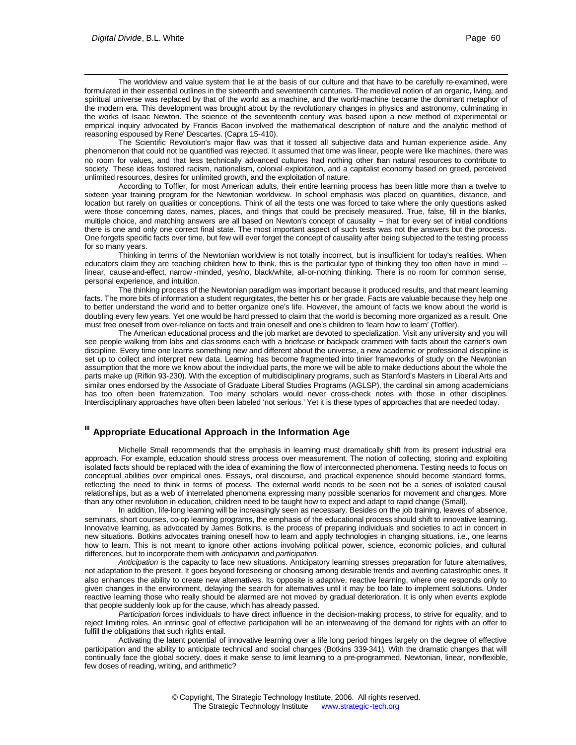The worldview and value system that lie at the basis of our culture and that have to be carefully re-examined, were formulated in their essential outlines in the sixteenth and seventeenth centuries. The medieval notion of an organic, living, and spiritual universe was replaced by that of the world as a machine, and the world-machine became the dominant metaphor of the modern era. This development was brought about by the revolutionary changes in physics and astronomy, culminating in the works of Isaac Newton. The science of the seventeenth century was based upon a new method of experimental or empirical inquiry advocated by Francis Bacon involved the mathematical description of nature and the analytic method of reasoning espoused by Rene' Descartes. (Capra 15-410).

The Scientific Revolution's major flaw was that it tossed all subjective data and human experience aside. Any phenomenon that could not be quantified was rejected. It assumed that time was linear, people were like machines, there was no room for values, and that less technically advanced cultures had nothing other than natural resources to contribute to society. These ideas fostered racism, nationalism, colonial exploitation, and a capitalist economy based on greed, perceived unlimited resources, desires for unlimited growth, and the exploitation of nature.

According to Toffler, for most American adults, their entire learning process has been little more than a twelve to sixteen year training program for the Newtonian worldview. In school emphasis was placed on quantities, distance, and location but rarely on qualities or conceptions. Think of all the tests one was forced to take where the only questions asked were those concerning dates, names, places, and things that could be precisely measured. True, false, fill in the blanks, multiple choice, and matching answers are all based on Newton's concept of causality -- that for every set of initial conditions there is one and only one correct final state. The most important aspect of such tests was not the answers but the process. One forgets specific facts over time, but few will ever forget the concept of causality after being subjected to the testing process for so many years.

Thinking in terms of the Newtonian worldview is not totally incorrect, but is insufficient for today's realities. When educators claim they are teaching children how to think, this is the particular type of thinking they too often have in mind - linear, cause-and-effect, narrow -minded, yes/no, black/white, all-or-nothing thinking. There is no room for common sense, personal experience, and intuition.

The thinking process of the Newtonian paradigm was important because it produced results, and that meant learning facts. The more bits of information a student regurgitates, the better his or her grade. Facts are valuable because they help one to better understand the world and to better organize one's life. However, the amount of facts we know about the world is doubling every few years. Yet one would be hard pressed to claim that the world is becoming more organized as a result. One must free oneself from over-reliance on facts and train oneself and one's children to 'learn how to learn' (Toffler).

The American educational process and the job market are devoted to specialization. Visit any university and you will see people walking from labs and clas srooms each with a briefcase or backpack crammed with facts about the carrier's own discipline. Every time one learns something new and different about the universe, a new academic or professional discipline is set up to collect and interpret new data. Learning has become fragmented into tinier frameworks of study on the Newtonian assumption that the more we know about the individual parts, the more we will be able to make deductions about the whole the parts make up (Rifkin 93-230). With the exception of multidisciplinary programs, such as Stanford's Masters in Liberal Arts and similar ones endorsed by the Associate of Graduate Liberal Studies Programs (AGLSP), the cardinal sin among academicians has too often been fraternization. Too many scholars would never cross-check notes with those in other disciplines. Interdisciplinary approaches have often been labeled 'not serious.' Yet it is these types of approaches that are needed today.

# **III Appropriate Educational Approach in the Information Age**

Michelle Small recommends that the emphasis in learning must dramatically shift from its present industrial era approach. For example, education should stress process over measurement. The notion of collecting, storing and exploiting isolated facts should be replaced with the idea of examining the flow of interconnected phenomena. Testing needs to focus on conceptual abilities over empirical ones. Essays, oral discourse, and practical experience should become standard forms, reflecting the need to think in terms of process. The external world needs to be seen not be a series of isolated causal relationships, but as a web of interrelated phenomena expressing many possible scenarios for movement and changes. More than any other revolution in education, children need to be taught how to expect and adapt to rapid change (Small).

In addition, life-long learning will be increasingly seen as necessary. Besides on the job training, leaves of absence, seminars, short courses, co-op learning programs, the emphasis of the educational process should shift to innovative learning. Innovative learning, as advocated by James Botkins, is the process of preparing individuals and societies to act in concert in new situations. Botkins advocates training oneself how to learn and apply technologies in changing situations, i.e., one learns how to learn. This is not meant to ignore other actions involving political power, science, economic policies, and cultural differences, but to incorporate them with *anticipation* and *participation*.

*Anticipation* is the capacity to face new situations. Anticipatory learning stresses preparation for future alternatives, not adaptation to the present. It goes beyond foreseeing or choosing among desirable trends and averting catastrophic ones. It also enhances the ability to create new alternatives. Its opposite is adaptive, reactive learning, where one responds only to given changes in the environment, delaying the search for alternatives until it may be too late to implement solutions. Under reactive learning those who really should be alarmed are not moved by gradual deterioration. It is only when events explode that people suddenly look up for the cause, which has already passed.

*Participation* forces individuals to have direct influence in the decision-making process, to strive for equality, and to reject limiting roles. An intrinsic goal of effective participation will be an interweaving of the demand for rights with an offer to fulfill the obligations that such rights entail.

Activating the latent potential of innovative learning over a life long period hinges largely on the degree of effective participation and the ability to anticipate technical and social changes (Botkins 339-341). With the dramatic changes that will continually face the global society, does it make sense to limit learning to a pre-programmed, Newtonian, linear, non-flexible, few doses of reading, writing, and arithmetic?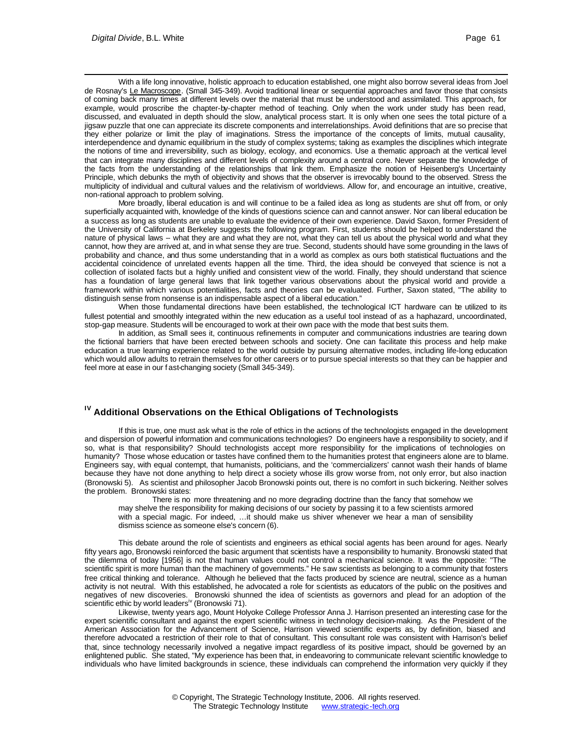With a life long innovative, holistic approach to education established, one might also borrow several ideas from Joel de Rosnay's Le Macroscope. (Small 345-349). Avoid traditional linear or sequential approaches and favor those that consists of coming back many times at different levels over the material that must be understood and assimilated. This approach, for example, would proscribe the chapter-by-chapter method of teaching. Only when the work under study has been read, discussed, and evaluated in depth should the slow, analytical process start. It is only when one sees the total picture of a jigsaw puzzle that one can appreciate its discrete components and interrelationships. Avoid definitions that are so precise that they either polarize or limit the play of imaginations. Stress the importance of the concepts of limits, mutual causality, interdependence and dynamic equilibrium in the study of complex systems; taking as examples the disciplines which integrate the notions of time and irreversibility, such as biology, ecology, and economics. Use a thematic approach at the vertical level that can integrate many disciplines and different levels of complexity around a central core. Never separate the knowledge of the facts from the understanding of the relationships that link them. Emphasize the notion of Heisenberg's Uncertainty Principle, which debunks the myth of objectivity and shows that the observer is irrevocably bound to the observed. Stress the multiplicity of individual and cultural values and the relativism of worldviews. Allow for, and encourage an intuitive, creative, non-rational approach to problem solving.

More broadly, liberal education is and will continue to be a failed idea as long as students are shut off from, or only superficially acquainted with, knowledge of the kinds of questions science can and cannot answer. Nor can liberal education be a success as long as students are unable to evaluate the evidence of their own experience. David Saxon, former President of the University of California at Berkeley suggests the following program. First, students should be helped to understand the nature of physical laws -- what they are and what they are not, what they can tell us about the physical world and what they cannot, how they are arrived at, and in what sense they are true. Second, students should have some grounding in the laws of probability and chance, and thus some understanding that in a world as complex as ours both statistical fluctuations and the accidental coincidence of unrelated events happen all the time. Third, the idea should be conveyed that science is not a collection of isolated facts but a highly unified and consistent view of the world. Finally, they should understand that science has a foundation of large general laws that link together various observations about the physical world and provide a framework within which various potentialities, facts and theories can be evaluated. Further, Saxon stated, "The ability to distinguish sense from nonsense is an indispensable aspect of a liberal education."

When those fundamental directions have been established, the technological ICT hardware can be utilized to its fullest potential and smoothly integrated within the new education as a useful tool instead of as a haphazard, uncoordinated, stop-gap measure. Students will be encouraged to work at their own pace with the mode that best suits them.

In addition, as Small sees it, continuous refinements in computer and communications industries are tearing down the fictional barriers that have been erected between schools and society. One can facilitate this process and help make education a true learning experience related to the world outside by pursuing alternative modes, including life-long education which would allow adults to retrain themselves for other careers or to pursue special interests so that they can be happier and feel more at ease in our f ast-changing society (Small 345-349).

# **IV Additional Observations on the Ethical Obligations of Technologists**

If this is true, one must ask what is the role of ethics in the actions of the technologists engaged in the development and dispersion of powerful information and communications technologies? Do engineers have a responsibility to society, and if so, what is that responsibility? Should technologists accept more responsibility for the implications of technologies on humanity? Those whose education or tastes have confined them to the humanities protest that engineers alone are to blame. Engineers say, with equal contempt, that humanists, politicians, and the 'commercializers' cannot wash their hands of blame because they have not done anything to help direct a society whose ills grow worse from, not only error, but also inaction (Bronowski 5). As scientist and philosopher Jacob Bronowski points out, there is no comfort in such bickering. Neither solves the problem. Bronowski states:

There is no more threatening and no more degrading doctrine than the fancy that somehow we may shelve the responsibility for making decisions of our society by passing it to a few scientists armored with a special magic. For indeed, …it should make us shiver whenever we hear a man of sensibility dismiss science as someone else's concern (6).

This debate around the role of scientists and engineers as ethical social agents has been around for ages. Nearly fifty years ago, Bronowski reinforced the basic argument that scientists have a responsibility to humanity. Bronowski stated that the dilemma of today [1956] is not that human values could not control a mechanical science. It was the opposite: "The scientific spirit is more human than the machinery of governments." He saw scientists as belonging to a community that fosters free critical thinking and tolerance. Although he believed that the facts produced by science are neutral, science as a human activity is not neutral. With this established, he advocated a role for scientists as educators of the public on the positives and negatives of new discoveries. Bronowski shunned the idea of scientists as governors and plead for an adoption of the scientific ethic by world leaders<sup>iv</sup> (Bronowski 71).

Likewise, twenty years ago, Mount Holyoke College Professor Anna J. Harrison presented an interesting case for the expert scientific consultant and against the expert scientific witness in technology decision-making. As the President of the American Association for the Advancement of Science, Harrison viewed scientific experts as, by definition, biased and therefore advocated a restriction of their role to that of consultant. This consultant role was consistent with Harrison's belief that, since technology necessarily involved a negative impact regardless of its positive impact, should be governed by an enlightened public. She stated, "My experience has been that, in endeavoring to communicate relevant scientific knowledge to individuals who have limited backgrounds in science, these individuals can comprehend the information very quickly if they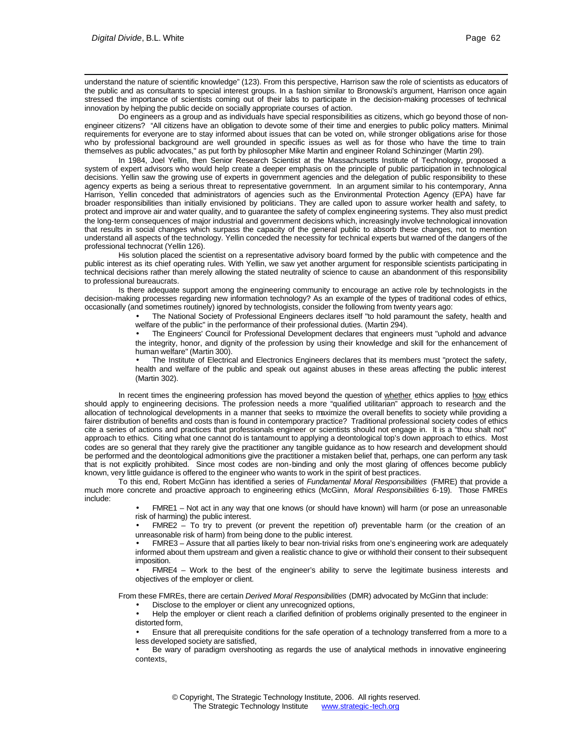understand the nature of scientific knowledge" (123). From this perspective, Harrison saw the role of scientists as educators of the public and as consultants to special interest groups. In a fashion similar to Bronowski's argument, Harrison once again stressed the importance of scientists coming out of their labs to participate in the decision-making processes of technical innovation by helping the public decide on socially appropriate courses of action.

Do engineers as a group and as individuals have special responsibilities as citizens, which go beyond those of nonengineer citizens? "All citizens have an obligation to devote some of their time and energies to public policy matters. Minimal requirements for everyone are to stay informed about issues that can be voted on, while stronger obligations arise for those who by professional background are well grounded in specific issues as well as for those who have the time to train themselves as public advocates," as put forth by philosopher Mike Martin and engineer Roland Schinzinger (Martin 29l).

In 1984, Joel Yellin, then Senior Research Scientist at the Massachusetts Institute of Technology, proposed a system of expert advisors who would help create a deeper emphasis on the principle of public participation in technological decisions. Yellin saw the growing use of experts in government agencies and the delegation of public responsibility to these agency experts as being a serious threat to representative government. In an argument similar to his contemporary, Anna Harrison, Yellin conceded that administrators of agencies such as the Environmental Protection Agency (EPA) have far broader responsibilities than initially envisioned by politicians. They are called upon to assure worker health and safety, to protect and improve air and water quality, and to guarantee the safety of complex engineering systems. They also must predict the long-term consequences of major industrial and government decisions which, increasingly involve technological innovation that results in social changes which surpass the capacity of the general public to absorb these changes, not to mention understand all aspects of the technology. Yellin conceded the necessity for technical experts but warned of the dangers of the professional technocrat (Yellin 126).

His solution placed the scientist on a representative advisory board formed by the public with competence and the public interest as its chief operating rules. With Yellin, we saw yet another argument for responsible scientists participating in technical decisions rather than merely allowing the stated neutrality of science to cause an abandonment of this responsibility to professional bureaucrats.

Is there adequate support among the engineering community to encourage an active role by technologists in the decision-making processes regarding new information technology? As an example of the types of traditional codes of ethics, occasionally (and sometimes routinely) ignored by technologists, consider the following from twenty years ago:

> • The National Society of Professional Engineers declares itself "to hold paramount the safety, health and welfare of the public" in the performance of their professional duties. (Martin 294).

> • The Engineers' Council for Professional Development declares that engineers must "uphold and advance the integrity, honor, and dignity of the profession by using their knowledge and skill for the enhancement of human welfare" (Martin 300).

> The Institute of Electrical and Electronics Engineers declares that its members must "protect the safety, health and welfare of the public and speak out against abuses in these areas affecting the public interest (Martin 302).

In recent times the engineering profession has moved beyond the question of whether ethics applies to how ethics should apply to engineering decisions. The profession needs a more "qualified utilitarian" approach to research and the allocation of technological developments in a manner that seeks to maximize the overall benefits to society while providing a fairer distribution of benefits and costs than is found in contemporary practice? Traditional professional society codes of ethics cite a series of actions and practices that professionals engineer or scientists should not engage in. It is a "thou shalt not" approach to ethics. Citing what one cannot do is tantamount to applying a deontological top's down approach to ethics. Most codes are so general that they rarely give the practitioner any tangible guidance as to how research and development should be performed and the deontological admonitions give the practitioner a mistaken belief that, perhaps, one can perform any task that is not explicitly prohibited. Since most codes are non-binding and only the most glaring of offences become publicly known, very little guidance is offered to the engineer who wants to work in the spirit of best practices.

To this end, Robert McGinn has identified a series of *Fundamental Moral Responsibilities* (FMRE) that provide a much more concrete and proactive approach to engineering ethics (McGinn, *Moral Responsibilities* 6-19). Those FMREs include:

> • FMRE1 – Not act in any way that one knows (or should have known) will harm (or pose an unreasonable risk of harming) the public interest.

> • FMRE2 – To try to prevent (or prevent the repetition of) preventable harm (or the creation of an unreasonable risk of harm) from being done to the public interest.

> • FMRE3 – Assure that all parties likely to bear non-trivial risks from one's engineering work are adequately informed about them upstream and given a realistic chance to give or withhold their consent to their subsequent imposition.

> • FMRE4 – Work to the best of the engineer's ability to serve the legitimate business interests and objectives of the employer or client.

From these FMREs, there are certain *Derived Moral Responsibilities* (DMR) advocated by McGinn that include:

• Disclose to the employer or client any unrecognized options,

• Help the employer or client reach a clarified definition of problems originally presented to the engineer in distorted form,

• Ensure that all prerequisite conditions for the safe operation of a technology transferred from a more to a less developed society are satisfied,

• Be wary of paradigm overshooting as regards the use of analytical methods in innovative engineering contexts,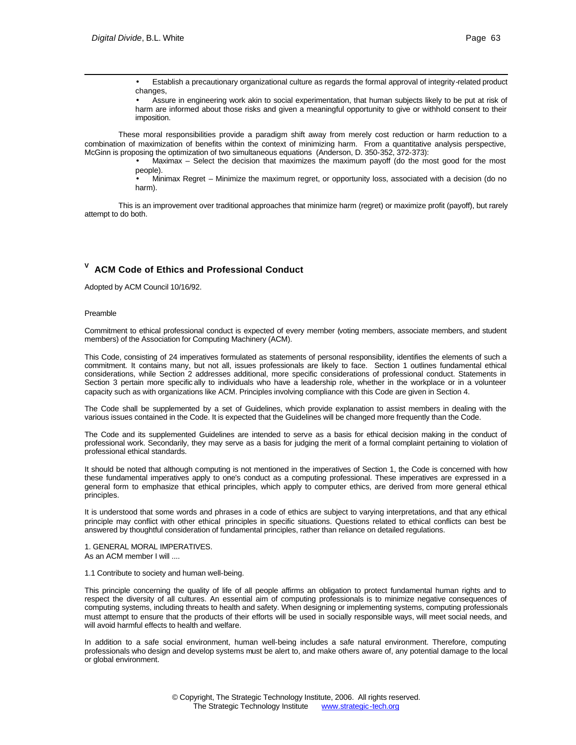• Establish a precautionary organizational culture as regards the formal approval of integrity-related product changes,

• Assure in engineering work akin to social experimentation, that human subjects likely to be put at risk of harm are informed about those risks and given a meaningful opportunity to give or withhold consent to their imposition.

These moral responsibilities provide a paradigm shift away from merely cost reduction or harm reduction to a combination of maximization of benefits within the context of minimizing harm. From a quantitative analysis perspective, McGinn is proposing the optimization of two simultaneous equations (Anderson, D. 350-352, 372-373):

> • Maximax – Select the decision that maximizes the maximum payoff (do the most good for the most people).

> • Minimax Regret – Minimize the maximum regret, or opportunity loss, associated with a decision (do no harm).

This is an improvement over traditional approaches that minimize harm (regret) or maximize profit (payoff), but rarely attempt to do both.

## **V ACM Code of Ethics and Professional Conduct**

Adopted by ACM Council 10/16/92.

### Preamble

Commitment to ethical professional conduct is expected of every member (voting members, associate members, and student members) of the Association for Computing Machinery (ACM).

This Code, consisting of 24 imperatives formulated as statements of personal responsibility, identifies the elements of such a commitment. It contains many, but not all, issues professionals are likely to face. Section 1 outlines fundamental ethical considerations, while Section 2 addresses additional, more specific considerations of professional conduct. Statements in Section 3 pertain more specific ally to individuals who have a leadership role, whether in the workplace or in a volunteer capacity such as with organizations like ACM. Principles involving compliance with this Code are given in Section 4.

The Code shall be supplemented by a set of Guidelines, which provide explanation to assist members in dealing with the various issues contained in the Code. It is expected that the Guidelines will be changed more frequently than the Code.

The Code and its supplemented Guidelines are intended to serve as a basis for ethical decision making in the conduct of professional work. Secondarily, they may serve as a basis for judging the merit of a formal complaint pertaining to violation of professional ethical standards.

It should be noted that although computing is not mentioned in the imperatives of Section 1, the Code is concerned with how these fundamental imperatives apply to one's conduct as a computing professional. These imperatives are expressed in a general form to emphasize that ethical principles, which apply to computer ethics, are derived from more general ethical principles.

It is understood that some words and phrases in a code of ethics are subject to varying interpretations, and that any ethical principle may conflict with other ethical principles in specific situations. Questions related to ethical conflicts can best be answered by thoughtful consideration of fundamental principles, rather than reliance on detailed regulations.

1. GENERAL MORAL IMPERATIVES. As an ACM member I will ....

1.1 Contribute to society and human well-being.

This principle concerning the quality of life of all people affirms an obligation to protect fundamental human rights and to respect the diversity of all cultures. An essential aim of computing professionals is to minimize negative consequences of computing systems, including threats to health and safety. When designing or implementing systems, computing professionals must attempt to ensure that the products of their efforts will be used in socially responsible ways, will meet social needs, and will avoid harmful effects to health and welfare.

In addition to a safe social environment, human well-being includes a safe natural environment. Therefore, computing professionals who design and develop systems must be alert to, and make others aware of, any potential damage to the local or global environment.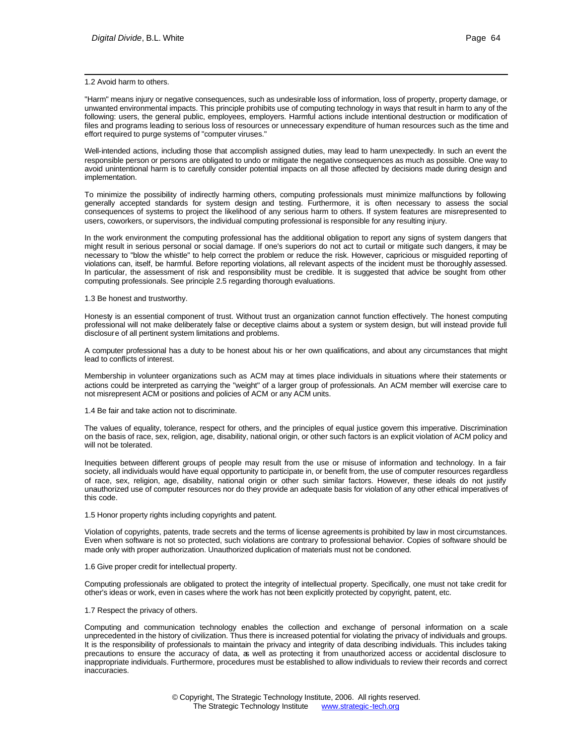### l 1.2 Avoid harm to others.

"Harm" means injury or negative consequences, such as undesirable loss of information, loss of property, property damage, or unwanted environmental impacts. This principle prohibits use of computing technology in ways that result in harm to any of the following: users, the general public, employees, employers. Harmful actions include intentional destruction or modification of files and programs leading to serious loss of resources or unnecessary expenditure of human resources such as the time and effort required to purge systems of "computer viruses."

Well-intended actions, including those that accomplish assigned duties, may lead to harm unexpectedly. In such an event the responsible person or persons are obligated to undo or mitigate the negative consequences as much as possible. One way to avoid unintentional harm is to carefully consider potential impacts on all those affected by decisions made during design and implementation.

To minimize the possibility of indirectly harming others, computing professionals must minimize malfunctions by following generally accepted standards for system design and testing. Furthermore, it is often necessary to assess the social consequences of systems to project the likelihood of any serious harm to others. If system features are misrepresented to users, coworkers, or supervisors, the individual computing professional is responsible for any resulting injury.

In the work environment the computing professional has the additional obligation to report any signs of system dangers that might result in serious personal or social damage. If one's superiors do not act to curtail or mitigate such dangers, it may be necessary to "blow the whistle" to help correct the problem or reduce the risk. However, capricious or misguided reporting of violations can, itself, be harmful. Before reporting violations, all relevant aspects of the incident must be thoroughly assessed. In particular, the assessment of risk and responsibility must be credible. It is suggested that advice be sought from other computing professionals. See principle 2.5 regarding thorough evaluations.

#### 1.3 Be honest and trustworthy.

Honesty is an essential component of trust. Without trust an organization cannot function effectively. The honest computing professional will not make deliberately false or deceptive claims about a system or system design, but will instead provide full disclosure of all pertinent system limitations and problems.

A computer professional has a duty to be honest about his or her own qualifications, and about any circumstances that might lead to conflicts of interest.

Membership in volunteer organizations such as ACM may at times place individuals in situations where their statements or actions could be interpreted as carrying the "weight" of a larger group of professionals. An ACM member will exercise care to not misrepresent ACM or positions and policies of ACM or any ACM units.

1.4 Be fair and take action not to discriminate.

The values of equality, tolerance, respect for others, and the principles of equal justice govern this imperative. Discrimination on the basis of race, sex, religion, age, disability, national origin, or other such factors is an explicit violation of ACM policy and will not be tolerated.

Inequities between different groups of people may result from the use or misuse of information and technology. In a fair society, all individuals would have equal opportunity to participate in, or benefit from, the use of computer resources regardless of race, sex, religion, age, disability, national origin or other such similar factors. However, these ideals do not justify unauthorized use of computer resources nor do they provide an adequate basis for violation of any other ethical imperatives of this code.

### 1.5 Honor property rights including copyrights and patent.

Violation of copyrights, patents, trade secrets and the terms of license agreements is prohibited by law in most circumstances. Even when software is not so protected, such violations are contrary to professional behavior. Copies of software should be made only with proper authorization. Unauthorized duplication of materials must not be condoned.

### 1.6 Give proper credit for intellectual property.

Computing professionals are obligated to protect the integrity of intellectual property. Specifically, one must not take credit for other's ideas or work, even in cases where the work has not been explicitly protected by copyright, patent, etc.

### 1.7 Respect the privacy of others.

Computing and communication technology enables the collection and exchange of personal information on a scale unprecedented in the history of civilization. Thus there is increased potential for violating the privacy of individuals and groups. It is the responsibility of professionals to maintain the privacy and integrity of data describing individuals. This includes taking precautions to ensure the accuracy of data, as well as protecting it from unauthorized access or accidental disclosure to inappropriate individuals. Furthermore, procedures must be established to allow individuals to review their records and correct inaccuracies.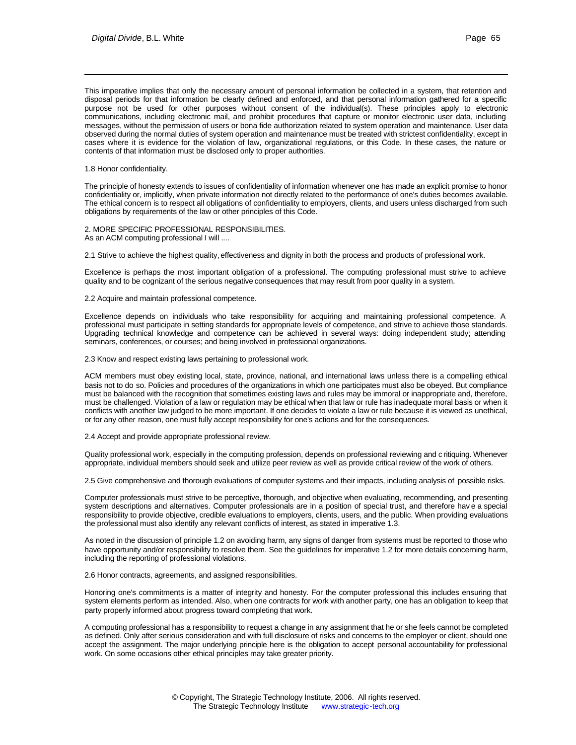This imperative implies that only the necessary amount of personal information be collected in a system, that retention and disposal periods for that information be clearly defined and enforced, and that personal information gathered for a specific purpose not be used for other purposes without consent of the individual(s). These principles apply to electronic communications, including electronic mail, and prohibit procedures that capture or monitor electronic user data, including messages, without the permission of users or bona fide authorization related to system operation and maintenance. User data observed during the normal duties of system operation and maintenance must be treated with strictest confidentiality, except in cases where it is evidence for the violation of law, organizational regulations, or this Code. In these cases, the nature or contents of that information must be disclosed only to proper authorities.

1.8 Honor confidentiality.

l

The principle of honesty extends to issues of confidentiality of information whenever one has made an explicit promise to honor confidentiality or, implicitly, when private information not directly related to the performance of one's duties becomes available. The ethical concern is to respect all obligations of confidentiality to employers, clients, and users unless discharged from such obligations by requirements of the law or other principles of this Code.

2. MORE SPECIFIC PROFESSIONAL RESPONSIBILITIES. As an ACM computing professional I will ....

2.1 Strive to achieve the highest quality, effectiveness and dignity in both the process and products of professional work.

Excellence is perhaps the most important obligation of a professional. The computing professional must strive to achieve quality and to be cognizant of the serious negative consequences that may result from poor quality in a system.

2.2 Acquire and maintain professional competence.

Excellence depends on individuals who take responsibility for acquiring and maintaining professional competence. A professional must participate in setting standards for appropriate levels of competence, and strive to achieve those standards. Upgrading technical knowledge and competence can be achieved in several ways: doing independent study; attending seminars, conferences, or courses; and being involved in professional organizations.

2.3 Know and respect existing laws pertaining to professional work.

ACM members must obey existing local, state, province, national, and international laws unless there is a compelling ethical basis not to do so. Policies and procedures of the organizations in which one participates must also be obeyed. But compliance must be balanced with the recognition that sometimes existing laws and rules may be immoral or inappropriate and, therefore, must be challenged. Violation of a law or regulation may be ethical when that law or rule has inadequate moral basis or when it conflicts with another law judged to be more important. If one decides to violate a law or rule because it is viewed as unethical, or for any other reason, one must fully accept responsibility for one's actions and for the consequences.

2.4 Accept and provide appropriate professional review.

Quality professional work, especially in the computing profession, depends on professional reviewing and c ritiquing. Whenever appropriate, individual members should seek and utilize peer review as well as provide critical review of the work of others.

2.5 Give comprehensive and thorough evaluations of computer systems and their impacts, including analysis of possible risks.

Computer professionals must strive to be perceptive, thorough, and objective when evaluating, recommending, and presenting system descriptions and alternatives. Computer professionals are in a position of special trust, and therefore hav e a special responsibility to provide objective, credible evaluations to employers, clients, users, and the public. When providing evaluations the professional must also identify any relevant conflicts of interest, as stated in imperative 1.3.

As noted in the discussion of principle 1.2 on avoiding harm, any signs of danger from systems must be reported to those who have opportunity and/or responsibility to resolve them. See the guidelines for imperative 1.2 for more details concerning harm, including the reporting of professional violations.

2.6 Honor contracts, agreements, and assigned responsibilities.

Honoring one's commitments is a matter of integrity and honesty. For the computer professional this includes ensuring that system elements perform as intended. Also, when one contracts for work with another party, one has an obligation to keep that party properly informed about progress toward completing that work.

A computing professional has a responsibility to request a change in any assignment that he or she feels cannot be completed as defined. Only after serious consideration and with full disclosure of risks and concerns to the employer or client, should one accept the assignment. The major underlying principle here is the obligation to accept personal accountability for professional work. On some occasions other ethical principles may take greater priority.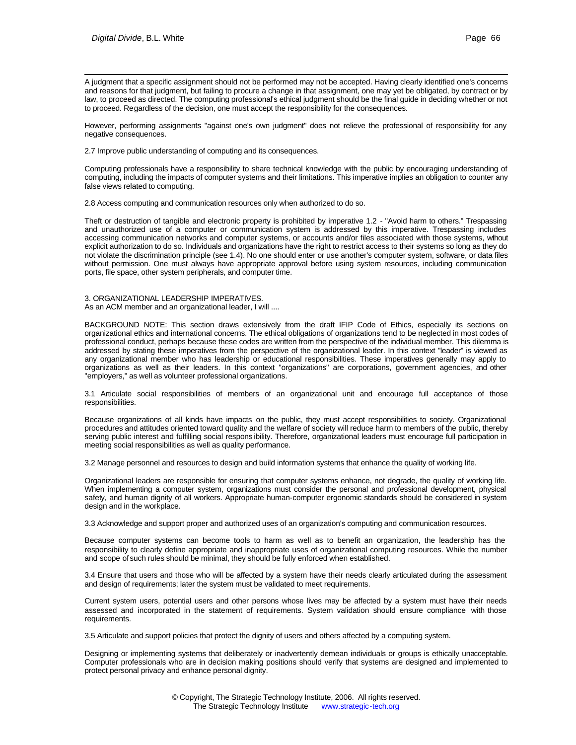l A judgment that a specific assignment should not be performed may not be accepted. Having clearly identified one's concerns and reasons for that judgment, but failing to procure a change in that assignment, one may yet be obligated, by contract or by law, to proceed as directed. The computing professional's ethical judgment should be the final guide in deciding whether or not to proceed. Regardless of the decision, one must accept the responsibility for the consequences.

However, performing assignments "against one's own judgment" does not relieve the professional of responsibility for any negative consequences.

2.7 Improve public understanding of computing and its consequences.

Computing professionals have a responsibility to share technical knowledge with the public by encouraging understanding of computing, including the impacts of computer systems and their limitations. This imperative implies an obligation to counter any false views related to computing.

2.8 Access computing and communication resources only when authorized to do so.

Theft or destruction of tangible and electronic property is prohibited by imperative 1.2 - "Avoid harm to others." Trespassing and unauthorized use of a computer or communication system is addressed by this imperative. Trespassing includes accessing communication networks and computer systems, or accounts and/or files associated with those systems, without explicit authorization to do so. Individuals and organizations have the right to restrict access to their systems so long as they do not violate the discrimination principle (see 1.4). No one should enter or use another's computer system, software, or data files without permission. One must always have appropriate approval before using system resources, including communication ports, file space, other system peripherals, and computer time.

3. ORGANIZATIONAL LEADERSHIP IMPERATIVES. As an ACM member and an organizational leader, I will ....

BACKGROUND NOTE: This section draws extensively from the draft IFIP Code of Ethics, especially its sections on organizational ethics and international concerns. The ethical obligations of organizations tend to be neglected in most codes of professional conduct, perhaps because these codes are written from the perspective of the individual member. This dilemma is addressed by stating these imperatives from the perspective of the organizational leader. In this context "leader" is viewed as any organizational member who has leadership or educational responsibilities. These imperatives generally may apply to organizations as well as their leaders. In this context "organizations" are corporations, government agencies, and other "employers," as well as volunteer professional organizations.

3.1 Articulate social responsibilities of members of an organizational unit and encourage full acceptance of those responsibilities.

Because organizations of all kinds have impacts on the public, they must accept responsibilities to society. Organizational procedures and attitudes oriented toward quality and the welfare of society will reduce harm to members of the public, thereby serving public interest and fulfilling social respons ibility. Therefore, organizational leaders must encourage full participation in meeting social responsibilities as well as quality performance.

3.2 Manage personnel and resources to design and build information systems that enhance the quality of working life.

Organizational leaders are responsible for ensuring that computer systems enhance, not degrade, the quality of working life. When implementing a computer system, organizations must consider the personal and professional development, physical safety, and human dignity of all workers. Appropriate human-computer ergonomic standards should be considered in system design and in the workplace.

3.3 Acknowledge and support proper and authorized uses of an organization's computing and communication resources.

Because computer systems can become tools to harm as well as to benefit an organization, the leadership has the responsibility to clearly define appropriate and inappropriate uses of organizational computing resources. While the number and scope of such rules should be minimal, they should be fully enforced when established.

3.4 Ensure that users and those who will be affected by a system have their needs clearly articulated during the assessment and design of requirements; later the system must be validated to meet requirements.

Current system users, potential users and other persons whose lives may be affected by a system must have their needs assessed and incorporated in the statement of requirements. System validation should ensure compliance with those requirements.

3.5 Articulate and support policies that protect the dignity of users and others affected by a computing system.

Designing or implementing systems that deliberately or inadvertently demean individuals or groups is ethically unacceptable. Computer professionals who are in decision making positions should verify that systems are designed and implemented to protect personal privacy and enhance personal dignity.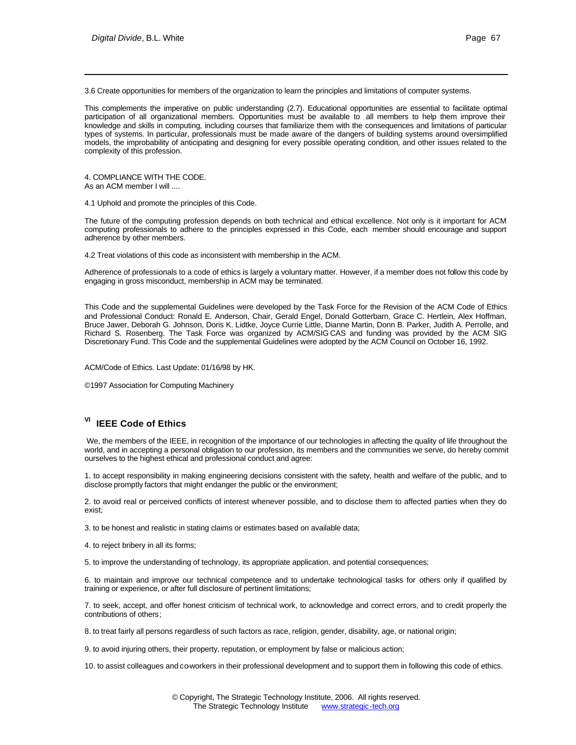3.6 Create opportunities for members of the organization to learn the principles and limitations of computer systems.

This complements the imperative on public understanding (2.7). Educational opportunities are essential to facilitate optimal participation of all organizational members. Opportunities must be available to all members to help them improve their knowledge and skills in computing, including courses that familiarize them with the consequences and limitations of particular types of systems. In particular, professionals must be made aware of the dangers of building systems around oversimplified models, the improbability of anticipating and designing for every possible operating condition, and other issues related to the complexity of this profession.

4. COMPLIANCE WITH THE CODE. As an ACM member I will ....

4.1 Uphold and promote the principles of this Code.

The future of the computing profession depends on both technical and ethical excellence. Not only is it important for ACM computing professionals to adhere to the principles expressed in this Code, each member should encourage and support adherence by other members.

4.2 Treat violations of this code as inconsistent with membership in the ACM.

Adherence of professionals to a code of ethics is largely a voluntary matter. However, if a member does not follow this code by engaging in gross misconduct, membership in ACM may be terminated.

This Code and the supplemental Guidelines were developed by the Task Force for the Revision of the ACM Code of Ethics and Professional Conduct: Ronald E. Anderson, Chair, Gerald Engel, Donald Gotterbarn, Grace C. Hertlein, Alex Hoffman, Bruce Jawer, Deborah G. Johnson, Doris K. Lidtke, Joyce Currie Little, Dianne Martin, Donn B. Parker, Judith A. Perrolle, and Richard S. Rosenberg. The Task Force was organized by ACM/SIG CAS and funding was provided by the ACM SIG Discretionary Fund. This Code and the supplemental Guidelines were adopted by the ACM Council on October 16, 1992.

ACM/Code of Ethics. Last Update: 01/16/98 by HK.

©1997 Association for Computing Machinery

## **VI IEEE Code of Ethics**

We, the members of the IEEE, in recognition of the importance of our technologies in affecting the quality of life throughout the world, and in accepting a personal obligation to our profession, its members and the communities we serve, do hereby commit ourselves to the highest ethical and professional conduct and agree:

1. to accept responsibility in making engineering decisions consistent with the safety, health and welfare of the public, and to disclose promptly factors that might endanger the public or the environment;

2. to avoid real or perceived conflicts of interest whenever possible, and to disclose them to affected parties when they do exist;

3. to be honest and realistic in stating claims or estimates based on available data;

4. to reject bribery in all its forms;

5. to improve the understanding of technology, its appropriate application, and potential consequences;

6. to maintain and improve our technical competence and to undertake technological tasks for others only if qualified by training or experience, or after full disclosure of pertinent limitations;

7. to seek, accept, and offer honest criticism of technical work, to acknowledge and correct errors, and to credit properly the contributions of others;

8. to treat fairly all persons regardless of such factors as race, religion, gender, disability, age, or national origin;

9. to avoid injuring others, their property, reputation, or employment by false or malicious action;

10. to assist colleagues and co-workers in their professional development and to support them in following this code of ethics.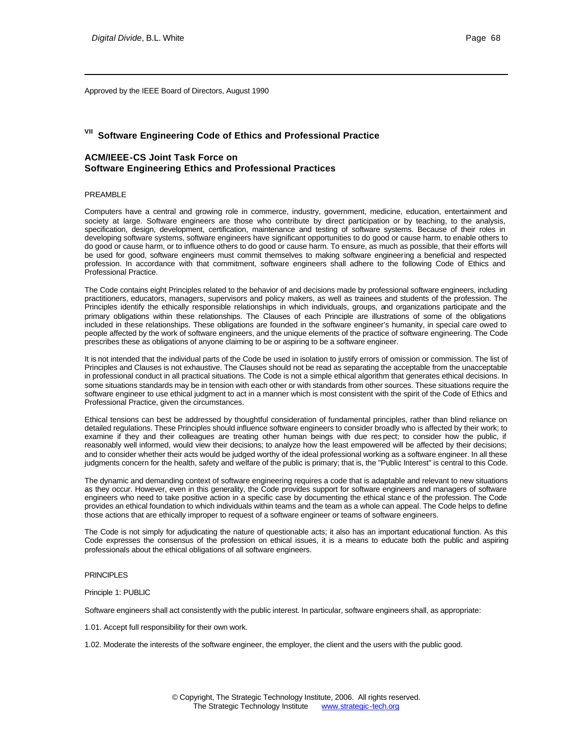Approved by the IEEE Board of Directors, August 1990

# **VII Software Engineering Code of Ethics and Professional Practice**

### **ACM/IEEE-CS Joint Task Force on Software Engineering Ethics and Professional Practices**

### PREAMBLE

l

Computers have a central and growing role in commerce, industry, government, medicine, education, entertainment and society at large. Software engineers are those who contribute by direct participation or by teaching, to the analysis, specification, design, development, certification, maintenance and testing of software systems. Because of their roles in developing software systems, software engineers have significant opportunities to do good or cause harm, to enable others to do good or cause harm, or to influence others to do good or cause harm. To ensure, as much as possible, that their efforts will be used for good, software engineers must commit themselves to making software engineering a beneficial and respected profession. In accordance with that commitment, software engineers shall adhere to the following Code of Ethics and Professional Practice.

The Code contains eight Principles related to the behavior of and decisions made by professional software engineers, including practitioners, educators, managers, supervisors and policy makers, as well as trainees and students of the profession. The Principles identify the ethically responsible relationships in which individuals, groups, and organizations participate and the primary obligations within these relationships. The Clauses of each Principle are illustrations of some of the obligations included in these relationships. These obligations are founded in the software engineer's humanity, in special care owed to people affected by the work of software engineers, and the unique elements of the practice of software engineering. The Code prescribes these as obligations of anyone claiming to be or aspiring to be a software engineer.

It is not intended that the individual parts of the Code be used in isolation to justify errors of omission or commission. The list of Principles and Clauses is not exhaustive. The Clauses should not be read as separating the acceptable from the unacceptable in professional conduct in all practical situations. The Code is not a simple ethical algorithm that generates ethical decisions. In some situations standards may be in tension with each other or with standards from other sources. These situations require the software engineer to use ethical judgment to act in a manner which is most consistent with the spirit of the Code of Ethics and Professional Practice, given the circumstances.

Ethical tensions can best be addressed by thoughtful consideration of fundamental principles, rather than blind reliance on detailed regulations. These Principles should influence software engineers to consider broadly who is affected by their work; to examine if they and their colleagues are treating other human beings with due res pect; to consider how the public, if reasonably well informed, would view their decisions; to analyze how the least empowered will be affected by their decisions; and to consider whether their acts would be judged worthy of the ideal professional working as a software engineer. In all these judgments concern for the health, safety and welfare of the public is primary; that is, the "Public Interest" is central to this Code.

The dynamic and demanding context of software engineering requires a code that is adaptable and relevant to new situations as they occur. However, even in this generality, the Code provides support for software engineers and managers of software engineers who need to take positive action in a specific case by documenting the ethical stanc e of the profession. The Code provides an ethical foundation to which individuals within teams and the team as a whole can appeal. The Code helps to define those actions that are ethically improper to request of a software engineer or teams of software engineers.

The Code is not simply for adjudicating the nature of questionable acts; it also has an important educational function. As this Code expresses the consensus of the profession on ethical issues, it is a means to educate both the public and aspiring professionals about the ethical obligations of all software engineers.

### PRINCIPLES

Principle 1: PUBLIC

Software engineers shall act consistently with the public interest. In particular, software engineers shall, as appropriate:

1.01. Accept full responsibility for their own work.

1.02. Moderate the interests of the software engineer, the employer, the client and the users with the public good.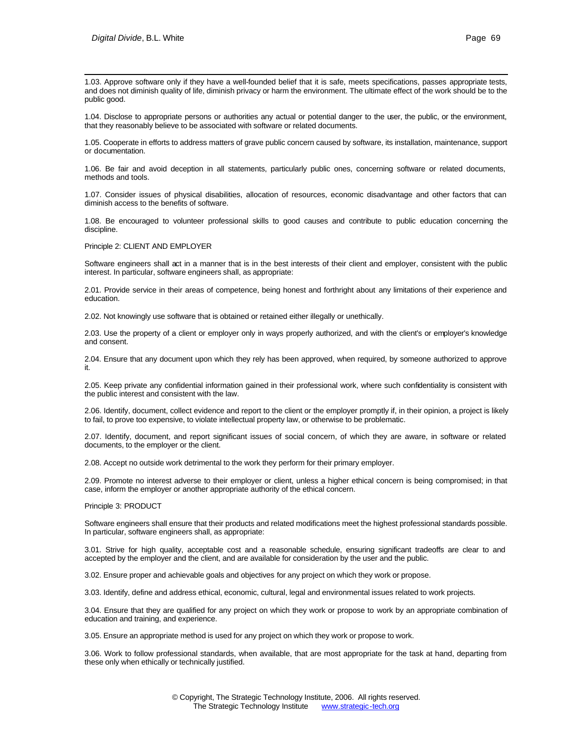1.03. Approve software only if they have a well-founded belief that it is safe, meets specifications, passes appropriate tests, and does not diminish quality of life, diminish privacy or harm the environment. The ultimate effect of the work should be to the public good.

1.04. Disclose to appropriate persons or authorities any actual or potential danger to the user, the public, or the environment, that they reasonably believe to be associated with software or related documents.

1.05. Cooperate in efforts to address matters of grave public concern caused by software, its installation, maintenance, support or documentation.

1.06. Be fair and avoid deception in all statements, particularly public ones, concerning software or related documents, methods and tools.

1.07. Consider issues of physical disabilities, allocation of resources, economic disadvantage and other factors that can diminish access to the benefits of software.

1.08. Be encouraged to volunteer professional skills to good causes and contribute to public education concerning the discipline.

Principle 2: CLIENT AND EMPLOYER

Software engineers shall act in a manner that is in the best interests of their client and employer, consistent with the public interest. In particular, software engineers shall, as appropriate:

2.01. Provide service in their areas of competence, being honest and forthright about any limitations of their experience and education.

2.02. Not knowingly use software that is obtained or retained either illegally or unethically.

2.03. Use the property of a client or employer only in ways properly authorized, and with the client's or employer's knowledge and consent.

2.04. Ensure that any document upon which they rely has been approved, when required, by someone authorized to approve it.

2.05. Keep private any confidential information gained in their professional work, where such confidentiality is consistent with the public interest and consistent with the law.

2.06. Identify, document, collect evidence and report to the client or the employer promptly if, in their opinion, a project is likely to fail, to prove too expensive, to violate intellectual property law, or otherwise to be problematic.

2.07. Identify, document, and report significant issues of social concern, of which they are aware, in software or related documents, to the employer or the client.

2.08. Accept no outside work detrimental to the work they perform for their primary employer.

2.09. Promote no interest adverse to their employer or client, unless a higher ethical concern is being compromised; in that case, inform the employer or another appropriate authority of the ethical concern.

Principle 3: PRODUCT

Software engineers shall ensure that their products and related modifications meet the highest professional standards possible. In particular, software engineers shall, as appropriate:

3.01. Strive for high quality, acceptable cost and a reasonable schedule, ensuring significant tradeoffs are clear to and accepted by the employer and the client, and are available for consideration by the user and the public.

3.02. Ensure proper and achievable goals and objectives for any project on which they work or propose.

3.03. Identify, define and address ethical, economic, cultural, legal and environmental issues related to work projects.

3.04. Ensure that they are qualified for any project on which they work or propose to work by an appropriate combination of education and training, and experience.

3.05. Ensure an appropriate method is used for any project on which they work or propose to work.

3.06. Work to follow professional standards, when available, that are most appropriate for the task at hand, departing from these only when ethically or technically justified.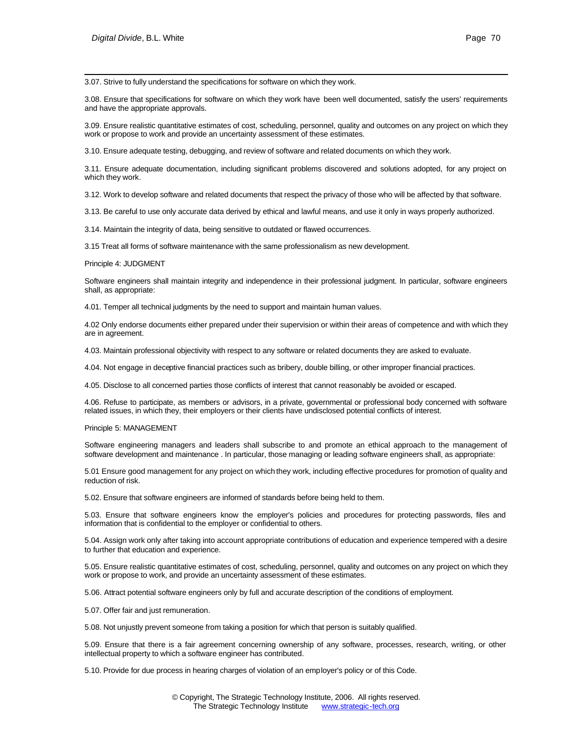l 3.07. Strive to fully understand the specifications for software on which they work.

3.08. Ensure that specifications for software on which they work have been well documented, satisfy the users' requirements and have the appropriate approvals.

3.09. Ensure realistic quantitative estimates of cost, scheduling, personnel, quality and outcomes on any project on which they work or propose to work and provide an uncertainty assessment of these estimates.

3.10. Ensure adequate testing, debugging, and review of software and related documents on which they work.

3.11. Ensure adequate documentation, including significant problems discovered and solutions adopted, for any project on which they work.

3.12. Work to develop software and related documents that respect the privacy of those who will be affected by that software.

3.13. Be careful to use only accurate data derived by ethical and lawful means, and use it only in ways properly authorized.

3.14. Maintain the integrity of data, being sensitive to outdated or flawed occurrences.

3.15 Treat all forms of software maintenance with the same professionalism as new development.

#### Principle 4: JUDGMENT

Software engineers shall maintain integrity and independence in their professional judgment. In particular, software engineers shall, as appropriate:

4.01. Temper all technical judgments by the need to support and maintain human values.

4.02 Only endorse documents either prepared under their supervision or within their areas of competence and with which they are in agreement.

4.03. Maintain professional objectivity with respect to any software or related documents they are asked to evaluate.

4.04. Not engage in deceptive financial practices such as bribery, double billing, or other improper financial practices.

4.05. Disclose to all concerned parties those conflicts of interest that cannot reasonably be avoided or escaped.

4.06. Refuse to participate, as members or advisors, in a private, governmental or professional body concerned with software related issues, in which they, their employers or their clients have undisclosed potential conflicts of interest.

#### Principle 5: MANAGEMENT

Software engineering managers and leaders shall subscribe to and promote an ethical approach to the management of software development and maintenance . In particular, those managing or leading software engineers shall, as appropriate:

5.01 Ensure good management for any project on which they work, including effective procedures for promotion of quality and reduction of risk.

5.02. Ensure that software engineers are informed of standards before being held to them.

5.03. Ensure that software engineers know the employer's policies and procedures for protecting passwords, files and information that is confidential to the employer or confidential to others.

5.04. Assign work only after taking into account appropriate contributions of education and experience tempered with a desire to further that education and experience.

5.05. Ensure realistic quantitative estimates of cost, scheduling, personnel, quality and outcomes on any project on which they work or propose to work, and provide an uncertainty assessment of these estimates.

5.06. Attract potential software engineers only by full and accurate description of the conditions of employment.

5.07. Offer fair and just remuneration.

5.08. Not unjustly prevent someone from taking a position for which that person is suitably qualified.

5.09. Ensure that there is a fair agreement concerning ownership of any software, processes, research, writing, or other intellectual property to which a software engineer has contributed.

5.10. Provide for due process in hearing charges of violation of an employer's policy or of this Code.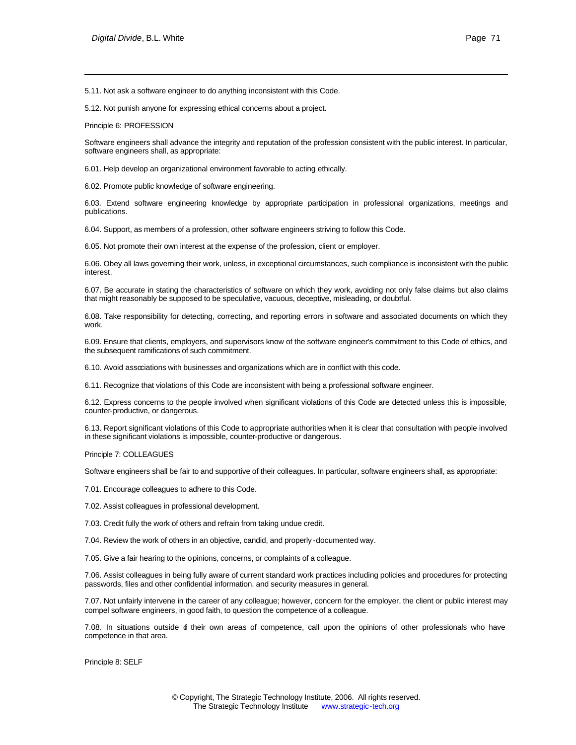5.11. Not ask a software engineer to do anything inconsistent with this Code.

5.12. Not punish anyone for expressing ethical concerns about a project.

Principle 6: PROFESSION

l

Software engineers shall advance the integrity and reputation of the profession consistent with the public interest. In particular, software engineers shall, as appropriate:

6.01. Help develop an organizational environment favorable to acting ethically.

6.02. Promote public knowledge of software engineering.

6.03. Extend software engineering knowledge by appropriate participation in professional organizations, meetings and publications.

6.04. Support, as members of a profession, other software engineers striving to follow this Code.

6.05. Not promote their own interest at the expense of the profession, client or employer.

6.06. Obey all laws governing their work, unless, in exceptional circumstances, such compliance is inconsistent with the public interest.

6.07. Be accurate in stating the characteristics of software on which they work, avoiding not only false claims but also claims that might reasonably be supposed to be speculative, vacuous, deceptive, misleading, or doubtful.

6.08. Take responsibility for detecting, correcting, and reporting errors in software and associated documents on which they work.

6.09. Ensure that clients, employers, and supervisors know of the software engineer's commitment to this Code of ethics, and the subsequent ramifications of such commitment.

6.10. Avoid associations with businesses and organizations which are in conflict with this code.

6.11. Recognize that violations of this Code are inconsistent with being a professional software engineer.

6.12. Express concerns to the people involved when significant violations of this Code are detected unless this is impossible, counter-productive, or dangerous.

6.13. Report significant violations of this Code to appropriate authorities when it is clear that consultation with people involved in these significant violations is impossible, counter-productive or dangerous.

Principle 7: COLLEAGUES

Software engineers shall be fair to and supportive of their colleagues. In particular, software engineers shall, as appropriate:

7.01. Encourage colleagues to adhere to this Code.

7.02. Assist colleagues in professional development.

7.03. Credit fully the work of others and refrain from taking undue credit.

7.04. Review the work of others in an objective, candid, and properly -documented way.

7.05. Give a fair hearing to the opinions, concerns, or complaints of a colleague.

7.06. Assist colleagues in being fully aware of current standard work practices including policies and procedures for protecting passwords, files and other confidential information, and security measures in general.

7.07. Not unfairly intervene in the career of any colleague; however, concern for the employer, the client or public interest may compel software engineers, in good faith, to question the competence of a colleague.

7.08. In situations outside of their own areas of competence, call upon the opinions of other professionals who have competence in that area.

Principle 8: SELF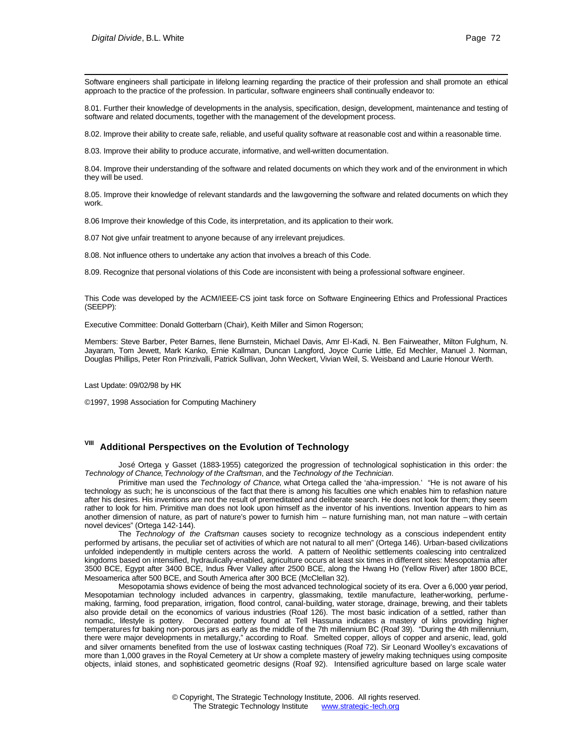Software engineers shall participate in lifelong learning regarding the practice of their profession and shall promote an ethical approach to the practice of the profession. In particular, software engineers shall continually endeavor to:

8.01. Further their knowledge of developments in the analysis, specification, design, development, maintenance and testing of software and related documents, together with the management of the development process.

8.02. Improve their ability to create safe, reliable, and useful quality software at reasonable cost and within a reasonable time.

8.03. Improve their ability to produce accurate, informative, and well-written documentation.

8.04. Improve their understanding of the software and related documents on which they work and of the environment in which they will be used.

8.05. Improve their knowledge of relevant standards and the law governing the software and related documents on which they work.

8.06 Improve their knowledge of this Code, its interpretation, and its application to their work.

8.07 Not give unfair treatment to anyone because of any irrelevant prejudices.

8.08. Not influence others to undertake any action that involves a breach of this Code.

8.09. Recognize that personal violations of this Code are inconsistent with being a professional software engineer.

This Code was developed by the ACM/IEEE-CS joint task force on Software Engineering Ethics and Professional Practices (SEEPP):

Executive Committee: Donald Gotterbarn (Chair), Keith Miller and Simon Rogerson;

Members: Steve Barber, Peter Barnes, Ilene Burnstein, Michael Davis, Amr El-Kadi, N. Ben Fairweather, Milton Fulghum, N. Jayaram, Tom Jewett, Mark Kanko, Ernie Kallman, Duncan Langford, Joyce Currie Little, Ed Mechler, Manuel J. Norman, Douglas Phillips, Peter Ron Prinzivalli, Patrick Sullivan, John Weckert, Vivian Weil, S. Weisband and Laurie Honour Werth.

Last Update: 09/02/98 by HK

©1997, 1998 Association for Computing Machinery

### **VIII Additional Perspectives on the Evolution of Technology**

José Ortega y Gasset (1883-1955) categorized the progression of technological sophistication in this order: the *Technology of Chance*, *Technology of the Craftsman*, and the *Technology of the Technician*.

Primitive man used the *Technology of Chance*, what Ortega called the 'aha-impression.' "He is not aware of his technology as such; he is unconscious of the fact that there is among his faculties one which enables him to refashion nature after his desires. His inventions are not the result of premeditated and deliberate search. He does not look for them; they seem rather to look for him. Primitive man does not look upon himself as the inventor of his inventions. Invention appears to him as another dimension of nature, as part of nature's power to furnish him – nature furnishing man, not man nature – with certain novel devices" (Ortega 142-144).

The *Technology of the Craftsman* causes society to recognize technology as a conscious independent entity performed by artisans, the peculiar set of activities of which are not natural to all men" (Ortega 146). Urban-based civilizations unfolded independently in multiple centers across the world. A pattern of Neolithic settlements coalescing into centralized kingdoms based on intensified, hydraulically-enabled, agriculture occurs at least six times in different sites: Mesopotamia after 3500 BCE, Egypt after 3400 BCE, Indus River Valley after 2500 BCE, along the Hwang Ho (Yellow River) after 1800 BCE, Mesoamerica after 500 BCE, and South America after 300 BCE (McClellan 32).

Mesopotamia shows evidence of being the most advanced technological society of its era. Over a 6,000 year period, Mesopotamian technology included advances in carpentry, glassmaking, textile manufacture, leather-working, perfumemaking, farming, food preparation, irrigation, flood control, canal-building, water storage, drainage, brewing, and their tablets also provide detail on the economics of various industries (Roaf 126). The most basic indication of a settled, rather than nomadic, lifestyle is pottery. Decorated pottery found at Tell Hassuna indicates a mastery of kilns providing higher temperatures for baking non-porous jars as early as the middle of the 7th millennium BC (Roaf 39). "During the 4th millennium, there were major developments in metallurgy," according to Roaf. Smelted copper, alloys of copper and arsenic, lead, gold and silver ornaments benefited from the use of lost-wax casting techniques (Roaf 72). Sir Leonard Woolley's excavations of more than 1,000 graves in the Royal Cemetery at Ur show a complete mastery of jewelry making techniques using composite objects, inlaid stones, and sophisticated geometric designs (Roaf 92). Intensified agriculture based on large scale water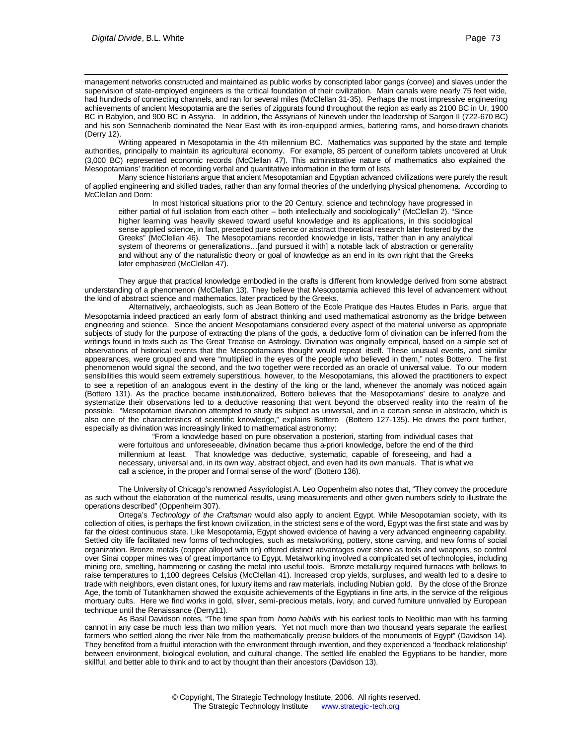management networks constructed and maintained as public works by conscripted labor gangs (corvee) and slaves under the supervision of state-employed engineers is the critical foundation of their civilization. Main canals were nearly 75 feet wide, had hundreds of connecting channels, and ran for several miles (McClellan 31-35). Perhaps the most impressive engineering achievements of ancient Mesopotamia are the series of ziggurats found throughout the region as early as 2100 BC in Ur, 1900 BC in Babylon, and 900 BC in Assyria. In addition, the Assyrians of Nineveh under the leadership of Sargon II (722-670 BC) and his son Sennacherib dominated the Near East with its iron-equipped armies, battering rams, and horse-drawn chariots (Derry 12).

Writing appeared in Mesopotamia in the 4th millennium BC. Mathematics was supported by the state and temple authorities, principally to maintain its agricultural economy. For example, 85 percent of cuneiform tablets uncovered at Uruk (3,000 BC) represented economic records (McClellan 47). This administrative nature of mathematics also explained the Mesopotamians' tradition of recording verbal and quantitative information in the form of lists.

Many science historians argue that ancient Mesopotamian and Egyptian advanced civilizations were purely the result of applied engineering and skilled trades, rather than any formal theories of the underlying physical phenomena. According to McClellan and Dorn:

In most historical situations prior to the 20 Century, science and technology have progressed in either partial of full isolation from each other – both intellectually and sociologically" (McClellan 2). "Since higher learning was heavily skewed toward useful knowledge and its applications, in this sociological sense applied science, in fact, preceded pure science or abstract theoretical research later fostered by the Greeks" (McClellan 46). The Mesopotamians recorded knowledge in lists, "rather than in any analytical system of theorems or generalizations...[and pursued it with] a notable lack of abstraction or generality and without any of the naturalistic theory or goal of knowledge as an end in its own right that the Greeks later emphasized (McClellan 47).

They argue that practical knowledge embodied in the crafts is different from knowledge derived from some abstract understanding of a phenomenon (McClellan 13). They believe that Mesopotamia achieved this level of advancement without the kind of abstract science and mathematics, later practiced by the Greeks.

 Alternatively, archaeologists, such as Jean Bottero of the Ecole Pratique des Hautes Etudes in Paris, argue that Mesopotamia indeed practiced an early form of abstract thinking and used mathematical astronomy as the bridge between engineering and science. Since the ancient Mesopotamians considered every aspect of the material universe as appropriate subjects of study for the purpose of extracting the plans of the gods, a deductive form of divination can be inferred from the writings found in texts such as The Great Treatise on Astrology. Divination was originally empirical, based on a simple set of observations of historical events that the Mesopotamians thought would repeat itself. These unusual events, and similar appearances, were grouped and were "multiplied in the eyes of the people who believed in them," notes Bottero. The first phenomenon would signal the second, and the two together were recorded as an oracle of universal value. To our modern sensibilities this would seem extremely superstitious, however, to the Mesopotamians, this allowed the practitioners to expect to see a repetition of an analogous event in the destiny of the king or the land, whenever the anomaly was noticed again (Bottero 131). As the practice became institutionalized, Bottero believes that the Mesopotamians' desire to analyze and systematize their observations led to a deductive reasoning that went beyond the observed reality into the realm of the possible. "Mesopotamian divination attempted to study its subject as universal, and in a certain sense in abstracto, which is also one of the characteristics of scientific knowledge," explains Bottero (Bottero 127-135). He drives the point further, especially as divination was increasingly linked to mathematical astronomy:

"From a knowledge based on pure observation a posteriori, starting from individual cases that were fortuitous and unforeseeable, divination became thus a-priori knowledge, before the end of the third millennium at least. That knowledge was deductive, systematic, capable of foreseeing, and had a necessary, universal and, in its own way, abstract object, and even had its own manuals. That is what we call a science, in the proper and f ormal sense of the word" (Bottero 136).

The University of Chicago's renowned Assyriologist A. Leo Oppenheim also notes that, "They convey the procedure as such without the elaboration of the numerical results, using measurements and other given numbers solely to illustrate the operations described" (Oppenheim 307).

Ortega's *Technology of the Craftsman* would also apply to ancient Egypt. While Mesopotamian society, with its collection of cities, is perhaps the first known civilization, in the strictest sens e of the word, Egypt was the first state and was by far the oldest continuous state. Like Mesopotamia, Egypt showed evidence of having a very advanced engineering capability. Settled city life facilitated new forms of technologies, such as metalworking, pottery, stone carving, and new forms of social organization. Bronze metals (copper alloyed with tin) offered distinct advantages over stone as tools and weapons, so control over Sinai copper mines was of great importance to Egypt. Metalworking involved a complicated set of technologies, including mining ore, smelting, hammering or casting the metal into useful tools. Bronze metallurgy required furnaces with bellows to raise temperatures to 1,100 degrees Celsius (McClellan 41). Increased crop yields, surpluses, and wealth led to a desire to trade with neighbors, even distant ones, for luxury items and raw materials, including Nubian gold. By the close of the Bronze Age, the tomb of Tutankhamen showed the exquisite achievements of the Egyptians in fine arts, in the service of the religious mortuary cults. Here we find works in gold, silver, semi-precious metals, ivory, and curved furniture unrivalled by European technique until the Renaissance (Derry11).

As Basil Davidson notes, "The time span from *homo habilis* with his earliest tools to Neolithic man with his farming cannot in any case be much less than two million years. Yet not much more than two thousand years separate the earliest farmers who settled along the river Nile from the mathematically precise builders of the monuments of Egypt" (Davidson 14). They benefited from a fruitful interaction with the environment through invention, and they experienced a 'feedback relationship' between environment, biological evolution, and cultural change. The settled life enabled the Egyptians to be handier, more skillful, and better able to think and to act by thought than their ancestors (Davidson 13).